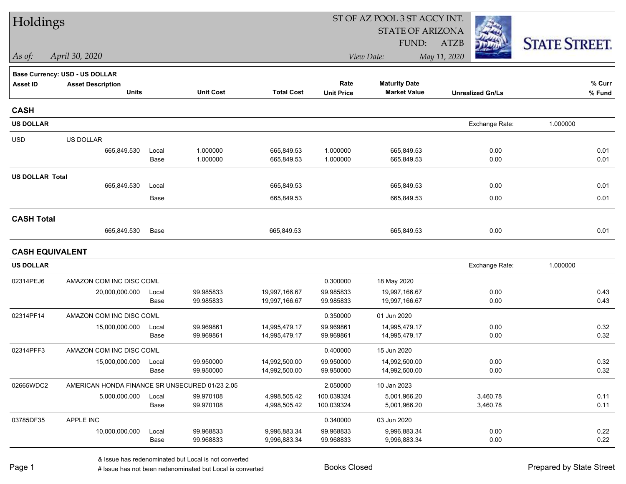| Holdings               |                                                |               |                        |                              |                        | ST OF AZ POOL 3 ST AGCY INT. |                         |                      |
|------------------------|------------------------------------------------|---------------|------------------------|------------------------------|------------------------|------------------------------|-------------------------|----------------------|
|                        |                                                |               |                        |                              |                        | <b>STATE OF ARIZONA</b>      |                         |                      |
|                        |                                                |               |                        |                              |                        | FUND:                        | <b>ATZB</b>             | <b>STATE STREET.</b> |
| As of:                 | April 30, 2020                                 |               |                        |                              |                        | View Date:                   | May 11, 2020            |                      |
|                        | <b>Base Currency: USD - US DOLLAR</b>          |               |                        |                              |                        |                              |                         |                      |
| <b>Asset ID</b>        | <b>Asset Description</b>                       |               |                        |                              | Rate                   | <b>Maturity Date</b>         |                         | % Curr               |
|                        | <b>Units</b>                                   |               | <b>Unit Cost</b>       | <b>Total Cost</b>            | <b>Unit Price</b>      | <b>Market Value</b>          | <b>Unrealized Gn/Ls</b> | % Fund               |
| <b>CASH</b>            |                                                |               |                        |                              |                        |                              |                         |                      |
| <b>US DOLLAR</b>       |                                                |               |                        |                              |                        |                              | Exchange Rate:          | 1.000000             |
| <b>USD</b>             | US DOLLAR                                      |               |                        |                              |                        |                              |                         |                      |
|                        | 665,849.530                                    | Local         | 1.000000               | 665,849.53                   | 1.000000               | 665,849.53                   | 0.00                    | 0.01                 |
|                        |                                                | Base          | 1.000000               | 665,849.53                   | 1.000000               | 665,849.53                   | 0.00                    | 0.01                 |
| <b>US DOLLAR Total</b> |                                                |               |                        |                              |                        |                              |                         |                      |
|                        | 665,849.530                                    | Local         |                        | 665,849.53                   |                        | 665,849.53                   | 0.00                    | 0.01                 |
|                        |                                                | Base          |                        | 665,849.53                   |                        | 665,849.53                   | 0.00                    | 0.01                 |
| <b>CASH Total</b>      |                                                |               |                        |                              |                        |                              |                         |                      |
|                        | 665,849.530                                    | Base          |                        | 665,849.53                   |                        | 665,849.53                   | 0.00                    | 0.01                 |
| <b>CASH EQUIVALENT</b> |                                                |               |                        |                              |                        |                              |                         |                      |
| <b>US DOLLAR</b>       |                                                |               |                        |                              |                        |                              | Exchange Rate:          | 1.000000             |
| 02314PEJ6              | AMAZON COM INC DISC COML                       |               |                        |                              | 0.300000               | 18 May 2020                  |                         |                      |
|                        | 20,000,000.000                                 | Local         | 99.985833              | 19,997,166.67                | 99.985833              | 19,997,166.67                | 0.00                    | 0.43                 |
|                        |                                                | Base          | 99.985833              | 19,997,166.67                | 99.985833              | 19,997,166.67                | 0.00                    | 0.43                 |
| 02314PF14              | AMAZON COM INC DISC COML                       |               |                        |                              | 0.350000               | 01 Jun 2020                  |                         |                      |
|                        | 15,000,000.000                                 | Local         | 99.969861              | 14,995,479.17                | 99.969861              | 14,995,479.17                | 0.00                    | 0.32                 |
|                        |                                                | Base          | 99.969861              | 14,995,479.17                | 99.969861              | 14,995,479.17                | 0.00                    | 0.32                 |
| 02314PFF3              | AMAZON COM INC DISC COML                       |               |                        |                              | 0.400000               | 15 Jun 2020                  |                         |                      |
|                        | 15,000,000.000                                 | Local         | 99.950000              | 14,992,500.00                | 99.950000              | 14,992,500.00                | 0.00                    | 0.32                 |
|                        |                                                | Base          | 99.950000              | 14,992,500.00                | 99.950000              | 14,992,500.00                | 0.00                    | 0.32                 |
| 02665WDC2              | AMERICAN HONDA FINANCE SR UNSECURED 01/23 2.05 |               |                        |                              | 2.050000               | 10 Jan 2023                  |                         |                      |
|                        | 5,000,000.000                                  | Local         | 99.970108              | 4,998,505.42                 | 100.039324             | 5,001,966.20                 | 3,460.78                | 0.11                 |
|                        |                                                | Base          | 99.970108              | 4,998,505.42                 | 100.039324             | 5,001,966.20                 | 3,460.78                | 0.11                 |
| 03785DF35              | APPLE INC                                      |               |                        |                              | 0.340000               | 03 Jun 2020                  |                         |                      |
|                        | 10,000,000.000                                 | Local<br>Base | 99.968833<br>99.968833 | 9,996,883.34<br>9,996,883.34 | 99.968833<br>99.968833 | 9,996,883.34<br>9,996,883.34 | 0.00<br>0.00            | 0.22<br>0.22         |
|                        |                                                |               |                        |                              |                        |                              |                         |                      |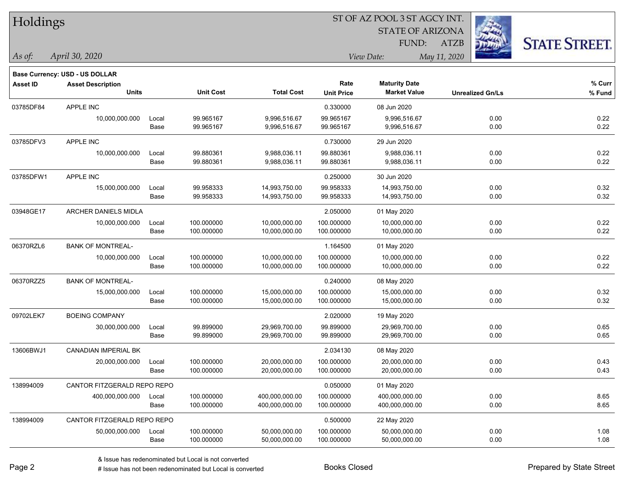| Holdings |
|----------|
|----------|

**Maturity Date**

STATE OF ARIZONA

ATZB



**% Curr**

*April 30, 2020 As of: View Date: May 11, 2020*

**Base Currency: USD - US DOLLAR**

FUND:

|           | <b>Units</b>                |       | <b>Unit Cost</b> | <b>Total Cost</b> | <b>Unit Price</b> | <b>Market Value</b> | <b>Unrealized Gn/Ls</b> | % Fund |
|-----------|-----------------------------|-------|------------------|-------------------|-------------------|---------------------|-------------------------|--------|
| 03785DF84 | APPLE INC                   |       |                  |                   | 0.330000          | 08 Jun 2020         |                         |        |
|           | 10,000,000.000              | Local | 99.965167        | 9,996,516.67      | 99.965167         | 9,996,516.67        | 0.00                    | 0.22   |
|           |                             | Base  | 99.965167        | 9,996,516.67      | 99.965167         | 9,996,516.67        | 0.00                    | 0.22   |
| 03785DFV3 | APPLE INC                   |       |                  |                   | 0.730000          | 29 Jun 2020         |                         |        |
|           | 10,000,000.000              | Local | 99.880361        | 9,988,036.11      | 99.880361         | 9,988,036.11        | 0.00                    | 0.22   |
|           |                             | Base  | 99.880361        | 9,988,036.11      | 99.880361         | 9,988,036.11        | 0.00                    | 0.22   |
| 03785DFW1 | APPLE INC                   |       |                  |                   | 0.250000          | 30 Jun 2020         |                         |        |
|           | 15,000,000.000              | Local | 99.958333        | 14,993,750.00     | 99.958333         | 14,993,750.00       | 0.00                    | 0.32   |
|           |                             | Base  | 99.958333        | 14,993,750.00     | 99.958333         | 14,993,750.00       | 0.00                    | 0.32   |
| 03948GE17 | <b>ARCHER DANIELS MIDLA</b> |       |                  |                   | 2.050000          | 01 May 2020         |                         |        |
|           | 10,000,000.000              | Local | 100.000000       | 10,000,000.00     | 100.000000        | 10,000,000.00       | 0.00                    | 0.22   |
|           |                             | Base  | 100.000000       | 10,000,000.00     | 100.000000        | 10,000,000.00       | 0.00                    | 0.22   |
| 06370RZL6 | <b>BANK OF MONTREAL-</b>    |       |                  |                   | 1.164500          | 01 May 2020         |                         |        |
|           | 10,000,000.000              | Local | 100.000000       | 10,000,000.00     | 100.000000        | 10,000,000.00       | 0.00                    | 0.22   |
|           |                             | Base  | 100.000000       | 10,000,000.00     | 100.000000        | 10,000,000.00       | 0.00                    | 0.22   |
| 06370RZZ5 | <b>BANK OF MONTREAL-</b>    |       |                  |                   | 0.240000          | 08 May 2020         |                         |        |
|           | 15,000,000.000              | Local | 100.000000       | 15,000,000.00     | 100.000000        | 15,000,000.00       | 0.00                    | 0.32   |
|           |                             | Base  | 100.000000       | 15,000,000.00     | 100.000000        | 15,000,000.00       | 0.00                    | 0.32   |
| 09702LEK7 | <b>BOEING COMPANY</b>       |       |                  |                   | 2.020000          | 19 May 2020         |                         |        |
|           | 30,000,000.000              | Local | 99.899000        | 29,969,700.00     | 99.899000         | 29,969,700.00       | 0.00                    | 0.65   |
|           |                             | Base  | 99.899000        | 29,969,700.00     | 99.899000         | 29,969,700.00       | 0.00                    | 0.65   |
| 13606BWJ1 | <b>CANADIAN IMPERIAL BK</b> |       |                  |                   | 2.034130          | 08 May 2020         |                         |        |
|           | 20,000,000.000              | Local | 100.000000       | 20,000,000.00     | 100.000000        | 20,000,000.00       | 0.00                    | 0.43   |
|           |                             | Base  | 100.000000       | 20,000,000.00     | 100.000000        | 20,000,000.00       | 0.00                    | 0.43   |
| 138994009 | CANTOR FITZGERALD REPO REPO |       |                  |                   | 0.050000          | 01 May 2020         |                         |        |
|           | 400,000,000.000             | Local | 100.000000       | 400,000,000.00    | 100.000000        | 400,000,000.00      | 0.00                    | 8.65   |
|           |                             | Base  | 100.000000       | 400,000,000.00    | 100.000000        | 400,000,000.00      | 0.00                    | 8.65   |
| 138994009 | CANTOR FITZGERALD REPO REPO |       |                  |                   | 0.500000          | 22 May 2020         |                         |        |

**Asset ID Asset Description Rate**

# Issue has not been redenominated but Local is converted Books Closed Books Closed Prepared by State Street

50,000,000.000 Local 100.000000 50,000,000.00 100.000000 50,000,000.00 0.00 1.08

Base 100.000000 50,000,000.00 100.000000 50,000,000.00 0.00 1.08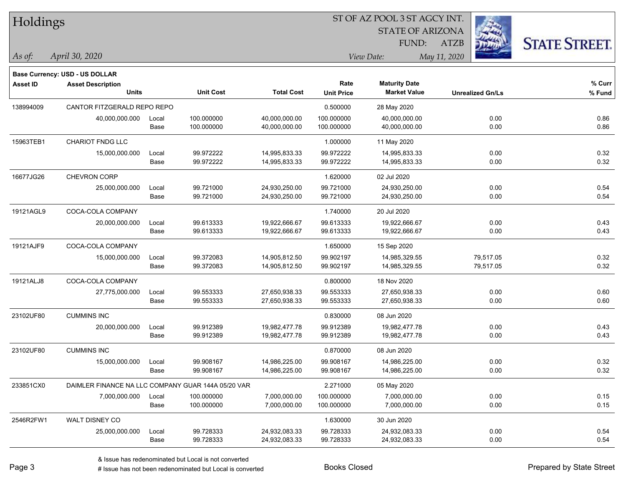| Holdings |
|----------|
|----------|

STATE OF ARIZONA

ATZB



*April 30, 2020 As of: View Date: May 11, 2020*

**Base Currency: USD - US DOLLAR**

FUND:

| Asset ID  | <b>Asset Description</b><br><b>Units</b>           |       | <b>Unit Cost</b> | <b>Total Cost</b> | Rate<br><b>Unit Price</b> | <b>Maturity Date</b><br><b>Market Value</b> | <b>Unrealized Gn/Ls</b> | % Curr<br>% Fund |
|-----------|----------------------------------------------------|-------|------------------|-------------------|---------------------------|---------------------------------------------|-------------------------|------------------|
| 138994009 | CANTOR FITZGERALD REPO REPO                        |       |                  | 0.500000          | 28 May 2020               |                                             |                         |                  |
|           | 40,000,000.000                                     | Local | 100.000000       | 40,000,000.00     | 100.000000                | 40,000,000.00                               | 0.00                    | 0.86             |
|           |                                                    | Base  | 100.000000       | 40,000,000.00     | 100.000000                | 40,000,000.00                               | 0.00                    | 0.86             |
| 15963TEB1 | CHARIOT FNDG LLC                                   |       |                  |                   | 1.000000                  | 11 May 2020                                 |                         |                  |
|           | 15,000,000.000                                     | Local | 99.972222        | 14,995,833.33     | 99.972222                 | 14,995,833.33                               | 0.00                    | 0.32             |
|           |                                                    | Base  | 99.972222        | 14,995,833.33     | 99.972222                 | 14,995,833.33                               | 0.00                    | 0.32             |
| 16677JG26 | <b>CHEVRON CORP</b>                                |       |                  |                   | 1.620000                  | 02 Jul 2020                                 |                         |                  |
|           | 25,000,000.000                                     | Local | 99.721000        | 24,930,250.00     | 99.721000                 | 24,930,250.00                               | 0.00                    | 0.54             |
|           |                                                    | Base  | 99.721000        | 24,930,250.00     | 99.721000                 | 24,930,250.00                               | 0.00                    | 0.54             |
| 19121AGL9 | COCA-COLA COMPANY                                  |       |                  |                   | 1.740000                  | 20 Jul 2020                                 |                         |                  |
|           | 20,000,000.000                                     | Local | 99.613333        | 19,922,666.67     | 99.613333                 | 19,922,666.67                               | 0.00                    | 0.43             |
|           |                                                    | Base  | 99.613333        | 19,922,666.67     | 99.613333                 | 19,922,666.67                               | 0.00                    | 0.43             |
| 19121AJF9 | COCA-COLA COMPANY                                  |       |                  |                   | 1.650000                  | 15 Sep 2020                                 |                         |                  |
|           | 15,000,000.000                                     | Local | 99.372083        | 14,905,812.50     | 99.902197                 | 14,985,329.55                               | 79,517.05               | 0.32             |
|           |                                                    | Base  | 99.372083        | 14,905,812.50     | 99.902197                 | 14,985,329.55                               | 79,517.05               | 0.32             |
| 19121ALJ8 | COCA-COLA COMPANY                                  |       |                  |                   | 0.800000                  | 18 Nov 2020                                 |                         |                  |
|           | 27,775,000.000                                     | Local | 99.553333        | 27,650,938.33     | 99.553333                 | 27,650,938.33                               | 0.00                    | 0.60             |
|           |                                                    | Base  | 99.553333        | 27,650,938.33     | 99.553333                 | 27,650,938.33                               | 0.00                    | 0.60             |
| 23102UF80 | <b>CUMMINS INC</b>                                 |       |                  |                   | 0.830000                  | 08 Jun 2020                                 |                         |                  |
|           | 20,000,000.000                                     | Local | 99.912389        | 19,982,477.78     | 99.912389                 | 19,982,477.78                               | 0.00                    | 0.43             |
|           |                                                    | Base  | 99.912389        | 19,982,477.78     | 99.912389                 | 19,982,477.78                               | 0.00                    | 0.43             |
| 23102UF80 | <b>CUMMINS INC</b>                                 |       |                  |                   | 0.870000                  | 08 Jun 2020                                 |                         |                  |
|           | 15,000,000.000                                     | Local | 99.908167        | 14,986,225.00     | 99.908167                 | 14,986,225.00                               | 0.00                    | 0.32             |
|           |                                                    | Base  | 99.908167        | 14,986,225.00     | 99.908167                 | 14,986,225.00                               | 0.00                    | 0.32             |
| 233851CX0 | DAIMLER FINANCE NA LLC COMPANY GUAR 144A 05/20 VAR |       |                  |                   | 2.271000                  | 05 May 2020                                 |                         |                  |
|           | 7,000,000.000                                      | Local | 100.000000       | 7,000,000.00      | 100.000000                | 7,000,000.00                                | 0.00                    | 0.15             |
|           |                                                    | Base  | 100.000000       | 7,000,000.00      | 100.000000                | 7,000,000.00                                | 0.00                    | 0.15             |
| 2546R2FW1 | WALT DISNEY CO                                     |       |                  |                   | 1.630000                  | 30 Jun 2020                                 |                         |                  |
|           | 25,000,000.000                                     | Local | 99.728333        | 24,932,083.33     | 99.728333                 | 24,932,083.33                               | 0.00                    | 0.54             |
|           |                                                    | Base  | 99.728333        | 24,932,083.33     | 99.728333                 | 24,932,083.33                               | 0.00                    | 0.54             |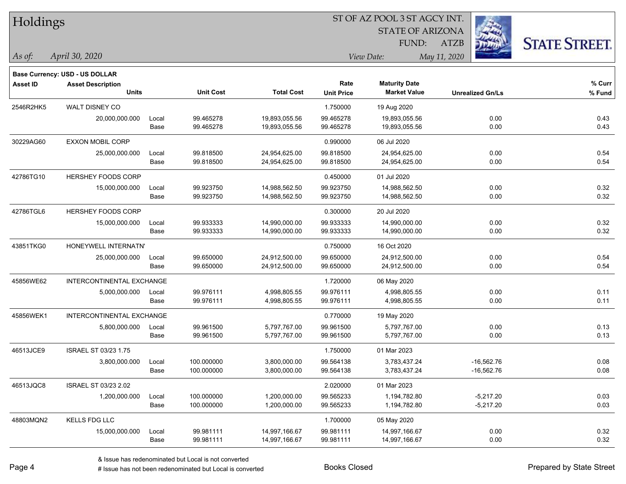| Holdings        |                                       |       |                  |                   |                   | ST OF AZ POOL 3 ST AGCY INT. |                         |                      |
|-----------------|---------------------------------------|-------|------------------|-------------------|-------------------|------------------------------|-------------------------|----------------------|
|                 |                                       |       |                  |                   |                   | <b>STATE OF ARIZONA</b>      |                         |                      |
|                 |                                       |       |                  |                   |                   | FUND:                        | <b>ATZB</b>             | <b>STATE STREET.</b> |
| As of:          | April 30, 2020                        |       |                  |                   |                   | View Date:                   | May 11, 2020            |                      |
|                 | <b>Base Currency: USD - US DOLLAR</b> |       |                  |                   |                   |                              |                         |                      |
| <b>Asset ID</b> | <b>Asset Description</b>              |       |                  |                   | Rate              | <b>Maturity Date</b>         |                         | % Curr               |
|                 | <b>Units</b>                          |       | <b>Unit Cost</b> | <b>Total Cost</b> | <b>Unit Price</b> | <b>Market Value</b>          | <b>Unrealized Gn/Ls</b> | % Fund               |
| 2546R2HK5       | WALT DISNEY CO                        |       |                  |                   | 1.750000          | 19 Aug 2020                  |                         |                      |
|                 | 20,000,000.000                        | Local | 99.465278        | 19,893,055.56     | 99.465278         | 19,893,055.56                | 0.00                    | 0.43                 |
|                 |                                       | Base  | 99.465278        | 19,893,055.56     | 99.465278         | 19,893,055.56                | 0.00                    | 0.43                 |
| 30229AG60       | <b>EXXON MOBIL CORP</b>               |       |                  |                   | 0.990000          | 06 Jul 2020                  |                         |                      |
|                 | 25,000,000.000                        | Local | 99.818500        | 24,954,625.00     | 99.818500         | 24,954,625.00                | 0.00                    | 0.54                 |
|                 |                                       | Base  | 99.818500        | 24,954,625.00     | 99.818500         | 24,954,625.00                | 0.00                    | 0.54                 |
| 42786TG10       | <b>HERSHEY FOODS CORP</b>             |       |                  |                   | 0.450000          | 01 Jul 2020                  |                         |                      |
|                 | 15,000,000.000                        | Local | 99.923750        | 14,988,562.50     | 99.923750         | 14,988,562.50                | 0.00                    | 0.32                 |
|                 |                                       | Base  | 99.923750        | 14,988,562.50     | 99.923750         | 14,988,562.50                | 0.00                    | 0.32                 |
| 42786TGL6       | <b>HERSHEY FOODS CORP</b>             |       |                  |                   | 0.300000          | 20 Jul 2020                  |                         |                      |
|                 | 15,000,000.000                        | Local | 99.933333        | 14,990,000.00     | 99.933333         | 14,990,000.00                | 0.00                    | 0.32                 |
|                 |                                       | Base  | 99.933333        | 14,990,000.00     | 99.933333         | 14,990,000.00                | 0.00                    | 0.32                 |
| 43851TKG0       | HONEYWELL INTERNATN'                  |       |                  |                   | 0.750000          | 16 Oct 2020                  |                         |                      |
|                 | 25,000,000.000                        | Local | 99.650000        | 24,912,500.00     | 99.650000         | 24,912,500.00                | 0.00                    | 0.54                 |
|                 |                                       | Base  | 99.650000        | 24,912,500.00     | 99.650000         | 24,912,500.00                | 0.00                    | 0.54                 |
| 45856WE62       | INTERCONTINENTAL EXCHANGE             |       |                  |                   | 1.720000          | 06 May 2020                  |                         |                      |
|                 | 5,000,000.000                         | Local | 99.976111        | 4,998,805.55      | 99.976111         | 4,998,805.55                 | 0.00                    | 0.11                 |
|                 |                                       | Base  | 99.976111        | 4,998,805.55      | 99.976111         | 4,998,805.55                 | 0.00                    | 0.11                 |
| 45856WEK1       | INTERCONTINENTAL EXCHANGE             |       |                  |                   | 0.770000          | 19 May 2020                  |                         |                      |
|                 | 5,800,000.000                         | Local | 99.961500        | 5,797,767.00      | 99.961500         | 5,797,767.00                 | 0.00                    | 0.13                 |
|                 |                                       | Base  | 99.961500        | 5,797,767.00      | 99.961500         | 5,797,767.00                 | 0.00                    | 0.13                 |
| 46513JCE9       | ISRAEL ST 03/23 1.75                  |       |                  |                   | 1.750000          | 01 Mar 2023                  |                         |                      |
|                 | 3,800,000.000                         | Local | 100.000000       | 3,800,000.00      | 99.564138         | 3,783,437.24                 | -16,562.76              | 0.08                 |
|                 |                                       | Base  | 100.000000       | 3,800,000.00      | 99.564138         | 3,783,437.24                 | $-16,562.76$            | 0.08                 |
| 46513JQC8       | ISRAEL ST 03/23 2.02                  |       |                  |                   | 2.020000          | 01 Mar 2023                  |                         |                      |
|                 | 1,200,000.000                         | Local | 100.000000       | 1,200,000.00      | 99.565233         | 1,194,782.80                 | $-5,217.20$             | 0.03                 |
|                 |                                       | Base  | 100.000000       | 1,200,000.00      | 99.565233         | 1,194,782.80                 | $-5,217.20$             | 0.03                 |
| 48803MQN2       | <b>KELLS FDG LLC</b>                  |       |                  |                   | 1.700000          | 05 May 2020                  |                         |                      |
|                 | 15,000,000.000                        | Local | 99.981111        | 14,997,166.67     | 99.981111         | 14,997,166.67                | 0.00                    | 0.32                 |
|                 |                                       | Base  | 99.981111        | 14,997,166.67     | 99.981111         | 14,997,166.67                | 0.00                    | 0.32                 |

e e

 $\overline{\phantom{0}}$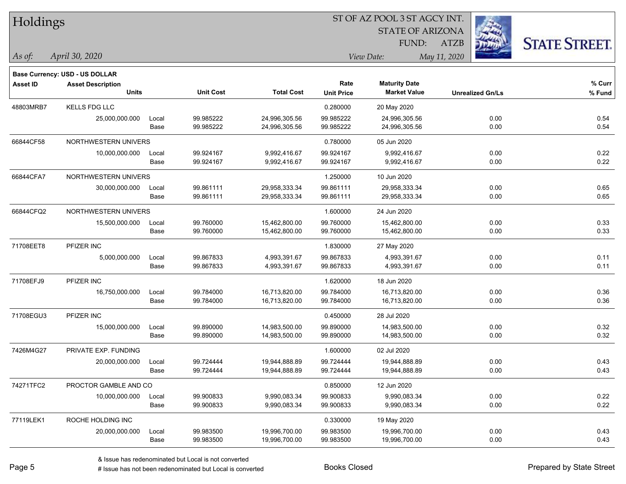| Holdings        |                                          |       |                  |                   |                   | ST OF AZ POOL 3 ST AGCY INT. |                         |                      |
|-----------------|------------------------------------------|-------|------------------|-------------------|-------------------|------------------------------|-------------------------|----------------------|
|                 |                                          |       |                  |                   |                   | <b>STATE OF ARIZONA</b>      |                         |                      |
|                 |                                          |       |                  |                   |                   | FUND:                        | <b>ATZB</b>             | <b>STATE STREET.</b> |
| As of:          | April 30, 2020                           |       |                  |                   |                   | View Date:                   | May 11, 2020            |                      |
|                 |                                          |       |                  |                   |                   |                              |                         |                      |
|                 | <b>Base Currency: USD - US DOLLAR</b>    |       |                  |                   | Rate              | <b>Maturity Date</b>         |                         | % Curr               |
| <b>Asset ID</b> | <b>Asset Description</b><br><b>Units</b> |       | <b>Unit Cost</b> | <b>Total Cost</b> | <b>Unit Price</b> | <b>Market Value</b>          | <b>Unrealized Gn/Ls</b> | % Fund               |
| 48803MRB7       | <b>KELLS FDG LLC</b>                     |       |                  |                   | 0.280000          | 20 May 2020                  |                         |                      |
|                 | 25,000,000.000                           | Local | 99.985222        | 24,996,305.56     | 99.985222         | 24,996,305.56                | 0.00                    | 0.54                 |
|                 |                                          | Base  | 99.985222        | 24,996,305.56     | 99.985222         | 24,996,305.56                | 0.00                    | 0.54                 |
| 66844CF58       | NORTHWESTERN UNIVERS                     |       |                  |                   | 0.780000          | 05 Jun 2020                  |                         |                      |
|                 | 10,000,000.000                           | Local | 99.924167        | 9,992,416.67      | 99.924167         | 9,992,416.67                 | 0.00                    | 0.22                 |
|                 |                                          | Base  | 99.924167        | 9,992,416.67      | 99.924167         | 9,992,416.67                 | 0.00                    | 0.22                 |
| 66844CFA7       | NORTHWESTERN UNIVERS                     |       |                  |                   | 1.250000          | 10 Jun 2020                  |                         |                      |
|                 | 30,000,000.000                           | Local | 99.861111        | 29,958,333.34     | 99.861111         | 29,958,333.34                | 0.00                    | 0.65                 |
|                 |                                          | Base  | 99.861111        | 29,958,333.34     | 99.861111         | 29,958,333.34                | 0.00                    | 0.65                 |
| 66844CFQ2       | NORTHWESTERN UNIVERS                     |       |                  |                   | 1.600000          | 24 Jun 2020                  |                         |                      |
|                 | 15,500,000.000                           | Local | 99.760000        | 15,462,800.00     | 99.760000         | 15,462,800.00                | 0.00                    | 0.33                 |
|                 |                                          | Base  | 99.760000        | 15,462,800.00     | 99.760000         | 15,462,800.00                | 0.00                    | 0.33                 |
| 71708EET8       | PFIZER INC                               |       |                  |                   | 1.830000          | 27 May 2020                  |                         |                      |
|                 | 5,000,000.000                            | Local | 99.867833        | 4,993,391.67      | 99.867833         | 4,993,391.67                 | 0.00                    | 0.11                 |
|                 |                                          | Base  | 99.867833        | 4,993,391.67      | 99.867833         | 4,993,391.67                 | 0.00                    | 0.11                 |
| 71708EFJ9       | PFIZER INC                               |       |                  |                   | 1.620000          | 18 Jun 2020                  |                         |                      |
|                 | 16,750,000.000                           | Local | 99.784000        | 16,713,820.00     | 99.784000         | 16,713,820.00                | 0.00                    | 0.36                 |
|                 |                                          | Base  | 99.784000        | 16,713,820.00     | 99.784000         | 16,713,820.00                | 0.00                    | 0.36                 |
| 71708EGU3       | PFIZER INC                               |       |                  |                   | 0.450000          | 28 Jul 2020                  |                         |                      |
|                 | 15,000,000.000                           | Local | 99.890000        | 14,983,500.00     | 99.890000         | 14,983,500.00                | 0.00                    | 0.32                 |
|                 |                                          | Base  | 99.890000        | 14,983,500.00     | 99.890000         | 14,983,500.00                | 0.00                    | 0.32                 |
| 7426M4G27       | PRIVATE EXP. FUNDING                     |       |                  |                   | 1.600000          | 02 Jul 2020                  |                         |                      |
|                 | 20,000,000.000                           | Local | 99.724444        | 19,944,888.89     | 99.724444         | 19,944,888.89                | 0.00                    | 0.43                 |
|                 |                                          | Base  | 99.724444        | 19,944,888.89     | 99.724444         | 19,944,888.89                | 0.00                    | 0.43                 |
| 74271TFC2       | PROCTOR GAMBLE AND CO                    |       |                  |                   | 0.850000          | 12 Jun 2020                  |                         |                      |
|                 | 10,000,000.000                           | Local | 99.900833        | 9,990,083.34      | 99.900833         | 9,990,083.34                 | 0.00                    | 0.22                 |
|                 |                                          | Base  | 99.900833        | 9,990,083.34      | 99.900833         | 9,990,083.34                 | 0.00                    | 0.22                 |
| 77119LEK1       | ROCHE HOLDING INC                        |       |                  |                   | 0.330000          | 19 May 2020                  |                         |                      |
|                 | 20,000,000.000                           | Local | 99.983500        | 19,996,700.00     | 99.983500         | 19,996,700.00                | 0.00                    | 0.43                 |
|                 |                                          | Base  | 99.983500        | 19,996,700.00     | 99.983500         | 19,996,700.00                | 0.00                    | 0.43                 |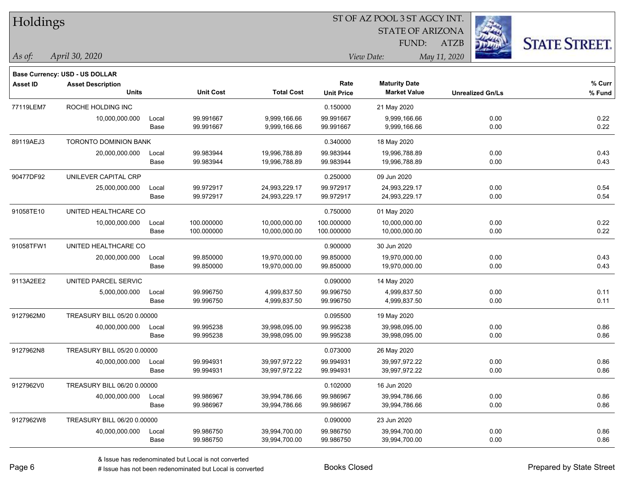| Holdings        |                                          |               |                          |                                |                           | ST OF AZ POOL 3 ST AGCY INT.                |                         |                      |
|-----------------|------------------------------------------|---------------|--------------------------|--------------------------------|---------------------------|---------------------------------------------|-------------------------|----------------------|
|                 |                                          |               |                          |                                |                           | <b>STATE OF ARIZONA</b>                     |                         |                      |
|                 |                                          |               |                          |                                |                           | <b>FUND:</b>                                | <b>ATZB</b>             | <b>STATE STREET.</b> |
| $\vert$ As of:  | April 30, 2020                           |               |                          |                                |                           | View Date:                                  | May 11, 2020            |                      |
|                 |                                          |               |                          |                                |                           |                                             |                         |                      |
|                 | Base Currency: USD - US DOLLAR           |               |                          |                                |                           |                                             |                         |                      |
| <b>Asset ID</b> | <b>Asset Description</b><br><b>Units</b> |               | <b>Unit Cost</b>         | <b>Total Cost</b>              | Rate<br><b>Unit Price</b> | <b>Maturity Date</b><br><b>Market Value</b> | <b>Unrealized Gn/Ls</b> | % Curr<br>% Fund     |
|                 |                                          |               |                          |                                |                           |                                             |                         |                      |
| 77119LEM7       | ROCHE HOLDING INC                        |               |                          |                                | 0.150000                  | 21 May 2020                                 |                         |                      |
|                 | 10,000,000.000                           | Local<br>Base | 99.991667<br>99.991667   | 9,999,166.66<br>9,999,166.66   | 99.991667<br>99.991667    | 9,999,166.66<br>9,999,166.66                | 0.00<br>0.00            | 0.22<br>0.22         |
|                 |                                          |               |                          |                                |                           |                                             |                         |                      |
| 89119AEJ3       | <b>TORONTO DOMINION BANK</b>             |               |                          |                                | 0.340000                  | 18 May 2020                                 |                         |                      |
|                 | 20,000,000.000                           | Local<br>Base | 99.983944<br>99.983944   | 19,996,788.89<br>19,996,788.89 | 99.983944<br>99.983944    | 19,996,788.89<br>19,996,788.89              | 0.00<br>0.00            | 0.43<br>0.43         |
|                 |                                          |               |                          |                                |                           |                                             |                         |                      |
| 90477DF92       | UNILEVER CAPITAL CRP                     |               |                          |                                | 0.250000                  | 09 Jun 2020                                 |                         |                      |
|                 | 25,000,000.000                           | Local<br>Base | 99.972917<br>99.972917   | 24,993,229.17<br>24,993,229.17 | 99.972917<br>99.972917    | 24,993,229.17<br>24,993,229.17              | 0.00<br>0.00            | 0.54<br>0.54         |
|                 |                                          |               |                          |                                |                           |                                             |                         |                      |
| 91058TE10       | UNITED HEALTHCARE CO                     |               |                          |                                | 0.750000                  | 01 May 2020                                 |                         |                      |
|                 | 10,000,000.000                           | Local<br>Base | 100.000000<br>100.000000 | 10,000,000.00<br>10,000,000.00 | 100.000000<br>100.000000  | 10,000,000.00                               | 0.00<br>0.00            | 0.22<br>0.22         |
|                 |                                          |               |                          |                                |                           | 10,000,000.00                               |                         |                      |
| 91058TFW1       | UNITED HEALTHCARE CO                     |               |                          |                                | 0.900000                  | 30 Jun 2020                                 |                         |                      |
|                 | 20,000,000.000                           | Local         | 99.850000                | 19,970,000.00                  | 99.850000                 | 19,970,000.00                               | 0.00                    | 0.43                 |
|                 |                                          | Base          | 99.850000                | 19,970,000.00                  | 99.850000                 | 19,970,000.00                               | 0.00                    | 0.43                 |
| 9113A2EE2       | UNITED PARCEL SERVIC                     |               |                          |                                | 0.090000                  | 14 May 2020                                 |                         |                      |
|                 | 5,000,000.000                            | Local         | 99.996750                | 4,999,837.50                   | 99.996750                 | 4,999,837.50                                | 0.00                    | 0.11                 |
|                 |                                          | Base          | 99.996750                | 4,999,837.50                   | 99.996750                 | 4,999,837.50                                | 0.00                    | 0.11                 |
| 9127962M0       | TREASURY BILL 05/20 0.00000              |               |                          |                                | 0.095500                  | 19 May 2020                                 |                         |                      |
|                 | 40,000,000.000                           | Local         | 99.995238                | 39,998,095.00                  | 99.995238                 | 39,998,095.00                               | 0.00                    | 0.86                 |
|                 |                                          | Base          | 99.995238                | 39,998,095.00                  | 99.995238                 | 39,998,095.00                               | 0.00                    | 0.86                 |
| 9127962N8       | TREASURY BILL 05/20 0.00000              |               |                          |                                | 0.073000                  | 26 May 2020                                 |                         |                      |
|                 | 40,000,000.000                           | Local         | 99.994931                | 39,997,972.22                  | 99.994931                 | 39,997,972.22                               | 0.00                    | 0.86                 |
|                 |                                          | Base          | 99.994931                | 39,997,972.22                  | 99.994931                 | 39,997,972.22                               | 0.00                    | 0.86                 |
| 9127962V0       | TREASURY BILL 06/20 0.00000              |               |                          |                                | 0.102000                  | 16 Jun 2020                                 |                         |                      |
|                 | 40,000,000.000                           | Local         | 99.986967                | 39,994,786.66                  | 99.986967                 | 39,994,786.66                               | 0.00                    | 0.86                 |
|                 |                                          | Base          | 99.986967                | 39,994,786.66                  | 99.986967                 | 39,994,786.66                               | 0.00                    | 0.86                 |
| 9127962W8       | TREASURY BILL 06/20 0.00000              |               |                          |                                | 0.090000                  | 23 Jun 2020                                 |                         |                      |
|                 | 40,000,000.000                           | Local         | 99.986750                | 39,994,700.00                  | 99.986750                 | 39,994,700.00                               | 0.00                    | 0.86                 |
|                 |                                          | Base          | 99.986750                | 39,994,700.00                  | 99.986750                 | 39,994,700.00                               | 0.00                    | 0.86                 |

denote the redenominated but Local is converted Books Closed Prepared by State Street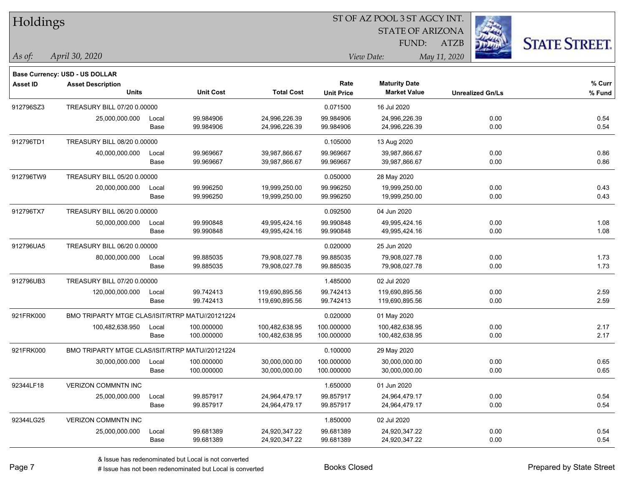| Holdings        |                                                                   |       |                  |                   |                   | ST OF AZ POOL 3 ST AGCY INT. |                         |                      |
|-----------------|-------------------------------------------------------------------|-------|------------------|-------------------|-------------------|------------------------------|-------------------------|----------------------|
|                 |                                                                   |       |                  |                   |                   | <b>STATE OF ARIZONA</b>      |                         |                      |
|                 |                                                                   |       |                  |                   |                   | FUND:                        | <b>ATZB</b>             | <b>STATE STREET.</b> |
| As of:          | April 30, 2020                                                    |       |                  |                   |                   | View Date:                   | May 11, 2020            |                      |
|                 |                                                                   |       |                  |                   |                   |                              |                         |                      |
| <b>Asset ID</b> | <b>Base Currency: USD - US DOLLAR</b><br><b>Asset Description</b> |       |                  |                   | Rate              | <b>Maturity Date</b>         |                         | $%$ Curr             |
|                 | <b>Units</b>                                                      |       | <b>Unit Cost</b> | <b>Total Cost</b> | <b>Unit Price</b> | <b>Market Value</b>          | <b>Unrealized Gn/Ls</b> | % Fund               |
| 912796SZ3       | TREASURY BILL 07/20 0.00000                                       |       |                  |                   | 0.071500          | 16 Jul 2020                  |                         |                      |
|                 | 25,000,000.000                                                    | Local | 99.984906        | 24,996,226.39     | 99.984906         | 24,996,226.39                | 0.00                    | 0.54                 |
|                 |                                                                   | Base  | 99.984906        | 24,996,226.39     | 99.984906         | 24,996,226.39                | 0.00                    | 0.54                 |
| 912796TD1       | TREASURY BILL 08/20 0.00000                                       |       |                  |                   | 0.105000          | 13 Aug 2020                  |                         |                      |
|                 | 40,000,000.000                                                    | Local | 99.969667        | 39,987,866.67     | 99.969667         | 39,987,866.67                | 0.00                    | 0.86                 |
|                 |                                                                   | Base  | 99.969667        | 39,987,866.67     | 99.969667         | 39,987,866.67                | 0.00                    | 0.86                 |
| 912796TW9       | TREASURY BILL 05/20 0.00000                                       |       |                  |                   | 0.050000          | 28 May 2020                  |                         |                      |
|                 | 20,000,000.000                                                    | Local | 99.996250        | 19,999,250.00     | 99.996250         | 19,999,250.00                | 0.00                    | 0.43                 |
|                 |                                                                   | Base  | 99.996250        | 19,999,250.00     | 99.996250         | 19,999,250.00                | 0.00                    | 0.43                 |
| 912796TX7       | TREASURY BILL 06/20 0.00000                                       |       |                  |                   | 0.092500          | 04 Jun 2020                  |                         |                      |
|                 | 50,000,000.000                                                    | Local | 99.990848        | 49,995,424.16     | 99.990848         | 49,995,424.16                | 0.00                    | 1.08                 |
|                 |                                                                   | Base  | 99.990848        | 49,995,424.16     | 99.990848         | 49,995,424.16                | 0.00                    | 1.08                 |
| 912796UA5       | TREASURY BILL 06/20 0.00000                                       |       |                  |                   | 0.020000          | 25 Jun 2020                  |                         |                      |
|                 | 80,000,000.000                                                    | Local | 99.885035        | 79,908,027.78     | 99.885035         | 79,908,027.78                | 0.00                    | 1.73                 |
|                 |                                                                   | Base  | 99.885035        | 79,908,027.78     | 99.885035         | 79,908,027.78                | 0.00                    | 1.73                 |
| 912796UB3       | TREASURY BILL 07/20 0.00000                                       |       |                  |                   | 1.485000          | 02 Jul 2020                  |                         |                      |
|                 | 120,000,000.000                                                   | Local | 99.742413        | 119,690,895.56    | 99.742413         | 119,690,895.56               | 0.00                    | 2.59                 |
|                 |                                                                   | Base  | 99.742413        | 119,690,895.56    | 99.742413         | 119,690,895.56               | 0.00                    | 2.59                 |
| 921FRK000       | BMO TRIPARTY MTGE CLAS/ISIT/RTRP MATU//20121224                   |       |                  |                   | 0.020000          | 01 May 2020                  |                         |                      |
|                 | 100,482,638.950                                                   | Local | 100.000000       | 100,482,638.95    | 100.000000        | 100,482,638.95               | 0.00                    | 2.17                 |
|                 |                                                                   | Base  | 100.000000       | 100,482,638.95    | 100.000000        | 100,482,638.95               | 0.00                    | 2.17                 |
| 921FRK000       | BMO TRIPARTY MTGE CLAS/ISIT/RTRP MATU//20121224                   |       |                  |                   | 0.100000          | 29 May 2020                  |                         |                      |
|                 | 30,000,000.000                                                    | Local | 100.000000       | 30,000,000.00     | 100.000000        | 30,000,000.00                | 0.00                    | 0.65                 |
|                 |                                                                   | Base  | 100.000000       | 30,000,000.00     | 100.000000        | 30,000,000.00                | 0.00                    | 0.65                 |
| 92344LF18       | VERIZON COMMNTN INC                                               |       |                  |                   | 1.650000          | 01 Jun 2020                  |                         |                      |
|                 | 25,000,000.000                                                    | Local | 99.857917        | 24,964,479.17     | 99.857917         | 24,964,479.17                | 0.00                    | 0.54                 |
|                 |                                                                   | Base  | 99.857917        | 24,964,479.17     | 99.857917         | 24,964,479.17                | 0.00                    | 0.54                 |
| 92344LG25       | <b>VERIZON COMMNTN INC</b>                                        |       |                  |                   | 1.850000          | 02 Jul 2020                  |                         |                      |
|                 | 25,000,000.000                                                    | Local | 99.681389        | 24,920,347.22     | 99.681389         | 24,920,347.22                | 0.00                    | 0.54                 |
|                 |                                                                   | Base  | 99.681389        | 24,920,347.22     | 99.681389         | 24,920,347.22                | 0.00                    | 0.54                 |

 $\overline{\phantom{0}}$ 

 $\overline{\phantom{0}}$ 

-

 $\overline{\phantom{0}}$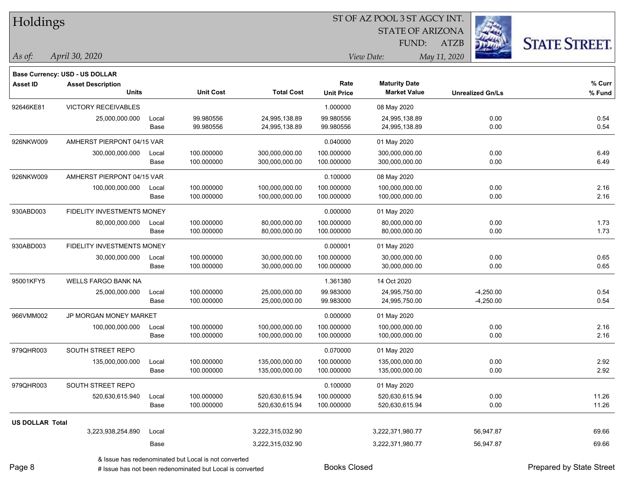| Holdings               |                                       |       |                  |                   |                   | ST OF AZ POOL 3 ST AGCY INT. |                         |                      |  |
|------------------------|---------------------------------------|-------|------------------|-------------------|-------------------|------------------------------|-------------------------|----------------------|--|
|                        |                                       |       |                  |                   |                   | <b>STATE OF ARIZONA</b>      |                         |                      |  |
|                        |                                       |       |                  |                   |                   | FUND:                        | <b>ATZB</b>             | <b>STATE STREET.</b> |  |
| As of:                 | April 30, 2020                        |       |                  |                   |                   | View Date:                   | May 11, 2020            |                      |  |
|                        | <b>Base Currency: USD - US DOLLAR</b> |       |                  |                   |                   |                              |                         |                      |  |
| <b>Asset ID</b>        | <b>Asset Description</b>              |       |                  |                   | Rate              | <b>Maturity Date</b>         |                         | % Curr               |  |
|                        | <b>Units</b>                          |       | <b>Unit Cost</b> | <b>Total Cost</b> | <b>Unit Price</b> | <b>Market Value</b>          | <b>Unrealized Gn/Ls</b> | % Fund               |  |
| 92646KE81              | <b>VICTORY RECEIVABLES</b>            |       |                  |                   | 1.000000          | 08 May 2020                  |                         |                      |  |
|                        | 25,000,000.000                        | Local | 99.980556        | 24,995,138.89     | 99.980556         | 24,995,138.89                | 0.00                    | 0.54                 |  |
|                        |                                       | Base  | 99.980556        | 24,995,138.89     | 99.980556         | 24,995,138.89                | 0.00                    | 0.54                 |  |
| 926NKW009              | AMHERST PIERPONT 04/15 VAR            |       |                  |                   | 0.040000          | 01 May 2020                  |                         |                      |  |
|                        | 300,000,000.000                       | Local | 100.000000       | 300,000,000.00    | 100.000000        | 300,000,000.00               | 0.00                    | 6.49                 |  |
|                        |                                       | Base  | 100.000000       | 300,000,000.00    | 100.000000        | 300,000,000.00               | 0.00                    | 6.49                 |  |
| 926NKW009              | AMHERST PIERPONT 04/15 VAR            |       |                  |                   | 0.100000          | 08 May 2020                  |                         |                      |  |
|                        | 100,000,000.000                       | Local | 100.000000       | 100,000,000.00    | 100.000000        | 100,000,000.00               | 0.00                    | 2.16                 |  |
|                        |                                       | Base  | 100.000000       | 100,000,000.00    | 100.000000        | 100,000,000.00               | 0.00                    | 2.16                 |  |
| 930ABD003              | FIDELITY INVESTMENTS MONEY            |       |                  |                   | 0.000000          | 01 May 2020                  |                         |                      |  |
|                        | 80,000,000.000                        | Local | 100.000000       | 80,000,000.00     | 100.000000        | 80,000,000.00                | 0.00                    | 1.73                 |  |
|                        |                                       | Base  | 100.000000       | 80,000,000.00     | 100.000000        | 80,000,000.00                | 0.00                    | 1.73                 |  |
| 930ABD003              | <b>FIDELITY INVESTMENTS MONEY</b>     |       |                  |                   | 0.000001          | 01 May 2020                  |                         |                      |  |
|                        | 30,000,000.000                        | Local | 100.000000       | 30,000,000.00     | 100.000000        | 30,000,000.00                | 0.00                    | 0.65                 |  |
|                        |                                       | Base  | 100.000000       | 30,000,000.00     | 100.000000        | 30,000,000.00                | 0.00                    | 0.65                 |  |
| 95001KFY5              | <b>WELLS FARGO BANK NA</b>            |       |                  |                   | 1.361380          | 14 Oct 2020                  |                         |                      |  |
|                        | 25,000,000.000                        | Local | 100.000000       | 25,000,000.00     | 99.983000         | 24,995,750.00                | $-4,250.00$             | 0.54                 |  |
|                        |                                       | Base  | 100.000000       | 25,000,000.00     | 99.983000         | 24,995,750.00                | $-4,250.00$             | 0.54                 |  |
| 966VMM002              | JP MORGAN MONEY MARKET                |       |                  |                   | 0.000000          | 01 May 2020                  |                         |                      |  |
|                        | 100,000,000.000                       | Local | 100.000000       | 100,000,000.00    | 100.000000        | 100,000,000.00               | 0.00                    | 2.16                 |  |
|                        |                                       | Base  | 100.000000       | 100,000,000.00    | 100.000000        | 100,000,000.00               | 0.00                    | 2.16                 |  |
| 979QHR003              | SOUTH STREET REPO                     |       |                  |                   | 0.070000          | 01 May 2020                  |                         |                      |  |
|                        | 135,000,000.000                       | Local | 100.000000       | 135,000,000.00    | 100.000000        | 135,000,000.00               | 0.00                    | 2.92                 |  |
|                        |                                       | Base  | 100.000000       | 135,000,000.00    | 100.000000        | 135,000,000.00               | 0.00                    | 2.92                 |  |
| 979QHR003              | SOUTH STREET REPO                     |       |                  |                   | 0.100000          | 01 May 2020                  |                         |                      |  |
|                        | 520,630,615.940                       | Local | 100.000000       | 520,630,615.94    | 100.000000        | 520,630,615.94               | 0.00                    | 11.26                |  |
|                        |                                       | Base  | 100.000000       | 520,630,615.94    | 100.000000        | 520,630,615.94               | 0.00                    | 11.26                |  |
| <b>US DOLLAR Total</b> |                                       |       |                  |                   |                   |                              |                         |                      |  |
|                        | 3,223,938,254.890                     | Local |                  | 3,222,315,032.90  |                   | 3,222,371,980.77             | 56,947.87               | 69.66                |  |
|                        |                                       | Base  |                  | 3,222,315,032.90  |                   | 3,222,371,980.77             | 56,947.87               | 69.66                |  |

& Issue has redenominated but Local is not converted

Page 8

 $\overline{\phantom{0}}$ 

denote the redenominated but Local is converted Books Closed Prepared by State Street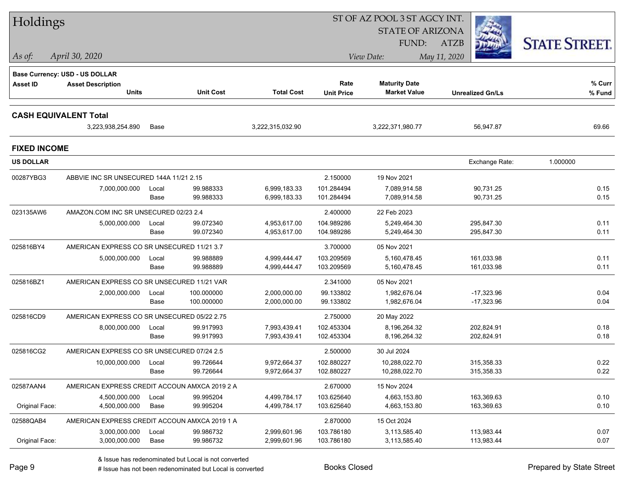| Holdings                     |                                                                   |       |                  |                   |                   | ST OF AZ POOL 3 ST AGCY INT. |                         |                      |
|------------------------------|-------------------------------------------------------------------|-------|------------------|-------------------|-------------------|------------------------------|-------------------------|----------------------|
|                              |                                                                   |       |                  |                   |                   | <b>STATE OF ARIZONA</b>      |                         |                      |
|                              |                                                                   |       |                  |                   |                   | <b>FUND:</b>                 | <b>ATZB</b>             | <b>STATE STREET.</b> |
| $\vert$ As of:               | April 30, 2020                                                    |       |                  |                   |                   | View Date:                   | May 11, 2020            |                      |
|                              |                                                                   |       |                  |                   |                   |                              |                         |                      |
| <b>Asset ID</b>              | <b>Base Currency: USD - US DOLLAR</b><br><b>Asset Description</b> |       |                  |                   | Rate              | <b>Maturity Date</b>         |                         | % Curr               |
|                              | <b>Units</b>                                                      |       | <b>Unit Cost</b> | <b>Total Cost</b> | <b>Unit Price</b> | <b>Market Value</b>          | <b>Unrealized Gn/Ls</b> | % Fund               |
|                              |                                                                   |       |                  |                   |                   |                              |                         |                      |
| <b>CASH EQUIVALENT Total</b> |                                                                   |       |                  |                   |                   |                              |                         |                      |
|                              | 3,223,938,254.890                                                 | Base  |                  | 3,222,315,032.90  |                   | 3,222,371,980.77             | 56,947.87               | 69.66                |
| <b>FIXED INCOME</b>          |                                                                   |       |                  |                   |                   |                              |                         |                      |
| <b>US DOLLAR</b>             |                                                                   |       |                  |                   |                   |                              | Exchange Rate:          | 1.000000             |
| 00287YBG3                    | ABBVIE INC SR UNSECURED 144A 11/21 2.15                           |       |                  |                   | 2.150000          | 19 Nov 2021                  |                         |                      |
|                              | 7,000,000.000                                                     | Local | 99.988333        | 6,999,183.33      | 101.284494        | 7,089,914.58                 | 90,731.25               | 0.15                 |
|                              |                                                                   | Base  | 99.988333        | 6,999,183.33      | 101.284494        | 7,089,914.58                 | 90,731.25               | 0.15                 |
| 023135AW6                    | AMAZON.COM INC SR UNSECURED 02/23 2.4                             |       |                  |                   | 2.400000          | 22 Feb 2023                  |                         |                      |
|                              | 5,000,000.000                                                     | Local | 99.072340        | 4,953,617.00      | 104.989286        | 5,249,464.30                 | 295,847.30              | 0.11                 |
|                              |                                                                   | Base  | 99.072340        | 4,953,617.00      | 104.989286        | 5,249,464.30                 | 295,847.30              | 0.11                 |
| 025816BY4                    | AMERICAN EXPRESS CO SR UNSECURED 11/21 3.7                        |       |                  |                   | 3.700000          | 05 Nov 2021                  |                         |                      |
|                              | 5,000,000.000                                                     | Local | 99.988889        | 4,999,444.47      | 103.209569        | 5,160,478.45                 | 161,033.98              | 0.11                 |
|                              |                                                                   | Base  | 99.988889        | 4,999,444.47      | 103.209569        | 5,160,478.45                 | 161,033.98              | 0.11                 |
| 025816BZ1                    | AMERICAN EXPRESS CO SR UNSECURED 11/21 VAR                        |       |                  |                   | 2.341000          | 05 Nov 2021                  |                         |                      |
|                              | 2,000,000.000                                                     | Local | 100.000000       | 2,000,000.00      | 99.133802         | 1,982,676.04                 | $-17,323.96$            | 0.04                 |
|                              |                                                                   | Base  | 100.000000       | 2,000,000.00      | 99.133802         | 1,982,676.04                 | $-17,323.96$            | 0.04                 |
| 025816CD9                    | AMERICAN EXPRESS CO SR UNSECURED 05/22 2.75                       |       |                  |                   | 2.750000          | 20 May 2022                  |                         |                      |
|                              | 8,000,000.000                                                     | Local | 99.917993        | 7,993,439.41      | 102.453304        | 8,196,264.32                 | 202,824.91              | 0.18                 |
|                              |                                                                   | Base  | 99.917993        | 7,993,439.41      | 102.453304        | 8,196,264.32                 | 202,824.91              | 0.18                 |
| 025816CG2                    | AMERICAN EXPRESS CO SR UNSECURED 07/24 2.5                        |       |                  |                   | 2.500000          | 30 Jul 2024                  |                         |                      |
|                              | 10,000,000.000                                                    | Local | 99.726644        | 9,972,664.37      | 102.880227        | 10.288.022.70                | 315.358.33              | 0.22                 |
|                              |                                                                   | Base  | 99.726644        | 9,972,664.37      | 102.880227        | 10,288,022.70                | 315,358.33              | 0.22                 |
| 02587AAN4                    | AMERICAN EXPRESS CREDIT ACCOUN AMXCA 2019 2 A                     |       |                  |                   | 2.670000          | 15 Nov 2024                  |                         |                      |
|                              | 4,500,000.000                                                     | Local | 99.995204        | 4,499,784.17      | 103.625640        | 4,663,153.80                 | 163,369.63              | 0.10                 |
| Original Face:               | 4,500,000.000                                                     | Base  | 99.995204        | 4,499,784.17      | 103.625640        | 4,663,153.80                 | 163,369.63              | 0.10                 |
| 02588QAB4                    | AMERICAN EXPRESS CREDIT ACCOUN AMXCA 2019 1 A                     |       |                  |                   | 2.870000          | 15 Oct 2024                  |                         |                      |
|                              | 3,000,000.000                                                     | Local | 99.986732        | 2,999,601.96      | 103.786180        | 3,113,585.40                 | 113,983.44              | 0.07                 |
| Original Face:               | 3,000,000.000                                                     | Base  | 99.986732        | 2,999,601.96      | 103.786180        | 3,113,585.40                 | 113,983.44              | 0.07                 |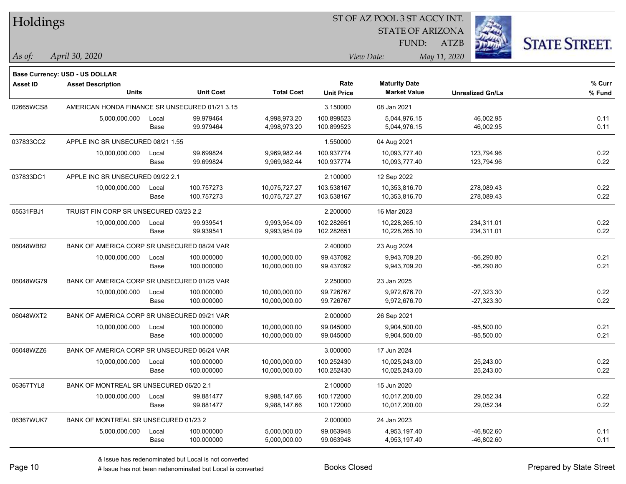| Holdings        |                                                                   |       |                  |                   |                   | ST OF AZ POOL 3 ST AGCY INT. |                         |                      |  |
|-----------------|-------------------------------------------------------------------|-------|------------------|-------------------|-------------------|------------------------------|-------------------------|----------------------|--|
|                 |                                                                   |       |                  |                   |                   | <b>STATE OF ARIZONA</b>      |                         |                      |  |
|                 |                                                                   |       |                  |                   |                   | <b>FUND:</b>                 | <b>ATZB</b>             | <b>STATE STREET.</b> |  |
| $\vert$ As of:  | April 30, 2020                                                    |       |                  |                   |                   | View Date:                   | May 11, 2020            |                      |  |
|                 |                                                                   |       |                  |                   |                   |                              |                         |                      |  |
| <b>Asset ID</b> | <b>Base Currency: USD - US DOLLAR</b><br><b>Asset Description</b> |       |                  |                   | Rate              | <b>Maturity Date</b>         |                         | % Curr               |  |
|                 | <b>Units</b>                                                      |       | <b>Unit Cost</b> | <b>Total Cost</b> | <b>Unit Price</b> | <b>Market Value</b>          | <b>Unrealized Gn/Ls</b> | % Fund               |  |
| 02665WCS8       | AMERICAN HONDA FINANCE SR UNSECURED 01/21 3.15                    |       |                  |                   | 3.150000          | 08 Jan 2021                  |                         |                      |  |
|                 | 5,000,000.000                                                     | Local | 99.979464        | 4,998,973.20      | 100.899523        | 5,044,976.15                 | 46,002.95               | 0.11                 |  |
|                 |                                                                   | Base  | 99.979464        | 4,998,973.20      | 100.899523        | 5,044,976.15                 | 46,002.95               | 0.11                 |  |
| 037833CC2       | APPLE INC SR UNSECURED 08/21 1.55                                 |       |                  |                   | 1.550000          | 04 Aug 2021                  |                         |                      |  |
|                 | 10,000,000.000                                                    | Local | 99.699824        | 9,969,982.44      | 100.937774        | 10,093,777.40                | 123,794.96              | 0.22                 |  |
|                 |                                                                   | Base  | 99.699824        | 9,969,982.44      | 100.937774        | 10,093,777.40                | 123,794.96              | 0.22                 |  |
| 037833DC1       | APPLE INC SR UNSECURED 09/22 2.1                                  |       |                  |                   | 2.100000          | 12 Sep 2022                  |                         |                      |  |
|                 | 10,000,000.000                                                    | Local | 100.757273       | 10,075,727.27     | 103.538167        | 10,353,816.70                | 278,089.43              | 0.22                 |  |
|                 |                                                                   | Base  | 100.757273       | 10,075,727.27     | 103.538167        | 10,353,816.70                | 278,089.43              | 0.22                 |  |
| 05531FBJ1       | TRUIST FIN CORP SR UNSECURED 03/23 2.2                            |       |                  |                   | 2.200000          | 16 Mar 2023                  |                         |                      |  |
|                 | 10,000,000.000                                                    | Local | 99.939541        | 9,993,954.09      | 102.282651        | 10,228,265.10                | 234,311.01              | 0.22                 |  |
|                 |                                                                   | Base  | 99.939541        | 9,993,954.09      | 102.282651        | 10,228,265.10                | 234,311.01              | 0.22                 |  |
| 06048WB82       | BANK OF AMERICA CORP SR UNSECURED 08/24 VAR                       |       |                  |                   | 2.400000          | 23 Aug 2024                  |                         |                      |  |
|                 | 10,000,000.000                                                    | Local | 100.000000       | 10,000,000.00     | 99.437092         | 9,943,709.20                 | $-56,290.80$            | 0.21                 |  |
|                 |                                                                   | Base  | 100.000000       | 10,000,000.00     | 99.437092         | 9,943,709.20                 | -56,290.80              | 0.21                 |  |
| 06048WG79       | BANK OF AMERICA CORP SR UNSECURED 01/25 VAR                       |       |                  |                   | 2.250000          | 23 Jan 2025                  |                         |                      |  |
|                 | 10,000,000.000                                                    | Local | 100.000000       | 10,000,000.00     | 99.726767         | 9,972,676.70                 | $-27,323.30$            | 0.22                 |  |
|                 |                                                                   | Base  | 100.000000       | 10,000,000.00     | 99.726767         | 9,972,676.70                 | $-27,323.30$            | 0.22                 |  |
| 06048WXT2       | BANK OF AMERICA CORP SR UNSECURED 09/21 VAR                       |       |                  |                   | 2.000000          | 26 Sep 2021                  |                         |                      |  |
|                 | 10,000,000.000                                                    | Local | 100.000000       | 10,000,000.00     | 99.045000         | 9,904,500.00                 | $-95,500.00$            | 0.21                 |  |
|                 |                                                                   | Base  | 100.000000       | 10,000,000.00     | 99.045000         | 9,904,500.00                 | $-95,500.00$            | 0.21                 |  |
| 06048WZZ6       | BANK OF AMERICA CORP SR UNSECURED 06/24 VAR                       |       |                  |                   | 3.000000          | 17 Jun 2024                  |                         |                      |  |
|                 | 10,000,000.000                                                    | Local | 100.000000       | 10,000,000.00     | 100.252430        | 10,025,243.00                | 25,243.00               | 0.22                 |  |
|                 |                                                                   | Base  | 100.000000       | 10,000,000.00     | 100.252430        | 10,025,243.00                | 25,243.00               | 0.22                 |  |
| 06367TYL8       | BANK OF MONTREAL SR UNSECURED 06/20 2.1                           |       |                  |                   | 2.100000          | 15 Jun 2020                  |                         |                      |  |
|                 | 10,000,000.000                                                    | Local | 99.881477        | 9,988,147.66      | 100.172000        | 10,017,200.00                | 29,052.34               | 0.22                 |  |
|                 |                                                                   | Base  | 99.881477        | 9,988,147.66      | 100.172000        | 10,017,200.00                | 29,052.34               | 0.22                 |  |
| 06367WUK7       | BANK OF MONTREAL SR UNSECURED 01/23 2                             |       |                  |                   | 2.000000          | 24 Jan 2023                  |                         |                      |  |
|                 | 5,000,000.000                                                     | Local | 100.000000       | 5,000,000.00      | 99.063948         | 4,953,197.40                 | $-46,802.60$            | 0.11                 |  |
|                 |                                                                   | Base  | 100.000000       | 5,000,000.00      | 99.063948         | 4,953,197.40                 | -46,802.60              | 0.11                 |  |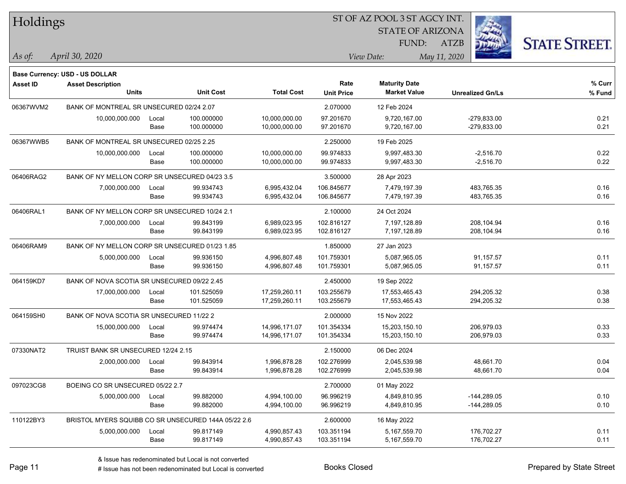| Holdings  |                                                |       |                                                     |                   |                           | ST OF AZ POOL 3 ST AGCY INT.                |                         |                      |  |
|-----------|------------------------------------------------|-------|-----------------------------------------------------|-------------------|---------------------------|---------------------------------------------|-------------------------|----------------------|--|
|           |                                                |       |                                                     |                   |                           | <b>STATE OF ARIZONA</b>                     |                         |                      |  |
|           |                                                |       |                                                     |                   |                           | FUND:                                       | <b>ATZB</b>             | <b>STATE STREET.</b> |  |
| As of:    | April 30, 2020                                 |       |                                                     |                   |                           | View Date:                                  | May 11, 2020            |                      |  |
|           |                                                |       |                                                     |                   |                           |                                             |                         |                      |  |
|           | Base Currency: USD - US DOLLAR                 |       |                                                     |                   |                           |                                             |                         |                      |  |
| Asset ID  | <b>Asset Description</b><br><b>Units</b>       |       | <b>Unit Cost</b>                                    | <b>Total Cost</b> | Rate<br><b>Unit Price</b> | <b>Maturity Date</b><br><b>Market Value</b> | <b>Unrealized Gn/Ls</b> | % Curr<br>$%$ Fund   |  |
| 06367WVM2 | BANK OF MONTREAL SR UNSECURED 02/24 2.07       |       |                                                     |                   | 2.070000                  | 12 Feb 2024                                 |                         |                      |  |
|           | 10,000,000.000                                 | Local | 100.000000                                          | 10,000,000.00     | 97.201670                 | 9,720,167.00                                | $-279,833.00$           | 0.21                 |  |
|           |                                                | Base  | 100.000000                                          | 10,000,000.00     | 97.201670                 | 9,720,167.00                                | $-279,833.00$           | 0.21                 |  |
| 06367WWB5 | BANK OF MONTREAL SR UNSECURED 02/25 2.25       |       |                                                     |                   | 2.250000                  | 19 Feb 2025                                 |                         |                      |  |
|           | 10,000,000.000                                 | Local | 100.000000                                          | 10,000,000.00     | 99.974833                 | 9,997,483.30                                | $-2,516.70$             | 0.22                 |  |
|           |                                                | Base  | 100.000000                                          | 10,000,000.00     | 99.974833                 | 9,997,483.30                                | $-2,516.70$             | 0.22                 |  |
| 06406RAG2 | BANK OF NY MELLON CORP SR UNSECURED 04/23 3.5  |       |                                                     |                   | 3.500000                  | 28 Apr 2023                                 |                         |                      |  |
|           | 7,000,000.000                                  | Local | 99.934743                                           | 6,995,432.04      | 106.845677                | 7,479,197.39                                | 483,765.35              | 0.16                 |  |
|           |                                                | Base  | 99.934743                                           | 6,995,432.04      | 106.845677                | 7,479,197.39                                | 483,765.35              | 0.16                 |  |
| 06406RAL1 | BANK OF NY MELLON CORP SR UNSECURED 10/24 2.1  |       |                                                     |                   | 2.100000                  | 24 Oct 2024                                 |                         |                      |  |
|           | 7,000,000.000                                  | Local | 99.843199                                           | 6,989,023.95      | 102.816127                | 7,197,128.89                                | 208,104.94              | 0.16                 |  |
|           |                                                | Base  | 99.843199                                           | 6,989,023.95      | 102.816127                | 7,197,128.89                                | 208,104.94              | 0.16                 |  |
| 06406RAM9 | BANK OF NY MELLON CORP SR UNSECURED 01/23 1.85 |       |                                                     |                   | 1.850000                  | 27 Jan 2023                                 |                         |                      |  |
|           | 5,000,000.000                                  | Local | 99.936150                                           | 4,996,807.48      | 101.759301                | 5,087,965.05                                | 91,157.57               | 0.11                 |  |
|           |                                                | Base  | 99.936150                                           | 4,996,807.48      | 101.759301                | 5,087,965.05                                | 91,157.57               | 0.11                 |  |
| 064159KD7 | BANK OF NOVA SCOTIA SR UNSECURED 09/22 2.45    |       |                                                     |                   | 2.450000                  | 19 Sep 2022                                 |                         |                      |  |
|           | 17,000,000.000                                 | Local | 101.525059                                          | 17,259,260.11     | 103.255679                | 17,553,465.43                               | 294,205.32              | 0.38                 |  |
|           |                                                | Base  | 101.525059                                          | 17,259,260.11     | 103.255679                | 17,553,465.43                               | 294,205.32              | 0.38                 |  |
| 064159SH0 | BANK OF NOVA SCOTIA SR UNSECURED 11/22 2       |       |                                                     |                   | 2.000000                  | 15 Nov 2022                                 |                         |                      |  |
|           | 15,000,000.000                                 | Local | 99.974474                                           | 14,996,171.07     | 101.354334                | 15,203,150.10                               | 206,979.03              | 0.33                 |  |
|           |                                                | Base  | 99.974474                                           | 14,996,171.07     | 101.354334                | 15,203,150.10                               | 206,979.03              | 0.33                 |  |
| 07330NAT2 | TRUIST BANK SR UNSECURED 12/24 2.15            |       |                                                     |                   | 2.150000                  | 06 Dec 2024                                 |                         |                      |  |
|           | 2,000,000.000                                  | Local | 99.843914                                           | 1,996,878.28      | 102.276999                | 2,045,539.98                                | 48,661.70               | 0.04                 |  |
|           |                                                | Base  | 99.843914                                           | 1,996,878.28      | 102.276999                | 2,045,539.98                                | 48,661.70               | 0.04                 |  |
| 097023CG8 | BOEING CO SR UNSECURED 05/22 2.7               |       |                                                     |                   | 2.700000                  | 01 May 2022                                 |                         |                      |  |
|           | 5,000,000.000                                  | Local | 99.882000                                           | 4,994,100.00      | 96.996219                 | 4,849,810.95                                | $-144,289.05$           | 0.10                 |  |
|           |                                                | Base  | 99.882000                                           | 4,994,100.00      | 96.996219                 | 4,849,810.95                                | $-144,289.05$           | 0.10                 |  |
| 110122BY3 |                                                |       | BRISTOL MYERS SQUIBB CO SR UNSECURED 144A 05/22 2.6 |                   | 2.600000                  | 16 May 2022                                 |                         |                      |  |
|           | 5,000,000.000                                  | Local | 99.817149                                           | 4,990,857.43      | 103.351194                | 5,167,559.70                                | 176,702.27              | 0.11                 |  |
|           |                                                | Base  | 99.817149                                           | 4,990,857.43      | 103.351194                | 5,167,559.70                                | 176,702.27              | 0.11                 |  |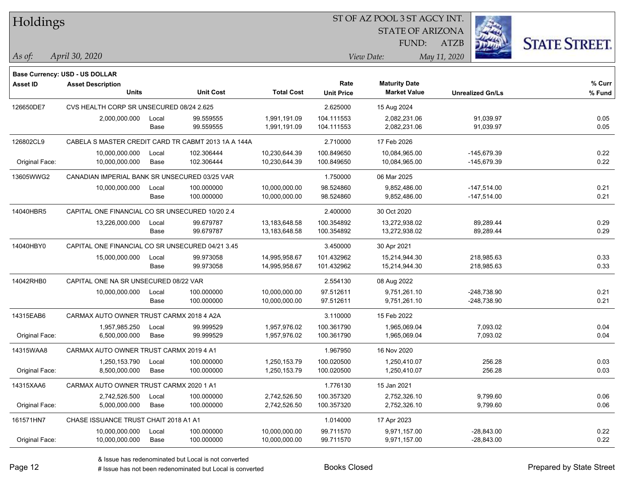| Holdings        |                                                  |       |                                                     |                   |                            | ST OF AZ POOL 3 ST AGCY INT. |                         |                      |  |
|-----------------|--------------------------------------------------|-------|-----------------------------------------------------|-------------------|----------------------------|------------------------------|-------------------------|----------------------|--|
|                 |                                                  |       |                                                     |                   |                            | <b>STATE OF ARIZONA</b>      |                         |                      |  |
|                 |                                                  |       |                                                     |                   |                            | FUND:                        | ATZB                    | <b>STATE STREET.</b> |  |
| As of:          | April 30, 2020                                   |       |                                                     |                   | May 11, 2020<br>View Date: |                              |                         |                      |  |
|                 | <b>Base Currency: USD - US DOLLAR</b>            |       |                                                     |                   |                            |                              |                         |                      |  |
| <b>Asset ID</b> | <b>Asset Description</b>                         |       |                                                     |                   | Rate                       | <b>Maturity Date</b>         |                         | % Curr               |  |
|                 | <b>Units</b>                                     |       | <b>Unit Cost</b>                                    | <b>Total Cost</b> | <b>Unit Price</b>          | <b>Market Value</b>          | <b>Unrealized Gn/Ls</b> | % Fund               |  |
| 126650DE7       | CVS HEALTH CORP SR UNSECURED 08/24 2.625         |       |                                                     |                   | 2.625000                   | 15 Aug 2024                  |                         |                      |  |
|                 | 2,000,000.000                                    | Local | 99.559555                                           | 1,991,191.09      | 104.111553                 | 2,082,231.06                 | 91,039.97               | 0.05                 |  |
|                 |                                                  | Base  | 99.559555                                           | 1,991,191.09      | 104.111553                 | 2,082,231.06                 | 91,039.97               | 0.05                 |  |
| 126802CL9       |                                                  |       | CABELA S MASTER CREDIT CARD TR CABMT 2013 1A A 144A |                   | 2.710000                   | 17 Feb 2026                  |                         |                      |  |
|                 | 10,000,000.000                                   | Local | 102.306444                                          | 10,230,644.39     | 100.849650                 | 10,084,965.00                | -145,679.39             | 0.22                 |  |
| Original Face:  | 10,000,000.000                                   | Base  | 102.306444                                          | 10,230,644.39     | 100.849650                 | 10,084,965.00                | -145,679.39             | 0.22                 |  |
| 13605WWG2       | CANADIAN IMPERIAL BANK SR UNSECURED 03/25 VAR    |       |                                                     |                   | 1.750000                   | 06 Mar 2025                  |                         |                      |  |
|                 | 10,000,000.000                                   | Local | 100.000000                                          | 10,000,000.00     | 98.524860                  | 9,852,486.00                 | $-147,514.00$           | 0.21                 |  |
|                 |                                                  | Base  | 100.000000                                          | 10,000,000.00     | 98.524860                  | 9,852,486.00                 | $-147,514.00$           | 0.21                 |  |
| 14040HBR5       | CAPITAL ONE FINANCIAL CO SR UNSECURED 10/20 2.4  |       |                                                     |                   | 2.400000                   | 30 Oct 2020                  |                         |                      |  |
|                 | 13,226,000.000                                   | Local | 99.679787                                           | 13,183,648.58     | 100.354892                 | 13,272,938.02                | 89,289.44               | 0.29                 |  |
|                 |                                                  | Base  | 99.679787                                           | 13,183,648.58     | 100.354892                 | 13,272,938.02                | 89,289.44               | 0.29                 |  |
| 14040HBY0       | CAPITAL ONE FINANCIAL CO SR UNSECURED 04/21 3.45 |       |                                                     |                   | 3.450000                   | 30 Apr 2021                  |                         |                      |  |
|                 | 15,000,000.000                                   | Local | 99.973058                                           | 14,995,958.67     | 101.432962                 | 15,214,944.30                | 218,985.63              | 0.33                 |  |
|                 |                                                  | Base  | 99.973058                                           | 14,995,958.67     | 101.432962                 | 15,214,944.30                | 218,985.63              | 0.33                 |  |
| 14042RHB0       | CAPITAL ONE NA SR UNSECURED 08/22 VAR            |       |                                                     |                   | 2.554130                   | 08 Aug 2022                  |                         |                      |  |
|                 | 10,000,000.000                                   | Local | 100.000000                                          | 10,000,000.00     | 97.512611                  | 9,751,261.10                 | $-248,738.90$           | 0.21                 |  |
|                 |                                                  | Base  | 100.000000                                          | 10,000,000.00     | 97.512611                  | 9,751,261.10                 | $-248,738.90$           | 0.21                 |  |
| 14315EAB6       | CARMAX AUTO OWNER TRUST CARMX 2018 4 A2A         |       |                                                     |                   | 3.110000                   | 15 Feb 2022                  |                         |                      |  |
|                 | 1,957,985.250                                    | Local | 99.999529                                           | 1,957,976.02      | 100.361790                 | 1,965,069.04                 | 7,093.02                | 0.04                 |  |
| Original Face:  | 6,500,000.000                                    | Base  | 99.999529                                           | 1,957,976.02      | 100.361790                 | 1,965,069.04                 | 7,093.02                | 0.04                 |  |
| 14315WAA8       | CARMAX AUTO OWNER TRUST CARMX 2019 4 A1          |       |                                                     |                   | 1.967950                   | 16 Nov 2020                  |                         |                      |  |
|                 | 1,250,153.790                                    | Local | 100.000000                                          | 1,250,153.79      | 100.020500                 | 1,250,410.07                 | 256.28                  | 0.03                 |  |
| Original Face:  | 8,500,000.000                                    | Base  | 100.000000                                          | 1,250,153.79      | 100.020500                 | 1,250,410.07                 | 256.28                  | 0.03                 |  |
| 14315XAA6       | CARMAX AUTO OWNER TRUST CARMX 2020 1 A1          |       |                                                     |                   | 1.776130                   | 15 Jan 2021                  |                         |                      |  |
|                 | 2,742,526.500                                    | Local | 100.000000                                          | 2,742,526.50      | 100.357320                 | 2,752,326.10                 | 9,799.60                | 0.06                 |  |
| Original Face:  | 5,000,000.000                                    | Base  | 100.000000                                          | 2,742,526.50      | 100.357320                 | 2,752,326.10                 | 9,799.60                | 0.06                 |  |
| 161571HN7       | CHASE ISSUANCE TRUST CHAIT 2018 A1 A1            |       |                                                     |                   | 1.014000                   | 17 Apr 2023                  |                         |                      |  |
|                 | 10,000,000.000                                   | Local | 100.000000                                          | 10,000,000.00     | 99.711570                  | 9,971,157.00                 | $-28,843.00$            | 0.22                 |  |
| Original Face:  | 10,000,000.000                                   | Base  | 100.000000                                          | 10,000,000.00     | 99.711570                  | 9,971,157.00                 | $-28,843.00$            | 0.22                 |  |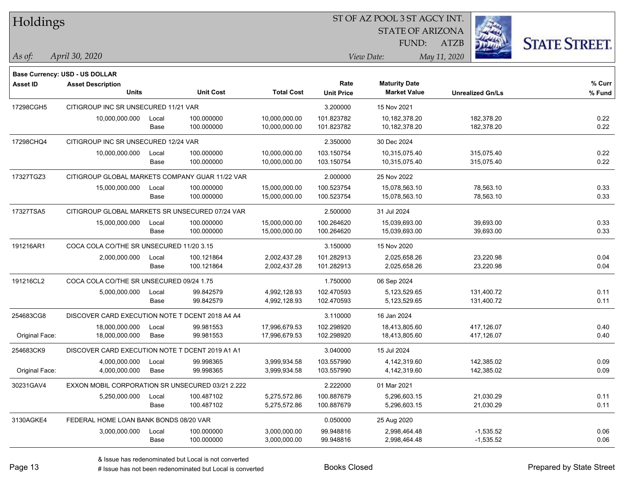| Holdings        |                                                  |               |                          |                                | 51 OF AZ POOL 351 AGCY INT.<br><b>STATE OF ARIZONA</b> |                                             |                          |                      |  |
|-----------------|--------------------------------------------------|---------------|--------------------------|--------------------------------|--------------------------------------------------------|---------------------------------------------|--------------------------|----------------------|--|
|                 |                                                  |               |                          |                                |                                                        | FUND:                                       | <b>ATZB</b>              | <b>STATE STREET.</b> |  |
| As of:          | April 30, 2020                                   |               |                          |                                |                                                        | View Date:                                  | May 11, 2020             |                      |  |
|                 | <b>Base Currency: USD - US DOLLAR</b>            |               |                          |                                |                                                        |                                             |                          |                      |  |
| <b>Asset ID</b> | <b>Asset Description</b><br><b>Units</b>         |               | <b>Unit Cost</b>         | <b>Total Cost</b>              | Rate<br><b>Unit Price</b>                              | <b>Maturity Date</b><br><b>Market Value</b> | <b>Unrealized Gn/Ls</b>  | % Curr<br>% Fund     |  |
| 17298CGH5       | CITIGROUP INC SR UNSECURED 11/21 VAR             |               |                          |                                | 3.200000                                               | 15 Nov 2021                                 |                          |                      |  |
|                 | 10,000,000.000                                   | Local         | 100.000000               | 10,000,000.00                  | 101.823782                                             | 10,182,378.20                               | 182,378.20               | 0.22                 |  |
|                 |                                                  | Base          | 100.000000               | 10,000,000.00                  | 101.823782                                             | 10,182,378.20                               | 182,378.20               | 0.22                 |  |
| 17298CHQ4       | CITIGROUP INC SR UNSECURED 12/24 VAR             |               |                          |                                | 2.350000                                               | 30 Dec 2024                                 |                          |                      |  |
|                 | 10,000,000.000                                   | Local<br>Base | 100.000000<br>100.000000 | 10,000,000.00<br>10,000,000.00 | 103.150754<br>103.150754                               | 10,315,075.40<br>10,315,075.40              | 315,075.40<br>315,075.40 | 0.22<br>0.22         |  |
| 17327TGZ3       | CITIGROUP GLOBAL MARKETS COMPANY GUAR 11/22 VAR  |               |                          |                                | 2.000000                                               | 25 Nov 2022                                 |                          |                      |  |
|                 | 15,000,000.000                                   | Local<br>Base | 100.000000<br>100.000000 | 15,000,000.00<br>15,000,000.00 | 100.523754<br>100.523754                               | 15,078,563.10<br>15,078,563.10              | 78,563.10<br>78,563.10   | 0.33<br>0.33         |  |
| 17327TSA5       | CITIGROUP GLOBAL MARKETS SR UNSECURED 07/24 VAR  |               |                          |                                | 2.500000                                               | 31 Jul 2024                                 |                          |                      |  |
|                 | 15,000,000.000                                   | Local<br>Base | 100.000000<br>100.000000 | 15,000,000.00<br>15,000,000.00 | 100.264620<br>100.264620                               | 15,039,693.00<br>15,039,693.00              | 39,693.00<br>39,693.00   | 0.33<br>0.33         |  |
| 191216AR1       | COCA COLA CO/THE SR UNSECURED 11/20 3.15         |               |                          |                                | 3.150000                                               | 15 Nov 2020                                 |                          |                      |  |
|                 | 2,000,000.000                                    | Local         | 100.121864               | 2,002,437.28                   | 101.282913                                             | 2,025,658.26                                | 23,220.98                | 0.04                 |  |
|                 |                                                  | Base          | 100.121864               | 2,002,437.28                   | 101.282913                                             | 2,025,658.26                                | 23,220.98                | 0.04                 |  |
| 191216CL2       | COCA COLA CO/THE SR UNSECURED 09/24 1.75         |               |                          |                                | 1.750000                                               | 06 Sep 2024                                 |                          |                      |  |
|                 | 5,000,000.000                                    | Local         | 99.842579                | 4,992,128.93                   | 102.470593                                             | 5,123,529.65                                | 131,400.72               | 0.11                 |  |
|                 |                                                  | Base          | 99.842579                | 4,992,128.93                   | 102.470593                                             | 5,123,529.65                                | 131,400.72               | 0.11                 |  |
| 254683CG8       | DISCOVER CARD EXECUTION NOTE T DCENT 2018 A4 A4  |               |                          |                                | 3.110000                                               | 16 Jan 2024                                 |                          |                      |  |
|                 | 18,000,000.000                                   | Local         | 99.981553                | 17,996,679.53                  | 102.298920                                             | 18,413,805.60                               | 417,126.07               | 0.40                 |  |
| Original Face:  | 18,000,000.000                                   | Base          | 99.981553                | 17,996,679.53                  | 102.298920                                             | 18,413,805.60                               | 417,126.07               | 0.40                 |  |
| 254683CK9       | DISCOVER CARD EXECUTION NOTE T DCENT 2019 A1 A1  |               |                          |                                | 3.040000                                               | 15 Jul 2024                                 |                          |                      |  |
|                 | 4,000,000.000                                    | Local         | 99.998365                | 3,999,934.58                   | 103.557990                                             | 4,142,319.60                                | 142,385.02               | 0.09                 |  |
| Original Face:  | 4,000,000.000                                    | Base          | 99.998365                | 3,999,934.58                   | 103.557990                                             | 4,142,319.60                                | 142,385.02               | 0.09                 |  |
| 30231GAV4       | EXXON MOBIL CORPORATION SR UNSECURED 03/21 2.222 |               |                          |                                | 2.222000                                               | 01 Mar 2021                                 |                          |                      |  |
|                 | 5,250,000.000                                    | Local         | 100.487102               | 5,275,572.86                   | 100.887679                                             | 5,296,603.15                                | 21,030.29                | 0.11                 |  |
|                 |                                                  | Base          | 100.487102               | 5,275,572.86                   | 100.887679                                             | 5,296,603.15                                | 21,030.29                | 0.11                 |  |
| 3130AGKE4       | FEDERAL HOME LOAN BANK BONDS 08/20 VAR           |               |                          |                                | 0.050000                                               | 25 Aug 2020                                 |                          |                      |  |
|                 | 3,000,000.000                                    | Local         | 100.000000               | 3,000,000.00                   | 99.948816                                              | 2.998.464.48                                | $-1,535.52$              | 0.06                 |  |
|                 |                                                  | Base          | 100.000000               | 3,000,000.00                   | 99.948816                                              | 2,998,464.48                                | $-1,535.52$              | 0.06                 |  |

ST OF A Z POOL 2 ST ACCV INT

**CONTRACTOR**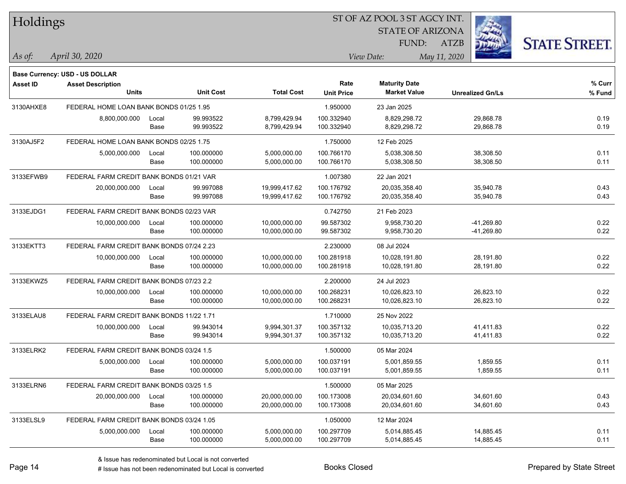| Holdings        |                                           |       |                  |                   |                   | 51 OF AZ POOL 3 51 AGCY INT. |                         |                      |  |
|-----------------|-------------------------------------------|-------|------------------|-------------------|-------------------|------------------------------|-------------------------|----------------------|--|
|                 |                                           |       |                  |                   |                   | <b>STATE OF ARIZONA</b>      | 23                      |                      |  |
|                 |                                           |       |                  |                   |                   | FUND:                        | <b>ATZB</b>             | <b>STATE STREET.</b> |  |
| As of:          | April 30, 2020                            |       |                  |                   |                   | View Date:                   | May 11, 2020            |                      |  |
|                 | <b>Base Currency: USD - US DOLLAR</b>     |       |                  |                   |                   |                              |                         |                      |  |
| <b>Asset ID</b> | <b>Asset Description</b>                  |       |                  |                   | Rate              | <b>Maturity Date</b>         |                         | % Curr               |  |
|                 | <b>Units</b>                              |       | <b>Unit Cost</b> | <b>Total Cost</b> | <b>Unit Price</b> | <b>Market Value</b>          | <b>Unrealized Gn/Ls</b> | % Fund               |  |
| 3130AHXE8       | FEDERAL HOME LOAN BANK BONDS 01/25 1.95   |       |                  |                   | 1.950000          | 23 Jan 2025                  |                         |                      |  |
|                 | 8,800,000.000                             | Local | 99.993522        | 8,799,429.94      | 100.332940        | 8,829,298.72                 | 29,868.78               | 0.19                 |  |
|                 |                                           | Base  | 99.993522        | 8,799,429.94      | 100.332940        | 8,829,298.72                 | 29,868.78               | 0.19                 |  |
| 3130AJ5F2       | FEDERAL HOME LOAN BANK BONDS 02/25 1.75   |       |                  |                   | 1.750000          | 12 Feb 2025                  |                         |                      |  |
|                 | 5,000,000.000                             | Local | 100.000000       | 5,000,000.00      | 100.766170        | 5,038,308.50                 | 38,308.50               | 0.11                 |  |
|                 |                                           | Base  | 100.000000       | 5,000,000.00      | 100.766170        | 5,038,308.50                 | 38,308.50               | 0.11                 |  |
| 3133EFWB9       | FEDERAL FARM CREDIT BANK BONDS 01/21 VAR  |       |                  |                   | 1.007380          | 22 Jan 2021                  |                         |                      |  |
|                 | 20,000,000.000                            | Local | 99.997088        | 19,999,417.62     | 100.176792        | 20,035,358.40                | 35,940.78               | 0.43                 |  |
|                 |                                           | Base  | 99.997088        | 19,999,417.62     | 100.176792        | 20,035,358.40                | 35,940.78               | 0.43                 |  |
| 3133EJDG1       | FEDERAL FARM CREDIT BANK BONDS 02/23 VAR  |       |                  |                   | 0.742750          | 21 Feb 2023                  |                         |                      |  |
|                 | 10,000,000.000                            | Local | 100.000000       | 10,000,000.00     | 99.587302         | 9,958,730.20                 | $-41,269.80$            | 0.22                 |  |
|                 |                                           | Base  | 100.000000       | 10,000,000.00     | 99.587302         | 9,958,730.20                 | -41,269.80              | 0.22                 |  |
| 3133EKTT3       | FEDERAL FARM CREDIT BANK BONDS 07/24 2.23 |       |                  |                   | 2.230000          | 08 Jul 2024                  |                         |                      |  |
|                 | 10,000,000.000                            | Local | 100.000000       | 10,000,000.00     | 100.281918        | 10,028,191.80                | 28,191.80               | 0.22                 |  |
|                 |                                           | Base  | 100.000000       | 10,000,000.00     | 100.281918        | 10,028,191.80                | 28,191.80               | 0.22                 |  |
| 3133EKWZ5       | FEDERAL FARM CREDIT BANK BONDS 07/23 2.2  |       |                  |                   | 2.200000          | 24 Jul 2023                  |                         |                      |  |
|                 | 10,000,000.000                            | Local | 100.000000       | 10,000,000.00     | 100.268231        | 10,026,823.10                | 26,823.10               | 0.22                 |  |
|                 |                                           | Base  | 100.000000       | 10,000,000.00     | 100.268231        | 10,026,823.10                | 26,823.10               | 0.22                 |  |
| 3133ELAU8       | FEDERAL FARM CREDIT BANK BONDS 11/22 1.71 |       |                  |                   | 1.710000          | 25 Nov 2022                  |                         |                      |  |
|                 | 10,000,000.000                            | Local | 99.943014        | 9,994,301.37      | 100.357132        | 10,035,713.20                | 41,411.83               | 0.22                 |  |
|                 |                                           | Base  | 99.943014        | 9,994,301.37      | 100.357132        | 10,035,713.20                | 41,411.83               | 0.22                 |  |
| 3133ELRK2       | FEDERAL FARM CREDIT BANK BONDS 03/24 1.5  |       |                  |                   | 1.500000          | 05 Mar 2024                  |                         |                      |  |
|                 | 5,000,000.000                             | Local | 100.000000       | 5.000.000.00      | 100.037191        | 5,001,859.55                 | 1,859.55                | 0.11                 |  |
|                 |                                           | Base  | 100.000000       | 5,000,000.00      | 100.037191        | 5,001,859.55                 | 1,859.55                | 0.11                 |  |
| 3133ELRN6       | FEDERAL FARM CREDIT BANK BONDS 03/25 1.5  |       |                  |                   | 1.500000          | 05 Mar 2025                  |                         |                      |  |
|                 | 20,000,000.000                            | Local | 100.000000       | 20,000,000.00     | 100.173008        | 20,034,601.60                | 34,601.60               | 0.43                 |  |
|                 |                                           | Base  | 100.000000       | 20,000,000.00     | 100.173008        | 20,034,601.60                | 34,601.60               | 0.43                 |  |
| 3133ELSL9       | FEDERAL FARM CREDIT BANK BONDS 03/24 1.05 |       |                  |                   | 1.050000          | 12 Mar 2024                  |                         |                      |  |
|                 | 5,000,000.000                             | Local | 100.000000       | 5,000,000.00      | 100.297709        | 5,014,885.45                 | 14,885.45               | 0.11                 |  |
|                 |                                           | Base  | 100.000000       | 5,000,000.00      | 100.297709        | 5,014,885.45                 | 14,885.45               | 0.11                 |  |

ST OF A Z POOL 2 ST ACCV INT

**CONTRACTOR**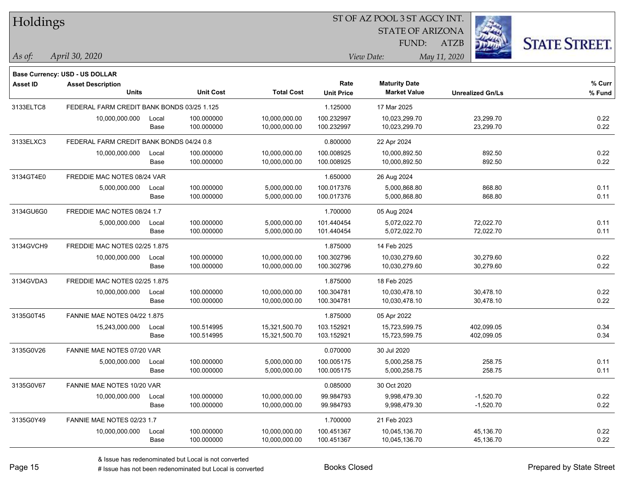| Holdings        |                                            |       |                  |                   |                   | ST OF AZ POOL 3 ST AGCY INT. |                         |                      |
|-----------------|--------------------------------------------|-------|------------------|-------------------|-------------------|------------------------------|-------------------------|----------------------|
|                 |                                            |       |                  |                   |                   | <b>STATE OF ARIZONA</b>      |                         |                      |
|                 |                                            |       |                  |                   |                   | <b>FUND:</b>                 | <b>ATZB</b>             | <b>STATE STREET.</b> |
| As of:          | April 30, 2020                             |       |                  |                   |                   | View Date:                   | May 11, 2020            |                      |
|                 | <b>Base Currency: USD - US DOLLAR</b>      |       |                  |                   |                   |                              |                         |                      |
| <b>Asset ID</b> | <b>Asset Description</b>                   |       |                  |                   | Rate              | <b>Maturity Date</b>         |                         | % Curr               |
|                 | <b>Units</b>                               |       | <b>Unit Cost</b> | <b>Total Cost</b> | <b>Unit Price</b> | <b>Market Value</b>          | <b>Unrealized Gn/Ls</b> | $%$ Fund             |
| 3133ELTC8       | FEDERAL FARM CREDIT BANK BONDS 03/25 1.125 |       |                  |                   | 1.125000          | 17 Mar 2025                  |                         |                      |
|                 | 10,000,000.000                             | Local | 100.000000       | 10,000,000.00     | 100.232997        | 10,023,299.70                | 23,299.70               | 0.22                 |
|                 |                                            | Base  | 100.000000       | 10,000,000.00     | 100.232997        | 10,023,299.70                | 23,299.70               | 0.22                 |
| 3133ELXC3       | FEDERAL FARM CREDIT BANK BONDS 04/24 0.8   |       |                  |                   | 0.800000          | 22 Apr 2024                  |                         |                      |
|                 | 10,000,000.000                             | Local | 100.000000       | 10,000,000.00     | 100.008925        | 10,000,892.50                | 892.50                  | 0.22                 |
|                 |                                            | Base  | 100.000000       | 10,000,000.00     | 100.008925        | 10,000,892.50                | 892.50                  | 0.22                 |
| 3134GT4E0       | FREDDIE MAC NOTES 08/24 VAR                |       |                  |                   | 1.650000          | 26 Aug 2024                  |                         |                      |
|                 | 5,000,000.000                              | Local | 100.000000       | 5,000,000.00      | 100.017376        | 5,000,868.80                 | 868.80                  | 0.11                 |
|                 |                                            | Base  | 100.000000       | 5,000,000.00      | 100.017376        | 5,000,868.80                 | 868.80                  | 0.11                 |
| 3134GU6G0       | FREDDIE MAC NOTES 08/24 1.7                |       |                  |                   | 1.700000          | 05 Aug 2024                  |                         |                      |
|                 | 5,000,000.000                              | Local | 100.000000       | 5,000,000.00      | 101.440454        | 5,072,022.70                 | 72,022.70               | 0.11                 |
|                 |                                            | Base  | 100.000000       | 5,000,000.00      | 101.440454        | 5,072,022.70                 | 72,022.70               | 0.11                 |
| 3134GVCH9       | FREDDIE MAC NOTES 02/25 1.875              |       |                  |                   | 1.875000          | 14 Feb 2025                  |                         |                      |
|                 | 10,000,000.000                             | Local | 100.000000       | 10,000,000.00     | 100.302796        | 10,030,279.60                | 30,279.60               | 0.22                 |
|                 |                                            | Base  | 100.000000       | 10,000,000.00     | 100.302796        | 10,030,279.60                | 30,279.60               | 0.22                 |
| 3134GVDA3       | FREDDIE MAC NOTES 02/25 1.875              |       |                  |                   | 1.875000          | 18 Feb 2025                  |                         |                      |
|                 | 10,000,000.000                             | Local | 100.000000       | 10,000,000.00     | 100.304781        | 10,030,478.10                | 30,478.10               | 0.22                 |
|                 |                                            | Base  | 100.000000       | 10,000,000.00     | 100.304781        | 10,030,478.10                | 30,478.10               | 0.22                 |
| 3135G0T45       | <b>FANNIE MAE NOTES 04/22 1.875</b>        |       |                  |                   | 1.875000          | 05 Apr 2022                  |                         |                      |
|                 | 15,243,000.000                             | Local | 100.514995       | 15,321,500.70     | 103.152921        | 15,723,599.75                | 402,099.05              | 0.34                 |
|                 |                                            | Base  | 100.514995       | 15,321,500.70     | 103.152921        | 15,723,599.75                | 402,099.05              | 0.34                 |
| 3135G0V26       | FANNIE MAE NOTES 07/20 VAR                 |       |                  |                   | 0.070000          | 30 Jul 2020                  |                         |                      |
|                 | 5,000,000.000                              | Local | 100.000000       | 5,000,000.00      | 100.005175        | 5,000,258.75                 | 258.75                  | 0.11                 |
|                 |                                            | Base  | 100.000000       | 5,000,000.00      | 100.005175        | 5,000,258.75                 | 258.75                  | 0.11                 |
| 3135G0V67       | FANNIE MAE NOTES 10/20 VAR                 |       |                  |                   | 0.085000          | 30 Oct 2020                  |                         |                      |
|                 | 10,000,000.000                             | Local | 100.000000       | 10,000,000.00     | 99.984793         | 9,998,479.30                 | $-1,520.70$             | 0.22                 |
|                 |                                            | Base  | 100.000000       | 10,000,000.00     | 99.984793         | 9,998,479.30                 | $-1,520.70$             | 0.22                 |
| 3135G0Y49       | FANNIE MAE NOTES 02/23 1.7                 |       |                  |                   | 1.700000          | 21 Feb 2023                  |                         |                      |
|                 | 10,000,000.000                             | Local | 100.000000       | 10,000,000.00     | 100.451367        | 10,045,136.70                | 45,136.70               | 0.22                 |
|                 |                                            | Base  | 100.000000       | 10,000,000.00     | 100.451367        | 10,045,136.70                | 45,136.70               | 0.22                 |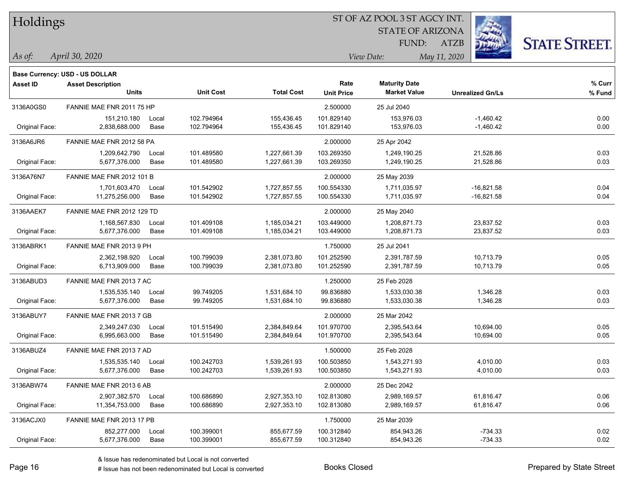Holdings

#### ST OF AZ POOL 3 ST AGCY INT.

STATE OF ARIZONA FUND:

ATZB



*April 30, 2020 As of: View Date: May 11, 2020*

| Asset ID       | <b>Asset Description</b>         |       |                  |                   | Rate              | <b>Maturity Date</b> |                         | % Curr |
|----------------|----------------------------------|-------|------------------|-------------------|-------------------|----------------------|-------------------------|--------|
|                | <b>Units</b>                     |       | <b>Unit Cost</b> | <b>Total Cost</b> | <b>Unit Price</b> | <b>Market Value</b>  | <b>Unrealized Gn/Ls</b> | % Fund |
| 3136A0GS0      | FANNIE MAE FNR 2011 75 HP        |       |                  |                   | 2.500000          | 25 Jul 2040          |                         |        |
|                | 151.210.180                      | Local | 102.794964       | 155.436.45        | 101.829140        | 153.976.03           | $-1,460.42$             | 0.00   |
| Original Face: | 2,838,688.000                    | Base  | 102.794964       | 155,436.45        | 101.829140        | 153,976.03           | $-1,460.42$             | 0.00   |
| 3136A6JR6      | FANNIE MAE FNR 2012 58 PA        |       |                  |                   | 2.000000          | 25 Apr 2042          |                         |        |
|                | 1.209.642.790                    | Local | 101.489580       | 1.227.661.39      | 103.269350        | 1.249.190.25         | 21,528.86               | 0.03   |
| Original Face: | 5,677,376.000                    | Base  | 101.489580       | 1,227,661.39      | 103.269350        | 1,249,190.25         | 21,528.86               | 0.03   |
| 3136A76N7      | <b>FANNIE MAE FNR 2012 101 B</b> |       |                  |                   | 2.000000          | 25 May 2039          |                         |        |
|                | 1,701,603.470                    | Local | 101.542902       | 1,727,857.55      | 100.554330        | 1,711,035.97         | $-16,821.58$            | 0.04   |
| Original Face: | 11,275,256.000                   | Base  | 101.542902       | 1,727,857.55      | 100.554330        | 1,711,035.97         | -16,821.58              | 0.04   |
| 3136AAEK7      | FANNIE MAE FNR 2012 129 TD       |       |                  |                   | 2.000000          | 25 May 2040          |                         |        |
|                | 1,168,567.830                    | Local | 101.409108       | 1,185,034.21      | 103.449000        | 1,208,871.73         | 23,837.52               | 0.03   |
| Original Face: | 5,677,376.000                    | Base  | 101.409108       | 1,185,034.21      | 103.449000        | 1,208,871.73         | 23,837.52               | 0.03   |
|                |                                  |       |                  |                   |                   |                      |                         |        |

|          | <b>Base Currency: USD - US DOLLAR</b> |         |             |            |                                    |
|----------|---------------------------------------|---------|-------------|------------|------------------------------------|
| Asset ID | <b>Asset Description</b>              |         |             |            | Rate                               |
|          |                                       | l Inite | $Hint$ Cant | Total Coot | <b>Allen Martin Communications</b> |

| Oliginal Face. | 2,000,000.UUU                    | <b>Dase</b> | 102.794904                                           | 155,456.45   | 101.029140 | 155,970.05   | -1,400.42    | <b>U.UU</b> |
|----------------|----------------------------------|-------------|------------------------------------------------------|--------------|------------|--------------|--------------|-------------|
| 3136A6JR6      | FANNIE MAE FNR 2012 58 PA        |             |                                                      |              | 2.000000   | 25 Apr 2042  |              |             |
|                | 1,209,642.790                    | Local       | 101.489580                                           | 1,227,661.39 | 103.269350 | 1,249,190.25 | 21,528.86    | 0.03        |
| Original Face: | 5,677,376.000                    | Base        | 101.489580                                           | 1,227,661.39 | 103.269350 | 1,249,190.25 | 21,528.86    | 0.03        |
| 3136A76N7      | <b>FANNIE MAE FNR 2012 101 B</b> |             |                                                      |              | 2.000000   | 25 May 2039  |              |             |
|                | 1,701,603.470                    | Local       | 101.542902                                           | 1,727,857.55 | 100.554330 | 1,711,035.97 | $-16,821.58$ | 0.04        |
| Original Face: | 11,275,256.000                   | Base        | 101.542902                                           | 1,727,857.55 | 100.554330 | 1,711,035.97 | $-16,821.58$ | 0.04        |
| 3136AAEK7      | FANNIE MAE FNR 2012 129 TD       |             |                                                      |              | 2.000000   | 25 May 2040  |              |             |
|                | 1,168,567.830                    | Local       | 101.409108                                           | 1,185,034.21 | 103.449000 | 1,208,871.73 | 23,837.52    | 0.03        |
| Original Face: | 5,677,376.000                    | Base        | 101.409108                                           | 1,185,034.21 | 103.449000 | 1,208,871.73 | 23,837.52    | 0.03        |
| 3136ABRK1      | FANNIE MAE FNR 2013 9 PH         |             |                                                      |              | 1.750000   | 25 Jul 2041  |              |             |
|                | 2,362,198.920                    | Local       | 100.799039                                           | 2,381,073.80 | 101.252590 | 2,391,787.59 | 10,713.79    | 0.05        |
| Original Face: | 6,713,909.000                    | Base        | 100.799039                                           | 2,381,073.80 | 101.252590 | 2,391,787.59 | 10,713.79    | 0.05        |
| 3136ABUD3      | FANNIE MAE FNR 2013 7 AC         |             |                                                      |              | 1.250000   | 25 Feb 2028  |              |             |
|                | 1,535,535.140                    | Local       | 99.749205                                            | 1,531,684.10 | 99.836880  | 1,533,030.38 | 1,346.28     | 0.03        |
| Original Face: | 5,677,376.000                    | Base        | 99.749205                                            | 1,531,684.10 | 99.836880  | 1,533,030.38 | 1,346.28     | 0.03        |
| 3136ABUY7      | FANNIE MAE FNR 2013 7 GB         |             |                                                      |              | 2.000000   | 25 Mar 2042  |              |             |
|                | 2,349,247.030                    | Local       | 101.515490                                           | 2,384,849.64 | 101.970700 | 2,395,543.64 | 10,694.00    | 0.05        |
| Original Face: | 6,995,663.000                    | Base        | 101.515490                                           | 2,384,849.64 | 101.970700 | 2,395,543.64 | 10,694.00    | 0.05        |
| 3136ABUZ4      | FANNIE MAE FNR 2013 7 AD         |             |                                                      |              | 1.500000   | 25 Feb 2028  |              |             |
|                | 1,535,535.140                    | Local       | 100.242703                                           | 1,539,261.93 | 100.503850 | 1,543,271.93 | 4,010.00     | 0.03        |
| Original Face: | 5,677,376.000                    | Base        | 100.242703                                           | 1,539,261.93 | 100.503850 | 1,543,271.93 | 4,010.00     | 0.03        |
| 3136ABW74      | FANNIE MAE FNR 2013 6 AB         |             |                                                      |              | 2.000000   | 25 Dec 2042  |              |             |
|                | 2,907,382.570                    | Local       | 100.686890                                           | 2,927,353.10 | 102.813080 | 2,989,169.57 | 61,816.47    | 0.06        |
| Original Face: | 11,354,753.000                   | Base        | 100.686890                                           | 2,927,353.10 | 102.813080 | 2,989,169.57 | 61,816.47    | 0.06        |
| 3136ACJX0      | FANNIE MAE FNR 2013 17 PB        |             |                                                      |              | 1.750000   | 25 Mar 2039  |              |             |
|                | 852,277.000                      | Local       | 100.399001                                           | 855,677.59   | 100.312840 | 854,943.26   | $-734.33$    | 0.02        |
| Original Face: | 5,677,376.000                    | Base        | 100.399001                                           | 855,677.59   | 100.312840 | 854,943.26   | $-734.33$    | 0.02        |
|                |                                  |             | & Issue has redenominated but Local is not converted |              |            |              |              |             |

# Issue has not been redenominated but Local is converted Books Closed Prepared by State Street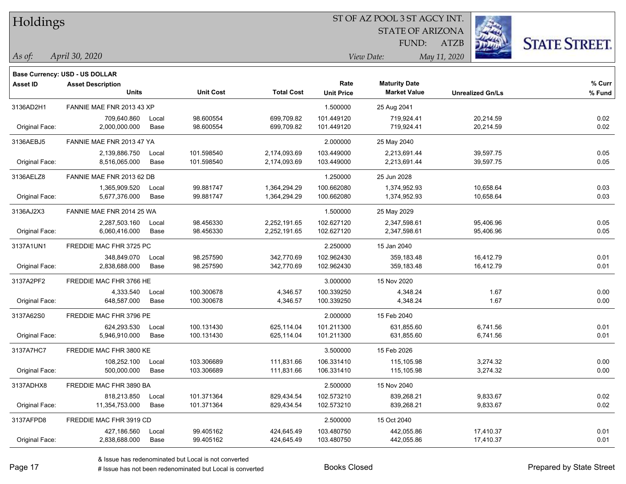| Holdings |
|----------|
|          |

STATE OF ARIZONA

ATZB



*April 30, 2020 As of: View Date: May 11, 2020*

**Base Currency: USD - US DOLLAR**

FUND:

| <b>Asset ID</b> | <b>Asset Description</b>  |       |                  |                   | Rate              | <b>Maturity Date</b> |                         | % Curr |
|-----------------|---------------------------|-------|------------------|-------------------|-------------------|----------------------|-------------------------|--------|
|                 | <b>Units</b>              |       | <b>Unit Cost</b> | <b>Total Cost</b> | <b>Unit Price</b> | <b>Market Value</b>  | <b>Unrealized Gn/Ls</b> | % Fund |
| 3136AD2H1       | FANNIE MAE FNR 2013 43 XP |       |                  |                   | 1.500000          | 25 Aug 2041          |                         |        |
|                 | 709,640.860               | Local | 98.600554        | 699,709.82        | 101.449120        | 719,924.41           | 20,214.59               | 0.02   |
| Original Face:  | 2,000,000.000             | Base  | 98.600554        | 699,709.82        | 101.449120        | 719,924.41           | 20,214.59               | 0.02   |
| 3136AEBJ5       | FANNIE MAE FNR 2013 47 YA |       |                  |                   | 2.000000          | 25 May 2040          |                         |        |
|                 | 2,139,886.750             | Local | 101.598540       | 2,174,093.69      | 103.449000        | 2,213,691.44         | 39,597.75               | 0.05   |
| Original Face:  | 8,516,065.000             | Base  | 101.598540       | 2,174,093.69      | 103.449000        | 2,213,691.44         | 39,597.75               | 0.05   |
| 3136AELZ8       | FANNIE MAE FNR 2013 62 DB |       |                  |                   | 1.250000          | 25 Jun 2028          |                         |        |
|                 | 1,365,909.520             | Local | 99.881747        | 1,364,294.29      | 100.662080        | 1,374,952.93         | 10,658.64               | 0.03   |
| Original Face:  | 5,677,376.000             | Base  | 99.881747        | 1,364,294.29      | 100.662080        | 1,374,952.93         | 10,658.64               | 0.03   |
| 3136AJ2X3       | FANNIE MAE FNR 2014 25 WA |       |                  |                   | 1.500000          | 25 May 2029          |                         |        |
|                 | 2,287,503.160             | Local | 98.456330        | 2,252,191.65      | 102.627120        | 2,347,598.61         | 95,406.96               | 0.05   |
| Original Face:  | 6,060,416.000             | Base  | 98.456330        | 2,252,191.65      | 102.627120        | 2,347,598.61         | 95,406.96               | 0.05   |
| 3137A1UN1       | FREDDIE MAC FHR 3725 PC   |       |                  |                   | 2.250000          | 15 Jan 2040          |                         |        |
|                 | 348,849.070               | Local | 98.257590        | 342,770.69        | 102.962430        | 359,183.48           | 16,412.79               | 0.01   |
| Original Face:  | 2,838,688.000             | Base  | 98.257590        | 342,770.69        | 102.962430        | 359,183.48           | 16,412.79               | 0.01   |
| 3137A2PF2       | FREDDIE MAC FHR 3766 HE   |       |                  |                   | 3.000000          | 15 Nov 2020          |                         |        |
|                 | 4,333.540                 | Local | 100.300678       | 4,346.57          | 100.339250        | 4,348.24             | 1.67                    | 0.00   |
| Original Face:  | 648,587.000               | Base  | 100.300678       | 4,346.57          | 100.339250        | 4,348.24             | 1.67                    | 0.00   |
| 3137A62S0       | FREDDIE MAC FHR 3796 PE   |       |                  |                   | 2.000000          | 15 Feb 2040          |                         |        |
|                 | 624,293.530               | Local | 100.131430       | 625,114.04        | 101.211300        | 631,855.60           | 6,741.56                | 0.01   |
| Original Face:  | 5,946,910.000             | Base  | 100.131430       | 625,114.04        | 101.211300        | 631,855.60           | 6,741.56                | 0.01   |
| 3137A7HC7       | FREDDIE MAC FHR 3800 KE   |       |                  |                   | 3.500000          | 15 Feb 2026          |                         |        |
|                 | 108,252.100               | Local | 103.306689       | 111,831.66        | 106.331410        | 115,105.98           | 3,274.32                | 0.00   |
| Original Face:  | 500,000.000               | Base  | 103.306689       | 111,831.66        | 106.331410        | 115,105.98           | 3,274.32                | 0.00   |
| 3137ADHX8       | FREDDIE MAC FHR 3890 BA   |       |                  |                   | 2.500000          | 15 Nov 2040          |                         |        |
|                 | 818,213.850               | Local | 101.371364       | 829,434.54        | 102.573210        | 839,268.21           | 9,833.67                | 0.02   |
| Original Face:  | 11,354,753.000            | Base  | 101.371364       | 829,434.54        | 102.573210        | 839,268.21           | 9,833.67                | 0.02   |
| 3137AFPD8       | FREDDIE MAC FHR 3919 CD   |       |                  |                   | 2.500000          | 15 Oct 2040          |                         |        |
|                 | 427,186.560               | Local | 99.405162        | 424,645.49        | 103.480750        | 442,055.86           | 17,410.37               | 0.01   |
| Original Face:  | 2,838,688.000             | Base  | 99.405162        | 424,645.49        | 103.480750        | 442,055.86           | 17,410.37               | 0.01   |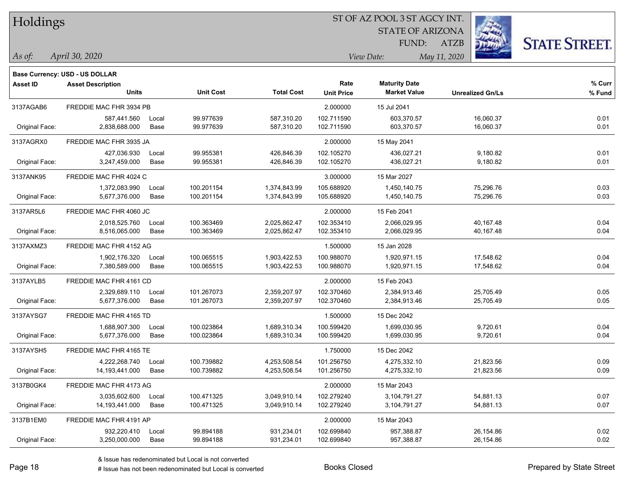| Holdings |
|----------|
|          |

STATE OF ARIZONA FUND:

ATZB



**% Fund**

**% Curr**

| As of: | April 30, 2020 | View Date: | May 11, 2020 |
|--------|----------------|------------|--------------|
|        |                |            |              |

|                 | <b>Base Currency: USD - US DOLLAR</b>    |             |                  |                   |                           |                                             |                         |                |
|-----------------|------------------------------------------|-------------|------------------|-------------------|---------------------------|---------------------------------------------|-------------------------|----------------|
| <b>Asset ID</b> | <b>Asset Description</b><br><b>Units</b> |             | <b>Unit Cost</b> | <b>Total Cost</b> | Rate<br><b>Unit Price</b> | <b>Maturity Date</b><br><b>Market Value</b> | <b>Unrealized Gn/Ls</b> | % Cur<br>% Fun |
| 3137AGAB6       | FREDDIE MAC FHR 3934 PB                  |             |                  |                   | 2.000000                  | 15 Jul 2041                                 |                         |                |
|                 | 587,441.560                              | Local       | 99.977639        | 587,310.20        | 102.711590                | 603,370.57                                  | 16,060.37               | 0.01           |
| Original Face:  | 2,838,688.000                            | Base        | 99.977639        | 587.310.20        | 102.711590                | 603,370.57                                  | 16.060.37               | 0.01           |
| 3137AGRX0       | FREDDIE MAC FHR 3935 JA                  |             |                  |                   | 2.000000                  | 15 May 2041                                 |                         |                |
|                 | 427,036.930                              | Local       | 99.955381        | 426,846.39        | 102.105270                | 436,027.21                                  | 9,180.82                | 0.01           |
| Original Face:  | 3,247,459.000                            | Base        | 99.955381        | 426,846.39        | 102.105270                | 436,027.21                                  | 9,180.82                | 0.01           |
| 3137ANK95       | FREDDIE MAC FHR 4024 C                   |             |                  |                   | 3.000000                  | 15 Mar 2027                                 |                         |                |
|                 | 1,372,083.990                            | Local       | 100.201154       | 1,374,843.99      | 105.688920                | 1,450,140.75                                | 75,296.76               | 0.03           |
| Original Face:  | 5,677,376.000                            | Base        | 100.201154       | 1,374,843.99      | 105.688920                | 1,450,140.75                                | 75,296.76               | 0.03           |
| 3137AR5L6       | FREDDIE MAC FHR 4060 JC                  |             |                  |                   | 2.000000                  | 15 Feb 2041                                 |                         |                |
|                 | 2,018,525.760                            | Local       | 100.363469       | 2,025,862.47      | 102.353410                | 2,066,029.95                                | 40,167.48               | 0.04           |
| Original Face:  | 8,516,065.000                            | Base        | 100.363469       | 2,025,862.47      | 102.353410                | 2,066,029.95                                | 40,167.48               | 0.04           |
| 3137AXMZ3       | FREDDIE MAC FHR 4152 AG                  |             |                  |                   | 1.500000                  | 15 Jan 2028                                 |                         |                |
|                 | 1,902,176.320                            | Local       | 100.065515       | 1,903,422.53      | 100.988070                | 1.920.971.15                                | 17.548.62               | 0.04           |
| Original Face:  | 7,380,589.000                            | Base        | 100.065515       | 1,903,422.53      | 100.988070                | 1,920,971.15                                | 17,548.62               | 0.04           |
| 3137AYLB5       | FREDDIE MAC FHR 4161 CD                  |             |                  |                   | 2.000000                  | 15 Feb 2043                                 |                         |                |
|                 | 2,329,689.110                            | Local       | 101.267073       | 2,359,207.97      | 102.370460                | 2,384,913.46                                | 25,705.49               | 0.05           |
| Original Face:  | 5,677,376.000                            | Base        | 101.267073       | 2,359,207.97      | 102.370460                | 2,384,913.46                                | 25,705.49               | 0.05           |
| 3137AYSG7       | FREDDIE MAC FHR 4165 TD                  |             |                  |                   | 1.500000                  | 15 Dec 2042                                 |                         |                |
|                 | 1,688,907.300                            | Local       | 100.023864       | 1,689,310.34      | 100.599420                | 1,699,030.95                                | 9,720.61                | 0.04           |
| Original Face:  | 5,677,376.000                            | <b>Base</b> | 100.023864       | 1,689,310.34      | 100.599420                | 1,699,030.95                                | 9,720.61                | 0.04           |
| 3137AYSH5       | FREDDIE MAC FHR 4165 TE                  |             |                  |                   | 1.750000                  | 15 Dec 2042                                 |                         |                |
|                 | 4.222.268.740                            | Local       | 100.739882       | 4,253,508.54      | 101.256750                | 4,275,332.10                                | 21.823.56               | 0.09           |
| Original Face:  | 14,193,441.000                           | Base        | 100.739882       | 4,253,508.54      | 101.256750                | 4,275,332.10                                | 21,823.56               | 0.09           |
| 3137B0GK4       | FREDDIE MAC FHR 4173 AG                  |             |                  |                   | 2.000000                  | 15 Mar 2043                                 |                         |                |
|                 | 3,035,602.600                            | Local       | 100.471325       | 3,049,910.14      | 102.279240                | 3,104,791.27                                | 54,881.13               | 0.07           |
| Original Face:  | 14,193,441.000                           | Base        | 100.471325       | 3,049,910.14      | 102.279240                | 3,104,791.27                                | 54,881.13               | 0.07           |
| 3137B1EM0       | FREDDIE MAC FHR 4191 AP                  |             |                  |                   | 2.000000                  | 15 Mar 2043                                 |                         |                |

Original Face: 3,250,000.000 Base 99.894188 931,234.01 102.699840 957,388.87 26,154.86 0.02

932,220.410 Local 99.894188 931,234.01 102.699840 957,388.87 26,154.86 0.02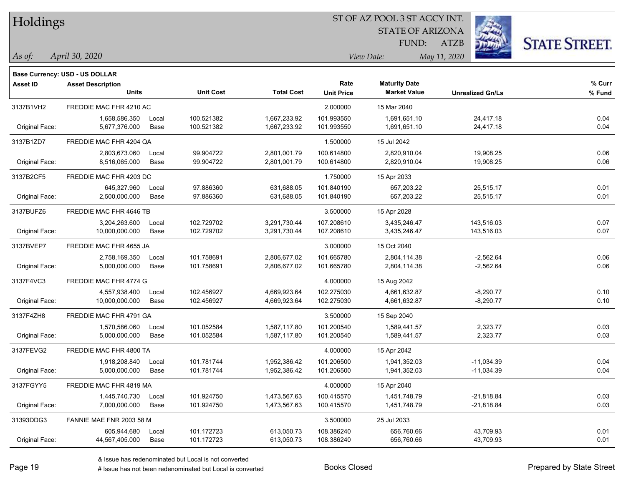| Holdings |
|----------|
|          |

STATE OF ARIZONA FUND:

ATZB



*April 30, 2020 As of: View Date: May 11, 2020*

**Base Currency: USD - US DOLLAR**

| Asset ID       | <b>Asset Description</b><br><b>Units</b> |       | <b>Unit Cost</b> | <b>Total Cost</b> | Rate<br><b>Unit Price</b> | <b>Maturity Date</b><br><b>Market Value</b> | <b>Unrealized Gn/Ls</b> | % Curr<br>% Fund |
|----------------|------------------------------------------|-------|------------------|-------------------|---------------------------|---------------------------------------------|-------------------------|------------------|
| 3137B1VH2      | FREDDIE MAC FHR 4210 AC                  |       |                  |                   | 2.000000                  | 15 Mar 2040                                 |                         |                  |
|                | 1,658,586.350                            | Local | 100.521382       | 1,667,233.92      | 101.993550                | 1,691,651.10                                | 24,417.18               | 0.04             |
| Original Face: | 5,677,376.000                            | Base  | 100.521382       | 1,667,233.92      | 101.993550                | 1,691,651.10                                | 24,417.18               | 0.04             |
| 3137B1ZD7      | FREDDIE MAC FHR 4204 QA                  |       |                  |                   | 1.500000                  | 15 Jul 2042                                 |                         |                  |
|                | 2,803,673.060                            | Local | 99.904722        | 2,801,001.79      | 100.614800                | 2,820,910.04                                | 19,908.25               | 0.06             |
| Original Face: | 8,516,065.000                            | Base  | 99.904722        | 2,801,001.79      | 100.614800                | 2,820,910.04                                | 19,908.25               | 0.06             |
| 3137B2CF5      | FREDDIE MAC FHR 4203 DC                  |       |                  |                   | 1.750000                  | 15 Apr 2033                                 |                         |                  |
|                | 645,327.960                              | Local | 97.886360        | 631,688.05        | 101.840190                | 657,203.22                                  | 25,515.17               | 0.01             |
| Original Face: | 2,500,000.000                            | Base  | 97.886360        | 631,688.05        | 101.840190                | 657,203.22                                  | 25,515.17               | 0.01             |
| 3137BUFZ6      | FREDDIE MAC FHR 4646 TB                  |       |                  |                   | 3.500000                  | 15 Apr 2028                                 |                         |                  |
|                | 3,204,263.600                            | Local | 102.729702       | 3,291,730.44      | 107.208610                | 3,435,246.47                                | 143,516.03              | 0.07             |
| Original Face: | 10,000,000.000                           | Base  | 102.729702       | 3,291,730.44      | 107.208610                | 3,435,246.47                                | 143,516.03              | 0.07             |
| 3137BVEP7      | FREDDIE MAC FHR 4655 JA                  |       |                  |                   | 3.000000                  | 15 Oct 2040                                 |                         |                  |
|                | 2,758,169.350                            | Local | 101.758691       | 2,806,677.02      | 101.665780                | 2,804,114.38                                | $-2,562.64$             | 0.06             |
| Original Face: | 5,000,000.000                            | Base  | 101.758691       | 2,806,677.02      | 101.665780                | 2,804,114.38                                | $-2,562.64$             | 0.06             |
| 3137F4VC3      | FREDDIE MAC FHR 4774 G                   |       |                  |                   | 4.000000                  | 15 Aug 2042                                 |                         |                  |
|                | 4,557,938.400                            | Local | 102.456927       | 4,669,923.64      | 102.275030                | 4,661,632.87                                | $-8,290.77$             | 0.10             |
| Original Face: | 10,000,000.000                           | Base  | 102.456927       | 4,669,923.64      | 102.275030                | 4,661,632.87                                | $-8,290.77$             | 0.10             |
| 3137F4ZH8      | FREDDIE MAC FHR 4791 GA                  |       |                  |                   | 3.500000                  | 15 Sep 2040                                 |                         |                  |
|                | 1,570,586.060                            | Local | 101.052584       | 1,587,117.80      | 101.200540                | 1,589,441.57                                | 2,323.77                | 0.03             |
| Original Face: | 5,000,000.000                            | Base  | 101.052584       | 1,587,117.80      | 101.200540                | 1,589,441.57                                | 2,323.77                | 0.03             |
| 3137FEVG2      | FREDDIE MAC FHR 4800 TA                  |       |                  |                   | 4.000000                  | 15 Apr 2042                                 |                         |                  |
|                | 1,918,208.840                            | Local | 101.781744       | 1,952,386.42      | 101.206500                | 1,941,352.03                                | $-11,034.39$            | 0.04             |
| Original Face: | 5,000,000.000                            | Base  | 101.781744       | 1,952,386.42      | 101.206500                | 1,941,352.03                                | $-11,034.39$            | 0.04             |
| 3137FGYY5      | FREDDIE MAC FHR 4819 MA                  |       |                  |                   | 4.000000                  | 15 Apr 2040                                 |                         |                  |
|                | 1,445,740.730                            | Local | 101.924750       | 1,473,567.63      | 100.415570                | 1,451,748.79                                | $-21,818.84$            | 0.03             |
| Original Face: | 7,000,000.000                            | Base  | 101.924750       | 1,473,567.63      | 100.415570                | 1,451,748.79                                | $-21,818.84$            | 0.03             |
| 31393DDG3      | FANNIE MAE FNR 2003 58 M                 |       |                  |                   | 3.500000                  | 25 Jul 2033                                 |                         |                  |
|                | 605,944.680                              | Local | 101.172723       | 613,050.73        | 108.386240                | 656,760.66                                  | 43,709.93               | 0.01             |
| Original Face: | 44,567,405.000                           | Base  | 101.172723       | 613,050.73        | 108.386240                | 656,760.66                                  | 43,709.93               | 0.01             |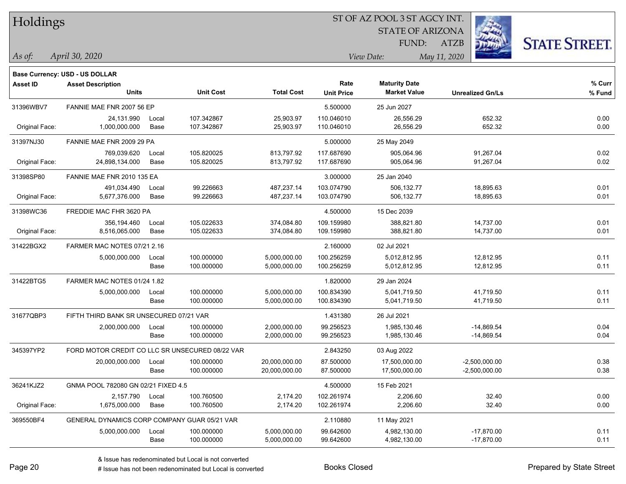| Holdings |
|----------|
|          |

**Maturity Date**

STATE OF ARIZONA FUND:

ATZB



**% Curr**

*April 30, 2020 As of: View Date: May 11, 2020*

**Base Currency: USD - US DOLLAR**

|                | <b>Units</b>                                    |       | <b>Unit Cost</b> | <b>Total Cost</b> | <b>Unit Price</b> | <b>Market Value</b> | <b>Unrealized Gn/Ls</b> | % Fund |
|----------------|-------------------------------------------------|-------|------------------|-------------------|-------------------|---------------------|-------------------------|--------|
| 31396WBV7      | FANNIE MAE FNR 2007 56 EP                       |       |                  |                   | 5.500000          | 25 Jun 2027         |                         |        |
|                | 24,131.990                                      | Local | 107.342867       | 25,903.97         | 110.046010        | 26,556.29           | 652.32                  | 0.00   |
| Original Face: | 1,000,000.000                                   | Base  | 107.342867       | 25,903.97         | 110.046010        | 26,556.29           | 652.32                  | 0.00   |
| 31397NJ30      | FANNIE MAE FNR 2009 29 PA                       |       |                  |                   | 5.000000          | 25 May 2049         |                         |        |
|                | 769,039.620                                     | Local | 105.820025       | 813,797.92        | 117.687690        | 905,064.96          | 91,267.04               | 0.02   |
| Original Face: | 24,898,134.000                                  | Base  | 105.820025       | 813,797.92        | 117.687690        | 905,064.96          | 91,267.04               | 0.02   |
| 31398SP80      | FANNIE MAE FNR 2010 135 EA                      |       |                  |                   | 3.000000          | 25 Jan 2040         |                         |        |
|                | 491,034.490                                     | Local | 99.226663        | 487,237.14        | 103.074790        | 506,132.77          | 18,895.63               | 0.01   |
| Original Face: | 5,677,376.000                                   | Base  | 99.226663        | 487,237.14        | 103.074790        | 506,132.77          | 18,895.63               | 0.01   |
| 31398WC36      | FREDDIE MAC FHR 3620 PA                         |       |                  |                   | 4.500000          | 15 Dec 2039         |                         |        |
|                | 356,194.460                                     | Local | 105.022633       | 374,084.80        | 109.159980        | 388,821.80          | 14,737.00               | 0.01   |
| Original Face: | 8,516,065.000                                   | Base  | 105.022633       | 374,084.80        | 109.159980        | 388,821.80          | 14,737.00               | 0.01   |
| 31422BGX2      | FARMER MAC NOTES 07/21 2.16                     |       |                  |                   | 2.160000          | 02 Jul 2021         |                         |        |
|                | 5,000,000.000                                   | Local | 100.000000       | 5,000,000.00      | 100.256259        | 5,012,812.95        | 12,812.95               | 0.11   |
|                |                                                 | Base  | 100.000000       | 5,000,000.00      | 100.256259        | 5,012,812.95        | 12,812.95               | 0.11   |
| 31422BTG5      | FARMER MAC NOTES 01/24 1.82                     |       |                  |                   | 1.820000          | 29 Jan 2024         |                         |        |
|                | 5,000,000.000                                   | Local | 100.000000       | 5,000,000.00      | 100.834390        | 5,041,719.50        | 41,719.50               | 0.11   |
|                |                                                 | Base  | 100.000000       | 5,000,000.00      | 100.834390        | 5,041,719.50        | 41,719.50               | 0.11   |
| 31677QBP3      | FIFTH THIRD BANK SR UNSECURED 07/21 VAR         |       |                  |                   | 1.431380          | 26 Jul 2021         |                         |        |
|                | 2,000,000.000                                   | Local | 100.000000       | 2,000,000.00      | 99.256523         | 1,985,130.46        | $-14,869.54$            | 0.04   |
|                |                                                 | Base  | 100.000000       | 2,000,000.00      | 99.256523         | 1,985,130.46        | $-14,869.54$            | 0.04   |
| 345397YP2      | FORD MOTOR CREDIT CO LLC SR UNSECURED 08/22 VAR |       |                  |                   | 2.843250          | 03 Aug 2022         |                         |        |
|                | 20,000,000.000                                  | Local | 100.000000       | 20,000,000.00     | 87.500000         | 17,500,000.00       | $-2,500,000.00$         | 0.38   |
|                |                                                 | Base  | 100.000000       | 20,000,000.00     | 87.500000         | 17,500,000.00       | $-2,500,000.00$         | 0.38   |
| 36241KJZ2      | GNMA POOL 782080 GN 02/21 FIXED 4.5             |       |                  |                   | 4.500000          | 15 Feb 2021         |                         |        |
|                | 2,157.790                                       | Local | 100.760500       | 2,174.20          | 102.261974        | 2,206.60            | 32.40                   | 0.00   |
| Original Face: | 1,675,000.000                                   | Base  | 100.760500       | 2,174.20          | 102.261974        | 2,206.60            | 32.40                   | 0.00   |
| 369550BF4      | GENERAL DYNAMICS CORP COMPANY GUAR 05/21 VAR    |       |                  |                   | 2.110880          | 11 May 2021         |                         |        |
|                | 5,000,000.000                                   | Local | 100.000000       | 5,000,000.00      | 99.642600         | 4,982,130.00        | $-17,870.00$            | 0.11   |

**Asset ID Asset Description Rate**

Base 100.000000 5,000,000.00 99.642600 4,982,130.00 -17,870.00 0.11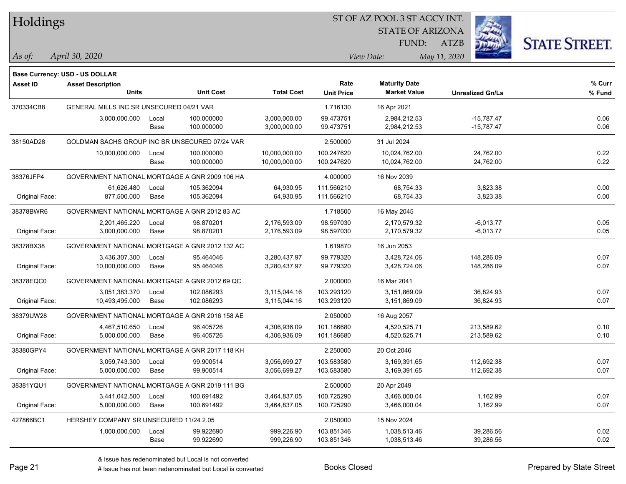| Holdings        |                                                |       |                  |                   | ST OF AZ POOL 3 ST AGCY INT. |                         |              |                         |                      |
|-----------------|------------------------------------------------|-------|------------------|-------------------|------------------------------|-------------------------|--------------|-------------------------|----------------------|
|                 |                                                |       |                  |                   |                              | <b>STATE OF ARIZONA</b> |              |                         |                      |
|                 |                                                |       |                  |                   |                              | FUND:                   | <b>ATZB</b>  |                         | <b>STATE STREET.</b> |
| As of:          | April 30, 2020                                 |       |                  |                   |                              | View Date:              | May 11, 2020 |                         |                      |
|                 | <b>Base Currency: USD - US DOLLAR</b>          |       |                  |                   |                              |                         |              |                         |                      |
| <b>Asset ID</b> | <b>Asset Description</b>                       |       |                  |                   | Rate                         | <b>Maturity Date</b>    |              |                         | $%$ Curr             |
|                 | <b>Units</b>                                   |       | <b>Unit Cost</b> | <b>Total Cost</b> | <b>Unit Price</b>            | <b>Market Value</b>     |              | <b>Unrealized Gn/Ls</b> | % Fund               |
| 370334CB8       | GENERAL MILLS INC SR UNSECURED 04/21 VAR       |       |                  |                   | 1.716130                     | 16 Apr 2021             |              |                         |                      |
|                 | 3,000,000.000                                  | Local | 100.000000       | 3,000,000.00      | 99.473751                    | 2,984,212.53            |              | $-15,787.47$            | 0.06                 |
|                 |                                                | Base  | 100.000000       | 3,000,000.00      | 99.473751                    | 2,984,212.53            |              | $-15,787.47$            | 0.06                 |
| 38150AD28       | GOLDMAN SACHS GROUP INC SR UNSECURED 07/24 VAR |       |                  |                   | 2.500000                     | 31 Jul 2024             |              |                         |                      |
|                 | 10,000,000.000                                 | Local | 100.000000       | 10,000,000.00     | 100.247620                   | 10,024,762.00           |              | 24,762.00               | 0.22                 |
|                 |                                                | Base  | 100.000000       | 10,000,000.00     | 100.247620                   | 10,024,762.00           |              | 24,762.00               | 0.22                 |
| 38376JFP4       | GOVERNMENT NATIONAL MORTGAGE A GNR 2009 106 HA |       |                  |                   | 4.000000                     | 16 Nov 2039             |              |                         |                      |
|                 | 61,626.480                                     | Local | 105.362094       | 64,930.95         | 111.566210                   | 68,754.33               |              | 3,823.38                | 0.00                 |
| Original Face:  | 877,500.000                                    | Base  | 105.362094       | 64,930.95         | 111.566210                   | 68,754.33               |              | 3,823.38                | 0.00                 |
| 38378BWR6       | GOVERNMENT NATIONAL MORTGAGE A GNR 2012 83 AC  |       |                  |                   | 1.718500                     | 16 May 2045             |              |                         |                      |
|                 | 2,201,465.220                                  | Local | 98.870201        | 2,176,593.09      | 98.597030                    | 2,170,579.32            |              | $-6,013.77$             | 0.05                 |
| Original Face:  | 3,000,000.000                                  | Base  | 98.870201        | 2,176,593.09      | 98.597030                    | 2,170,579.32            |              | $-6,013.77$             | 0.05                 |
| 38378BX38       | GOVERNMENT NATIONAL MORTGAGE A GNR 2012 132 AC |       |                  |                   | 1.619870                     | 16 Jun 2053             |              |                         |                      |
|                 | 3,436,307.300                                  | Local | 95.464046        | 3,280,437.97      | 99.779320                    | 3,428,724.06            |              | 148,286.09              | 0.07                 |
| Original Face:  | 10,000,000.000                                 | Base  | 95.464046        | 3,280,437.97      | 99.779320                    | 3,428,724.06            |              | 148,286.09              | 0.07                 |
| 38378EQC0       | GOVERNMENT NATIONAL MORTGAGE A GNR 2012 69 QC  |       |                  |                   | 2.000000                     | 16 Mar 2041             |              |                         |                      |
|                 | 3,051,383.370                                  | Local | 102.086293       | 3,115,044.16      | 103.293120                   | 3,151,869.09            |              | 36,824.93               | 0.07                 |
| Original Face:  | 10,493,495.000                                 | Base  | 102.086293       | 3,115,044.16      | 103.293120                   | 3,151,869.09            |              | 36,824.93               | 0.07                 |
| 38379UW28       | GOVERNMENT NATIONAL MORTGAGE A GNR 2016 158 AE |       |                  |                   | 2.050000                     | 16 Aug 2057             |              |                         |                      |
|                 | 4,467,510.650                                  | Local | 96.405726        | 4,306,936.09      | 101.186680                   | 4,520,525.71            |              | 213,589.62              | 0.10                 |
| Original Face:  | 5,000,000.000                                  | Base  | 96.405726        | 4,306,936.09      | 101.186680                   | 4,520,525.71            |              | 213,589.62              | 0.10                 |
| 38380GPY4       | GOVERNMENT NATIONAL MORTGAGE A GNR 2017 118 KH |       |                  |                   | 2.250000                     | 20 Oct 2046             |              |                         |                      |
|                 | 3,059,743.300                                  | Local | 99.900514        | 3,056,699.27      | 103.583580                   | 3,169,391.65            |              | 112,692.38              | 0.07                 |
| Original Face:  | 5,000,000.000                                  | Base  | 99.900514        | 3,056,699.27      | 103.583580                   | 3,169,391.65            |              | 112,692.38              | 0.07                 |
| 38381YQU1       | GOVERNMENT NATIONAL MORTGAGE A GNR 2019 111 BG |       |                  |                   | 2.500000                     | 20 Apr 2049             |              |                         |                      |
|                 | 3,441,042.500                                  | Local | 100.691492       | 3,464,837.05      | 100.725290                   | 3,466,000.04            |              | 1,162.99                | 0.07                 |
| Original Face:  | 5,000,000.000                                  | Base  | 100.691492       | 3,464,837.05      | 100.725290                   | 3,466,000.04            |              | 1,162.99                | 0.07                 |
| 427866BC1       | HERSHEY COMPANY SR UNSECURED 11/24 2.05        |       |                  |                   | 2.050000                     | 15 Nov 2024             |              |                         |                      |
|                 | 1,000,000.000                                  | Local | 99.922690        | 999,226.90        | 103.851346                   | 1,038,513.46            |              | 39,286.56               | 0.02                 |
|                 |                                                | Base  | 99.922690        | 999,226.90        | 103.851346                   | 1,038,513.46            |              | 39,286.56               | 0.02                 |

 $\overline{\phantom{a}}$ 

 $\overline{\phantom{a}}$ 

 $\overline{\phantom{a}}$ 

 $\overline{\phantom{a}}$ 

 $\overline{\phantom{0}}$ 

denote the redenominated but Local is converted Books Closed Prepared by State Street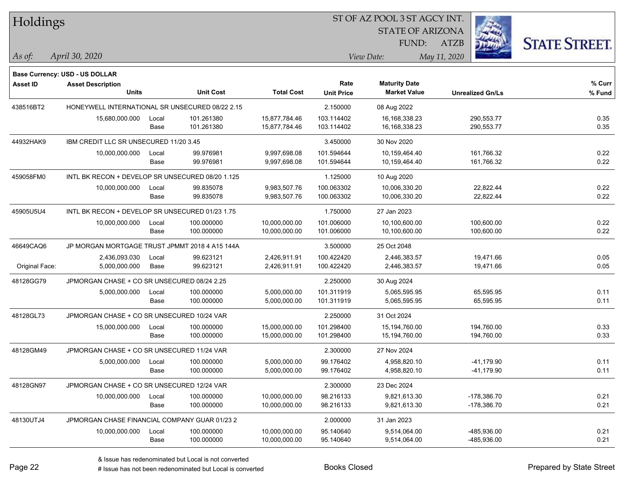| Holdings        |                                                  |       |                  |                   |                   | ST OF AZ POOL 3 ST AGCY INT. |                         |                      |
|-----------------|--------------------------------------------------|-------|------------------|-------------------|-------------------|------------------------------|-------------------------|----------------------|
|                 |                                                  |       |                  |                   |                   | <b>STATE OF ARIZONA</b>      |                         |                      |
|                 |                                                  |       |                  |                   |                   | FUND:                        | <b>ATZB</b>             | <b>STATE STREET.</b> |
| As of:          | April 30, 2020                                   |       |                  |                   | View Date:        |                              | May 11, 2020            |                      |
|                 | Base Currency: USD - US DOLLAR                   |       |                  |                   |                   |                              |                         |                      |
| <b>Asset ID</b> | <b>Asset Description</b>                         |       |                  |                   | Rate              | <b>Maturity Date</b>         |                         | $%$ Curr             |
|                 | <b>Units</b>                                     |       | <b>Unit Cost</b> | <b>Total Cost</b> | <b>Unit Price</b> | <b>Market Value</b>          | <b>Unrealized Gn/Ls</b> | % Fund               |
| 438516BT2       | HONEYWELL INTERNATIONAL SR UNSECURED 08/22 2.15  |       |                  |                   | 2.150000          | 08 Aug 2022                  |                         |                      |
|                 | 15,680,000.000                                   | Local | 101.261380       | 15,877,784.46     | 103.114402        | 16, 168, 338. 23             | 290,553.77              | 0.35                 |
|                 |                                                  | Base  | 101.261380       | 15,877,784.46     | 103.114402        | 16, 168, 338. 23             | 290,553.77              | 0.35                 |
| 44932HAK9       | IBM CREDIT LLC SR UNSECURED 11/20 3.45           |       |                  |                   | 3.450000          | 30 Nov 2020                  |                         |                      |
|                 | 10,000,000.000                                   | Local | 99.976981        | 9,997,698.08      | 101.594644        | 10,159,464.40                | 161,766.32              | 0.22                 |
|                 |                                                  | Base  | 99.976981        | 9,997,698.08      | 101.594644        | 10,159,464.40                | 161,766.32              | 0.22                 |
| 459058FM0       | INTL BK RECON + DEVELOP SR UNSECURED 08/20 1.125 |       |                  |                   | 1.125000          | 10 Aug 2020                  |                         |                      |
|                 | 10,000,000.000                                   | Local | 99.835078        | 9,983,507.76      | 100.063302        | 10,006,330.20                | 22,822.44               | 0.22                 |
|                 |                                                  | Base  | 99.835078        | 9,983,507.76      | 100.063302        | 10,006,330.20                | 22,822.44               | 0.22                 |
| 45905U5U4       | INTL BK RECON + DEVELOP SR UNSECURED 01/23 1.75  |       |                  |                   | 1.750000          | 27 Jan 2023                  |                         |                      |
|                 | 10,000,000.000                                   | Local | 100.000000       | 10,000,000.00     | 101.006000        | 10,100,600.00                | 100,600.00              | 0.22                 |
|                 |                                                  | Base  | 100.000000       | 10,000,000.00     | 101.006000        | 10,100,600.00                | 100,600.00              | 0.22                 |
| 46649CAQ6       | JP MORGAN MORTGAGE TRUST JPMMT 2018 4 A15 144A   |       |                  |                   | 3.500000          | 25 Oct 2048                  |                         |                      |
|                 | 2,436,093.030                                    | Local | 99.623121        | 2,426,911.91      | 100.422420        | 2,446,383.57                 | 19,471.66               | 0.05                 |
| Original Face:  | 5,000,000.000                                    | Base  | 99.623121        | 2,426,911.91      | 100.422420        | 2,446,383.57                 | 19,471.66               | 0.05                 |
| 48128GG79       | JPMORGAN CHASE + CO SR UNSECURED 08/24 2.25      |       |                  |                   | 2.250000          | 30 Aug 2024                  |                         |                      |
|                 | 5,000,000.000                                    | Local | 100.000000       | 5,000,000.00      | 101.311919        | 5,065,595.95                 | 65,595.95               | 0.11                 |
|                 |                                                  | Base  | 100.000000       | 5,000,000.00      | 101.311919        | 5,065,595.95                 | 65,595.95               | 0.11                 |
| 48128GL73       | JPMORGAN CHASE + CO SR UNSECURED 10/24 VAR       |       |                  |                   | 2.250000          | 31 Oct 2024                  |                         |                      |
|                 | 15,000,000.000                                   | Local | 100.000000       | 15,000,000.00     | 101.298400        | 15,194,760.00                | 194,760.00              | 0.33                 |
|                 |                                                  | Base  | 100.000000       | 15,000,000.00     | 101.298400        | 15,194,760.00                | 194,760.00              | 0.33                 |
| 48128GM49       | JPMORGAN CHASE + CO SR UNSECURED 11/24 VAR       |       |                  |                   | 2.300000          | 27 Nov 2024                  |                         |                      |
|                 | 5,000,000.000                                    | Local | 100.000000       | 5,000,000.00      | 99.176402         | 4,958,820.10                 | $-41,179.90$            | 0.11                 |
|                 |                                                  | Base  | 100.000000       | 5,000,000.00      | 99.176402         | 4,958,820.10                 | -41,179.90              | 0.11                 |
| 48128GN97       | JPMORGAN CHASE + CO SR UNSECURED 12/24 VAR       |       |                  |                   | 2.300000          | 23 Dec 2024                  |                         |                      |
|                 | 10,000,000.000                                   | Local | 100.000000       | 10,000,000.00     | 98.216133         | 9,821,613.30                 | $-178,386.70$           | 0.21                 |
|                 |                                                  | Base  | 100.000000       | 10,000,000.00     | 98.216133         | 9,821,613.30                 | $-178,386.70$           | 0.21                 |
| 48130UTJ4       | JPMORGAN CHASE FINANCIAL COMPANY GUAR 01/23 2    |       |                  |                   | 2.000000          | 31 Jan 2023                  |                         |                      |
|                 | 10,000,000.000                                   | Local | 100.000000       | 10,000,000.00     | 95.140640         | 9,514,064.00                 | -485,936.00             | 0.21                 |
|                 |                                                  | Base  | 100.000000       | 10,000,000.00     | 95.140640         | 9,514,064.00                 | -485,936.00             | 0.21                 |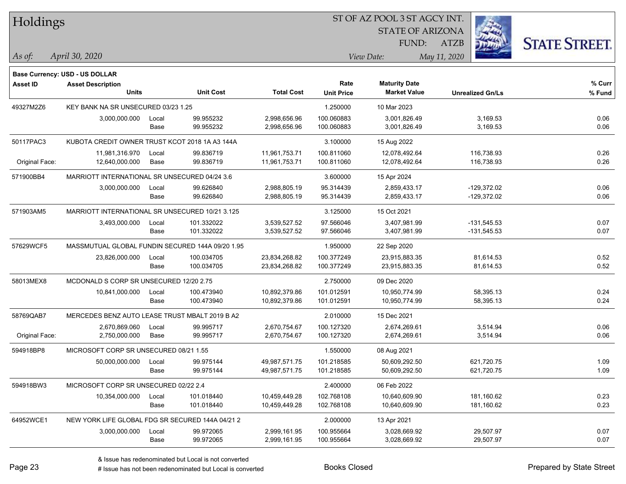| Holdings        |                                                  |       |                  |                   |                   | ST OF AZ POOL 3 ST AGCY INT. |                         |                      |
|-----------------|--------------------------------------------------|-------|------------------|-------------------|-------------------|------------------------------|-------------------------|----------------------|
|                 |                                                  |       |                  |                   |                   | <b>STATE OF ARIZONA</b>      |                         |                      |
|                 |                                                  |       |                  |                   |                   | FUND:                        | ATZB                    | <b>STATE STREET.</b> |
| As of:          | April 30, 2020                                   |       |                  |                   |                   | View Date:                   | May 11, 2020            |                      |
|                 | Base Currency: USD - US DOLLAR                   |       |                  |                   |                   |                              |                         |                      |
| <b>Asset ID</b> | <b>Asset Description</b>                         |       |                  |                   | Rate              | <b>Maturity Date</b>         |                         | % Curr               |
|                 | <b>Units</b>                                     |       | <b>Unit Cost</b> | <b>Total Cost</b> | <b>Unit Price</b> | <b>Market Value</b>          | <b>Unrealized Gn/Ls</b> | % Fund               |
| 49327M2Z6       | KEY BANK NA SR UNSECURED 03/23 1.25              |       |                  |                   | 1.250000          | 10 Mar 2023                  |                         |                      |
|                 | 3,000,000.000                                    | Local | 99.955232        | 2,998,656.96      | 100.060883        | 3,001,826.49                 | 3,169.53                | 0.06                 |
|                 |                                                  | Base  | 99.955232        | 2,998,656.96      | 100.060883        | 3,001,826.49                 | 3,169.53                | 0.06                 |
| 50117PAC3       | KUBOTA CREDIT OWNER TRUST KCOT 2018 1A A3 144A   |       |                  |                   | 3.100000          | 15 Aug 2022                  |                         |                      |
|                 | 11,981,316.970                                   | Local | 99.836719        | 11,961,753.71     | 100.811060        | 12,078,492.64                | 116,738.93              | 0.26                 |
| Original Face:  | 12,640,000.000                                   | Base  | 99.836719        | 11,961,753.71     | 100.811060        | 12,078,492.64                | 116,738.93              | 0.26                 |
| 571900BB4       | MARRIOTT INTERNATIONAL SR UNSECURED 04/24 3.6    |       |                  |                   | 3.600000          | 15 Apr 2024                  |                         |                      |
|                 | 3,000,000.000                                    | Local | 99.626840        | 2,988,805.19      | 95.314439         | 2,859,433.17                 | $-129.372.02$           | 0.06                 |
|                 |                                                  | Base  | 99.626840        | 2,988,805.19      | 95.314439         | 2,859,433.17                 | $-129,372.02$           | 0.06                 |
| 571903AM5       | MARRIOTT INTERNATIONAL SR UNSECURED 10/21 3.125  |       |                  |                   | 3.125000          | 15 Oct 2021                  |                         |                      |
|                 | 3,493,000.000                                    | Local | 101.332022       | 3,539,527.52      | 97.566046         | 3,407,981.99                 | $-131,545.53$           | 0.07                 |
|                 |                                                  | Base  | 101.332022       | 3,539,527.52      | 97.566046         | 3,407,981.99                 | $-131,545.53$           | 0.07                 |
| 57629WCF5       | MASSMUTUAL GLOBAL FUNDIN SECURED 144A 09/20 1.95 |       |                  |                   | 1.950000          | 22 Sep 2020                  |                         |                      |
|                 | 23,826,000.000                                   | Local | 100.034705       | 23,834,268.82     | 100.377249        | 23,915,883.35                | 81,614.53               | 0.52                 |
|                 |                                                  | Base  | 100.034705       | 23,834,268.82     | 100.377249        | 23,915,883.35                | 81,614.53               | 0.52                 |
| 58013MEX8       | MCDONALD S CORP SR UNSECURED 12/20 2.75          |       |                  |                   | 2.750000          | 09 Dec 2020                  |                         |                      |
|                 | 10,841,000.000                                   | Local | 100.473940       | 10,892,379.86     | 101.012591        | 10,950,774.99                | 58,395.13               | 0.24                 |
|                 |                                                  | Base  | 100.473940       | 10,892,379.86     | 101.012591        | 10,950,774.99                | 58,395.13               | 0.24                 |
| 58769QAB7       | MERCEDES BENZ AUTO LEASE TRUST MBALT 2019 B A2   |       |                  |                   | 2.010000          | 15 Dec 2021                  |                         |                      |
|                 | 2,670,869.060                                    | Local | 99.995717        | 2,670,754.67      | 100.127320        | 2,674,269.61                 | 3,514.94                | 0.06                 |
| Original Face:  | 2,750,000.000                                    | Base  | 99.995717        | 2,670,754.67      | 100.127320        | 2,674,269.61                 | 3,514.94                | 0.06                 |
| 594918BP8       | MICROSOFT CORP SR UNSECURED 08/21 1.55           |       |                  |                   | 1.550000          | 08 Aug 2021                  |                         |                      |
|                 | 50,000,000.000                                   | Local | 99.975144        | 49,987,571.75     | 101.218585        | 50,609,292.50                | 621,720.75              | 1.09                 |
|                 |                                                  | Base  | 99.975144        | 49,987,571.75     | 101.218585        | 50,609,292.50                | 621,720.75              | 1.09                 |
| 594918BW3       | MICROSOFT CORP SR UNSECURED 02/22 2.4            |       |                  |                   | 2.400000          | 06 Feb 2022                  |                         |                      |
|                 | 10,354,000.000                                   | Local | 101.018440       | 10,459,449.28     | 102.768108        | 10,640,609.90                | 181,160.62              | 0.23                 |
|                 |                                                  | Base  | 101.018440       | 10,459,449.28     | 102.768108        | 10,640,609.90                | 181,160.62              | 0.23                 |
| 64952WCE1       | NEW YORK LIFE GLOBAL FDG SR SECURED 144A 04/21 2 |       |                  |                   | 2.000000          | 13 Apr 2021                  |                         |                      |
|                 | 3,000,000.000                                    | Local | 99.972065        | 2,999,161.95      | 100.955664        | 3,028,669.92                 | 29,507.97               | 0.07                 |
|                 |                                                  | Base  | 99.972065        | 2,999,161.95      | 100.955664        | 3,028,669.92                 | 29,507.97               | 0.07                 |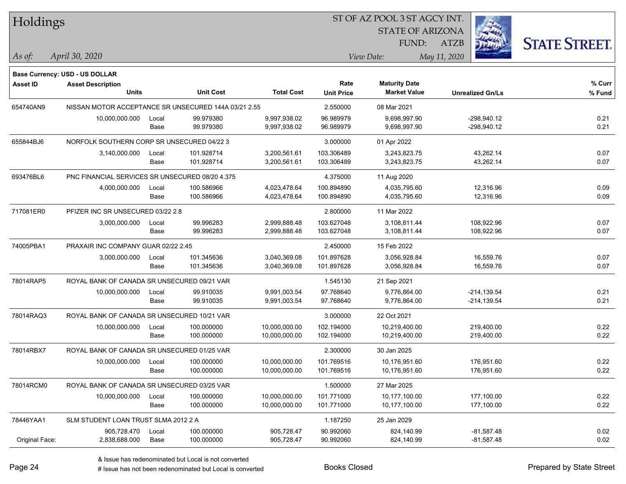| Holdings        |                                                      |       |                  |                   | ST OF AZ POOL 3 ST AGCY INT. |                                             |                         |                      |
|-----------------|------------------------------------------------------|-------|------------------|-------------------|------------------------------|---------------------------------------------|-------------------------|----------------------|
|                 |                                                      |       |                  |                   |                              | <b>STATE OF ARIZONA</b>                     |                         |                      |
|                 |                                                      |       |                  |                   |                              | FUND:                                       | ATZB                    | <b>STATE STREET.</b> |
| As of:          | April 30, 2020                                       |       |                  |                   |                              | View Date:                                  | May 11, 2020            |                      |
|                 |                                                      |       |                  |                   |                              |                                             |                         |                      |
|                 | <b>Base Currency: USD - US DOLLAR</b>                |       |                  |                   | Rate                         |                                             |                         | $%$ Curr             |
| <b>Asset ID</b> | <b>Asset Description</b><br>Units                    |       | <b>Unit Cost</b> | <b>Total Cost</b> | <b>Unit Price</b>            | <b>Maturity Date</b><br><b>Market Value</b> | <b>Unrealized Gn/Ls</b> | % Fund               |
| 654740AN9       | NISSAN MOTOR ACCEPTANCE SR UNSECURED 144A 03/21 2.55 |       |                  |                   | 2.550000                     | 08 Mar 2021                                 |                         |                      |
|                 | 10,000,000.000                                       | Local | 99.979380        | 9,997,938.02      | 96.989979                    | 9,698,997.90                                | $-298,940.12$           | 0.21                 |
|                 |                                                      | Base  | 99.979380        | 9,997,938.02      | 96.989979                    | 9,698,997.90                                | $-298,940.12$           | 0.21                 |
| 655844BJ6       | NORFOLK SOUTHERN CORP SR UNSECURED 04/22 3           |       |                  |                   | 3.000000                     | 01 Apr 2022                                 |                         |                      |
|                 | 3,140,000.000                                        | Local | 101.928714       | 3,200,561.61      | 103.306489                   | 3,243,823.75                                | 43,262.14               | 0.07                 |
|                 |                                                      | Base  | 101.928714       | 3,200,561.61      | 103.306489                   | 3,243,823.75                                | 43,262.14               | 0.07                 |
| 693476BL6       | PNC FINANCIAL SERVICES SR UNSECURED 08/20 4.375      |       |                  |                   | 4.375000                     | 11 Aug 2020                                 |                         |                      |
|                 | 4,000,000.000                                        | Local | 100.586966       | 4,023,478.64      | 100.894890                   | 4,035,795.60                                | 12,316.96               | 0.09                 |
|                 |                                                      | Base  | 100.586966       | 4,023,478.64      | 100.894890                   | 4,035,795.60                                | 12,316.96               | 0.09                 |
| 717081ER0       | PFIZER INC SR UNSECURED 03/22 2.8                    |       |                  |                   | 2.800000                     | 11 Mar 2022                                 |                         |                      |
|                 | 3,000,000.000                                        | Local | 99.996283        | 2,999,888.48      | 103.627048                   | 3,108,811.44                                | 108,922.96              | 0.07                 |
|                 |                                                      | Base  | 99.996283        | 2,999,888.48      | 103.627048                   | 3,108,811.44                                | 108,922.96              | 0.07                 |
| 74005PBA1       | PRAXAIR INC COMPANY GUAR 02/22 2.45                  |       |                  |                   | 2.450000                     | 15 Feb 2022                                 |                         |                      |
|                 | 3,000,000.000                                        | Local | 101.345636       | 3,040,369.08      | 101.897628                   | 3,056,928.84                                | 16,559.76               | 0.07                 |
|                 |                                                      | Base  | 101.345636       | 3,040,369.08      | 101.897628                   | 3,056,928.84                                | 16,559.76               | 0.07                 |
| 78014RAP5       | ROYAL BANK OF CANADA SR UNSECURED 09/21 VAR          |       |                  |                   | 1.545130                     | 21 Sep 2021                                 |                         |                      |
|                 | 10,000,000.000                                       | Local | 99.910035        | 9,991,003.54      | 97.768640                    | 9,776,864.00                                | $-214, 139.54$          | 0.21                 |
|                 |                                                      | Base  | 99.910035        | 9,991,003.54      | 97.768640                    | 9,776,864.00                                | $-214, 139.54$          | 0.21                 |
| 78014RAQ3       | ROYAL BANK OF CANADA SR UNSECURED 10/21 VAR          |       |                  |                   | 3.000000                     | 22 Oct 2021                                 |                         |                      |
|                 | 10,000,000.000                                       | Local | 100.000000       | 10,000,000.00     | 102.194000                   | 10,219,400.00                               | 219,400.00              | 0.22                 |
|                 |                                                      | Base  | 100.000000       | 10,000,000.00     | 102.194000                   | 10,219,400.00                               | 219,400.00              | 0.22                 |
| 78014RBX7       | ROYAL BANK OF CANADA SR UNSECURED 01/25 VAR          |       |                  |                   | 2.300000                     | 30 Jan 2025                                 |                         |                      |
|                 | 10,000,000.000                                       | Local | 100.000000       | 10,000,000.00     | 101.769516                   | 10,176,951.60                               | 176,951.60              | 0.22                 |
|                 |                                                      | Base  | 100.000000       | 10,000,000.00     | 101.769516                   | 10,176,951.60                               | 176,951.60              | 0.22                 |
| 78014RCM0       | ROYAL BANK OF CANADA SR UNSECURED 03/25 VAR          |       |                  |                   | 1.500000                     | 27 Mar 2025                                 |                         |                      |
|                 | 10,000,000.000                                       | Local | 100.000000       | 10,000,000.00     | 101.771000                   | 10,177,100.00                               | 177,100.00              | 0.22                 |
|                 |                                                      | Base  | 100.000000       | 10,000,000.00     | 101.771000                   | 10,177,100.00                               | 177,100.00              | 0.22                 |
| 78446YAA1       | SLM STUDENT LOAN TRUST SLMA 2012 2 A                 |       |                  |                   | 1.187250                     | 25 Jan 2029                                 |                         |                      |
|                 | 905,728.470                                          | Local | 100.000000       | 905,728.47        | 90.992060                    | 824,140.99                                  | $-81,587.48$            | 0.02                 |
| Original Face:  | 2,838,688.000                                        | Base  | 100.000000       | 905,728.47        | 90.992060                    | 824,140.99                                  | $-81,587.48$            | 0.02                 |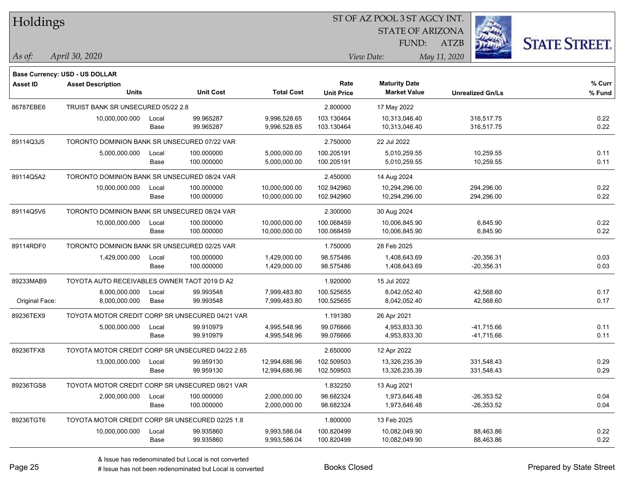| Holdings       |                                                            |       |                  |                   |                   | ST OF AZ POOL 3 ST AGCY INT. |                         |                      |
|----------------|------------------------------------------------------------|-------|------------------|-------------------|-------------------|------------------------------|-------------------------|----------------------|
|                |                                                            |       |                  |                   |                   | <b>STATE OF ARIZONA</b>      |                         |                      |
|                |                                                            |       |                  |                   |                   | FUND:                        | <b>ATZB</b>             | <b>STATE STREET.</b> |
| $\vert$ As of: | April 30, 2020                                             |       |                  |                   |                   | View Date:                   | May 11, 2020            |                      |
|                |                                                            |       |                  |                   |                   |                              |                         |                      |
| Asset ID       | Base Currency: USD - US DOLLAR<br><b>Asset Description</b> |       |                  |                   | Rate              | <b>Maturity Date</b>         |                         | % Curr               |
|                | <b>Units</b>                                               |       | <b>Unit Cost</b> | <b>Total Cost</b> | <b>Unit Price</b> | <b>Market Value</b>          | <b>Unrealized Gn/Ls</b> | % Fund               |
| 86787EBE6      | TRUIST BANK SR UNSECURED 05/22 2.8                         |       |                  |                   | 2.800000          | 17 May 2022                  |                         |                      |
|                | 10,000,000.000                                             | Local | 99.965287        | 9,996,528.65      | 103.130464        | 10,313,046.40                | 316,517.75              | 0.22                 |
|                |                                                            | Base  | 99.965287        | 9,996,528.65      | 103.130464        | 10,313,046.40                | 316,517.75              | 0.22                 |
| 89114Q3J5      | TORONTO DOMINION BANK SR UNSECURED 07/22 VAR               |       |                  |                   | 2.750000          | 22 Jul 2022                  |                         |                      |
|                | 5,000,000.000                                              | Local | 100.000000       | 5,000,000.00      | 100.205191        | 5,010,259.55                 | 10,259.55               | 0.11                 |
|                |                                                            | Base  | 100.000000       | 5,000,000.00      | 100.205191        | 5,010,259.55                 | 10,259.55               | 0.11                 |
| 89114Q5A2      | TORONTO DOMINION BANK SR UNSECURED 08/24 VAR               |       |                  |                   | 2.450000          | 14 Aug 2024                  |                         |                      |
|                | 10,000,000.000                                             | Local | 100.000000       | 10,000,000.00     | 102.942960        | 10,294,296.00                | 294,296.00              | 0.22                 |
|                |                                                            | Base  | 100.000000       | 10,000,000.00     | 102.942960        | 10,294,296.00                | 294,296.00              | 0.22                 |
| 89114Q5V6      | TORONTO DOMINION BANK SR UNSECURED 08/24 VAR               |       |                  |                   | 2.300000          | 30 Aug 2024                  |                         |                      |
|                | 10,000,000.000                                             | Local | 100.000000       | 10,000,000.00     | 100.068459        | 10,006,845.90                | 6,845.90                | 0.22                 |
|                |                                                            | Base  | 100.000000       | 10,000,000.00     | 100.068459        | 10,006,845.90                | 6,845.90                | 0.22                 |
| 89114RDF0      | TORONTO DOMINION BANK SR UNSECURED 02/25 VAR               |       |                  |                   | 1.750000          | 28 Feb 2025                  |                         |                      |
|                | 1,429,000.000                                              | Local | 100.000000       | 1,429,000.00      | 98.575486         | 1,408,643.69                 | $-20,356.31$            | 0.03                 |
|                |                                                            | Base  | 100.000000       | 1,429,000.00      | 98.575486         | 1,408,643.69                 | $-20,356.31$            | 0.03                 |
| 89233MAB9      | TOYOTA AUTO RECEIVABLES OWNER TAOT 2019 D A2               |       |                  |                   | 1.920000          | 15 Jul 2022                  |                         |                      |
|                | 8,000,000.000                                              | Local | 99.993548        | 7,999,483.80      | 100.525655        | 8,042,052.40                 | 42,568.60               | 0.17                 |
| Original Face: | 8,000,000.000                                              | Base  | 99.993548        | 7,999,483.80      | 100.525655        | 8,042,052.40                 | 42,568.60               | 0.17                 |
| 89236TEX9      | TOYOTA MOTOR CREDIT CORP SR UNSECURED 04/21 VAR            |       |                  |                   | 1.191380          | 26 Apr 2021                  |                         |                      |
|                | 5,000,000.000                                              | Local | 99.910979        | 4,995,548.96      | 99.076666         | 4,953,833.30                 | $-41,715.66$            | 0.11                 |
|                |                                                            | Base  | 99.910979        | 4,995,548.96      | 99.076666         | 4,953,833.30                 | $-41,715.66$            | 0.11                 |
| 89236TFX8      | TOYOTA MOTOR CREDIT CORP SR UNSECURED 04/22 2.65           |       |                  |                   | 2.650000          | 12 Apr 2022                  |                         |                      |
|                | 13,000,000.000                                             | Local | 99.959130        | 12,994,686.96     | 102.509503        | 13,326,235.39                | 331,548.43              | 0.29                 |
|                |                                                            | Base  | 99.959130        | 12,994,686.96     | 102.509503        | 13,326,235.39                | 331,548.43              | 0.29                 |
| 89236TGS8      | TOYOTA MOTOR CREDIT CORP SR UNSECURED 08/21 VAR            |       |                  |                   | 1.832250          | 13 Aug 2021                  |                         |                      |
|                | 2,000,000.000                                              | Local | 100.000000       | 2,000,000.00      | 98.682324         | 1,973,646.48                 | $-26,353.52$            | 0.04                 |
|                |                                                            | Base  | 100.000000       | 2,000,000.00      | 98.682324         | 1,973,646.48                 | $-26,353.52$            | 0.04                 |
| 89236TGT6      | TOYOTA MOTOR CREDIT CORP SR UNSECURED 02/25 1.8            |       |                  |                   | 1.800000          | 13 Feb 2025                  |                         |                      |
|                | 10,000,000.000                                             | Local | 99.935860        | 9,993,586.04      | 100.820499        | 10,082,049.90                | 88,463.86               | 0.22                 |
|                |                                                            | Base  | 99.935860        | 9,993,586.04      | 100.820499        | 10,082,049.90                | 88,463.86               | 0.22                 |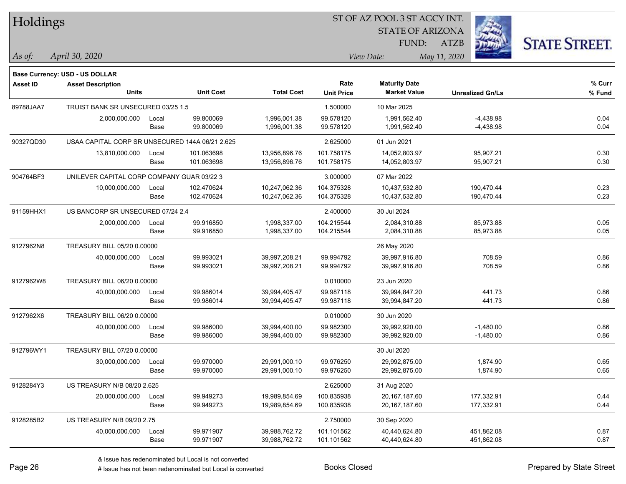| Holdings  |                                                 |       |                  |                   |                   | ST OF AZ POOL 3 ST AGCY INT. |                         |                      |
|-----------|-------------------------------------------------|-------|------------------|-------------------|-------------------|------------------------------|-------------------------|----------------------|
|           |                                                 |       |                  |                   |                   | <b>STATE OF ARIZONA</b>      |                         |                      |
|           |                                                 |       |                  |                   |                   | FUND:                        | ATZB                    | <b>STATE STREET.</b> |
| As of:    | April 30, 2020                                  |       |                  |                   |                   | View Date:                   | May 11, 2020            |                      |
|           | Base Currency: USD - US DOLLAR                  |       |                  |                   |                   |                              |                         |                      |
| Asset ID  | <b>Asset Description</b>                        |       |                  |                   | Rate              | <b>Maturity Date</b>         |                         | % Curr               |
|           | <b>Units</b>                                    |       | <b>Unit Cost</b> | <b>Total Cost</b> | <b>Unit Price</b> | <b>Market Value</b>          | <b>Unrealized Gn/Ls</b> | % Fund               |
| 89788JAA7 | TRUIST BANK SR UNSECURED 03/25 1.5              |       |                  |                   | 1.500000          | 10 Mar 2025                  |                         |                      |
|           | 2,000,000.000                                   | Local | 99.800069        | 1,996,001.38      | 99.578120         | 1,991,562.40                 | $-4,438.98$             | 0.04                 |
|           |                                                 | Base  | 99.800069        | 1,996,001.38      | 99.578120         | 1,991,562.40                 | $-4,438.98$             | 0.04                 |
| 90327QD30 | USAA CAPITAL CORP SR UNSECURED 144A 06/21 2.625 |       |                  |                   | 2.625000          | 01 Jun 2021                  |                         |                      |
|           | 13,810,000.000                                  | Local | 101.063698       | 13,956,896.76     | 101.758175        | 14,052,803.97                | 95,907.21               | 0.30                 |
|           |                                                 | Base  | 101.063698       | 13,956,896.76     | 101.758175        | 14,052,803.97                | 95,907.21               | 0.30                 |
| 904764BF3 | UNILEVER CAPITAL CORP COMPANY GUAR 03/22 3      |       |                  |                   | 3.000000          | 07 Mar 2022                  |                         |                      |
|           | 10,000,000.000                                  | Local | 102.470624       | 10,247,062.36     | 104.375328        | 10,437,532.80                | 190,470.44              | 0.23                 |
|           |                                                 | Base  | 102.470624       | 10,247,062.36     | 104.375328        | 10,437,532.80                | 190,470.44              | 0.23                 |
| 91159HHX1 | US BANCORP SR UNSECURED 07/24 2.4               |       |                  |                   | 2.400000          | 30 Jul 2024                  |                         |                      |
|           | 2,000,000.000                                   | Local | 99.916850        | 1,998,337.00      | 104.215544        | 2,084,310.88                 | 85,973.88               | 0.05                 |
|           |                                                 | Base  | 99.916850        | 1,998,337.00      | 104.215544        | 2,084,310.88                 | 85,973.88               | 0.05                 |
| 9127962N8 | TREASURY BILL 05/20 0.00000                     |       |                  |                   |                   | 26 May 2020                  |                         |                      |
|           | 40,000,000.000                                  | Local | 99.993021        | 39,997,208.21     | 99.994792         | 39,997,916.80                | 708.59                  | 0.86                 |
|           |                                                 | Base  | 99.993021        | 39,997,208.21     | 99.994792         | 39,997,916.80                | 708.59                  | 0.86                 |
| 9127962W8 | TREASURY BILL 06/20 0.00000                     |       |                  |                   | 0.010000          | 23 Jun 2020                  |                         |                      |
|           | 40,000,000.000                                  | Local | 99.986014        | 39,994,405.47     | 99.987118         | 39,994,847.20                | 441.73                  | 0.86                 |
|           |                                                 | Base  | 99.986014        | 39,994,405.47     | 99.987118         | 39,994,847.20                | 441.73                  | 0.86                 |
| 9127962X6 | TREASURY BILL 06/20 0.00000                     |       |                  |                   | 0.010000          | 30 Jun 2020                  |                         |                      |
|           | 40,000,000.000                                  | Local | 99.986000        | 39,994,400.00     | 99.982300         | 39,992,920.00                | $-1,480.00$             | 0.86                 |
|           |                                                 | Base  | 99.986000        | 39,994,400.00     | 99.982300         | 39,992,920.00                | $-1,480.00$             | 0.86                 |
| 912796WY1 | TREASURY BILL 07/20 0.00000                     |       |                  |                   |                   | 30 Jul 2020                  |                         |                      |
|           | 30,000,000.000                                  | Local | 99.970000        | 29,991,000.10     | 99.976250         | 29,992,875.00                | 1,874.90                | 0.65                 |
|           |                                                 | Base  | 99.970000        | 29,991,000.10     | 99.976250         | 29,992,875.00                | 1,874.90                | 0.65                 |
| 9128284Y3 | US TREASURY N/B 08/20 2.625                     |       |                  |                   | 2.625000          | 31 Aug 2020                  |                         |                      |
|           | 20,000,000.000                                  | Local | 99.949273        | 19,989,854.69     | 100.835938        | 20,167,187.60                | 177,332.91              | 0.44                 |
|           |                                                 | Base  | 99.949273        | 19,989,854.69     | 100.835938        | 20,167,187.60                | 177,332.91              | 0.44                 |
| 9128285B2 | US TREASURY N/B 09/20 2.75                      |       |                  |                   | 2.750000          | 30 Sep 2020                  |                         |                      |
|           | 40,000,000.000                                  | Local | 99.971907        | 39,988,762.72     | 101.101562        | 40,440,624.80                | 451,862.08              | 0.87                 |
|           |                                                 | Base  | 99.971907        | 39,988,762.72     | 101.101562        | 40,440,624.80                | 451,862.08              | 0.87                 |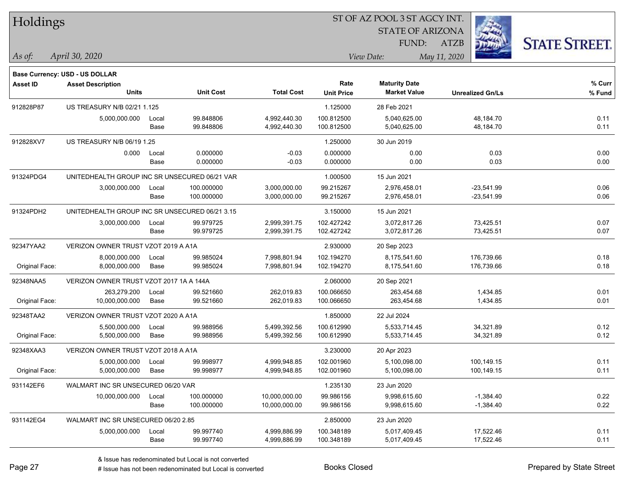| Holdings        |                                                |       |                  |                   |                   | ST OF AZ POOL 3 ST AGCY INT.                |                         |              |                      |  |
|-----------------|------------------------------------------------|-------|------------------|-------------------|-------------------|---------------------------------------------|-------------------------|--------------|----------------------|--|
|                 |                                                |       |                  |                   |                   | <b>STATE OF ARIZONA</b>                     |                         |              |                      |  |
|                 |                                                |       |                  |                   |                   | FUND:                                       | <b>ATZB</b>             |              | <b>STATE STREET.</b> |  |
| $\vert$ As of:  | April 30, 2020                                 |       |                  |                   |                   | View Date:                                  | May 11, 2020            |              |                      |  |
|                 |                                                |       |                  |                   |                   |                                             |                         |              |                      |  |
|                 | <b>Base Currency: USD - US DOLLAR</b>          |       |                  |                   | Rate              |                                             |                         |              | $%$ Curr             |  |
| <b>Asset ID</b> | <b>Asset Description</b><br><b>Units</b>       |       | <b>Unit Cost</b> | <b>Total Cost</b> | <b>Unit Price</b> | <b>Maturity Date</b><br><b>Market Value</b> | <b>Unrealized Gn/Ls</b> |              | % Fund               |  |
| 912828P87       | US TREASURY N/B 02/21 1.125                    |       |                  |                   | 1.125000          | 28 Feb 2021                                 |                         |              |                      |  |
|                 | 5,000,000.000                                  | Local | 99.848806        | 4,992,440.30      | 100.812500        | 5,040,625.00                                |                         | 48,184.70    | 0.11                 |  |
|                 |                                                | Base  | 99.848806        | 4,992,440.30      | 100.812500        | 5,040,625.00                                |                         | 48,184.70    | 0.11                 |  |
| 912828XV7       | US TREASURY N/B 06/19 1.25                     |       |                  |                   | 1.250000          | 30 Jun 2019                                 |                         |              |                      |  |
|                 | 0.000                                          | Local | 0.000000         | $-0.03$           | 0.000000          | 0.00                                        |                         | 0.03         | 0.00                 |  |
|                 |                                                | Base  | 0.000000         | $-0.03$           | 0.000000          | 0.00                                        |                         | 0.03         | 0.00                 |  |
| 91324PDG4       | UNITEDHEALTH GROUP INC SR UNSECURED 06/21 VAR  |       |                  |                   | 1.000500          | 15 Jun 2021                                 |                         |              |                      |  |
|                 | 3,000,000.000                                  | Local | 100.000000       | 3,000,000.00      | 99.215267         | 2,976,458.01                                |                         | $-23,541.99$ | 0.06                 |  |
|                 |                                                | Base  | 100.000000       | 3,000,000.00      | 99.215267         | 2,976,458.01                                |                         | $-23,541.99$ | 0.06                 |  |
| 91324PDH2       | UNITEDHEALTH GROUP INC SR UNSECURED 06/21 3.15 |       |                  |                   | 3.150000          | 15 Jun 2021                                 |                         |              |                      |  |
|                 | 3,000,000.000                                  | Local | 99.979725        | 2,999,391.75      | 102.427242        | 3,072,817.26                                |                         | 73,425.51    | 0.07                 |  |
|                 |                                                | Base  | 99.979725        | 2,999,391.75      | 102.427242        | 3,072,817.26                                |                         | 73,425.51    | 0.07                 |  |
| 92347YAA2       | VERIZON OWNER TRUST VZOT 2019 A A1A            |       |                  |                   | 2.930000          | 20 Sep 2023                                 |                         |              |                      |  |
|                 | 8,000,000.000                                  | Local | 99.985024        | 7,998,801.94      | 102.194270        | 8,175,541.60                                |                         | 176,739.66   | 0.18                 |  |
| Original Face:  | 8,000,000.000                                  | Base  | 99.985024        | 7,998,801.94      | 102.194270        | 8,175,541.60                                |                         | 176,739.66   | 0.18                 |  |
| 92348NAA5       | VERIZON OWNER TRUST VZOT 2017 1A A 144A        |       |                  |                   | 2.060000          | 20 Sep 2021                                 |                         |              |                      |  |
|                 | 263,279.200                                    | Local | 99.521660        | 262,019.83        | 100.066650        | 263,454.68                                  |                         | 1,434.85     | 0.01                 |  |
| Original Face:  | 10,000,000.000                                 | Base  | 99.521660        | 262,019.83        | 100.066650        | 263,454.68                                  |                         | 1,434.85     | 0.01                 |  |
| 92348TAA2       | VERIZON OWNER TRUST VZOT 2020 A A1A            |       |                  |                   | 1.850000          | 22 Jul 2024                                 |                         |              |                      |  |
|                 | 5,500,000.000                                  | Local | 99.988956        | 5,499,392.56      | 100.612990        | 5,533,714.45                                |                         | 34,321.89    | 0.12                 |  |
| Original Face:  | 5,500,000.000                                  | Base  | 99.988956        | 5,499,392.56      | 100.612990        | 5,533,714.45                                |                         | 34,321.89    | 0.12                 |  |
| 92348XAA3       | VERIZON OWNER TRUST VZOT 2018 A A1A            |       |                  |                   | 3.230000          | 20 Apr 2023                                 |                         |              |                      |  |
|                 | 5,000,000.000                                  | Local | 99.998977        | 4,999,948.85      | 102.001960        | 5,100,098.00                                |                         | 100,149.15   | 0.11                 |  |
| Original Face:  | 5,000,000.000                                  | Base  | 99.998977        | 4,999,948.85      | 102.001960        | 5,100,098.00                                |                         | 100,149.15   | 0.11                 |  |
| 931142EF6       | WALMART INC SR UNSECURED 06/20 VAR             |       |                  |                   | 1.235130          | 23 Jun 2020                                 |                         |              |                      |  |
|                 | 10,000,000.000                                 | Local | 100.000000       | 10,000,000.00     | 99.986156         | 9,998,615.60                                |                         | $-1,384.40$  | 0.22                 |  |
|                 |                                                | Base  | 100.000000       | 10,000,000.00     | 99.986156         | 9,998,615.60                                |                         | $-1,384.40$  | 0.22                 |  |
| 931142EG4       | WALMART INC SR UNSECURED 06/20 2.85            |       |                  |                   | 2.850000          | 23 Jun 2020                                 |                         |              |                      |  |
|                 | 5,000,000.000                                  | Local | 99.997740        | 4,999,886.99      | 100.348189        | 5,017,409.45                                |                         | 17,522.46    | 0.11                 |  |
|                 |                                                | Base  | 99.997740        | 4,999,886.99      | 100.348189        | 5,017,409.45                                |                         | 17,522.46    | 0.11                 |  |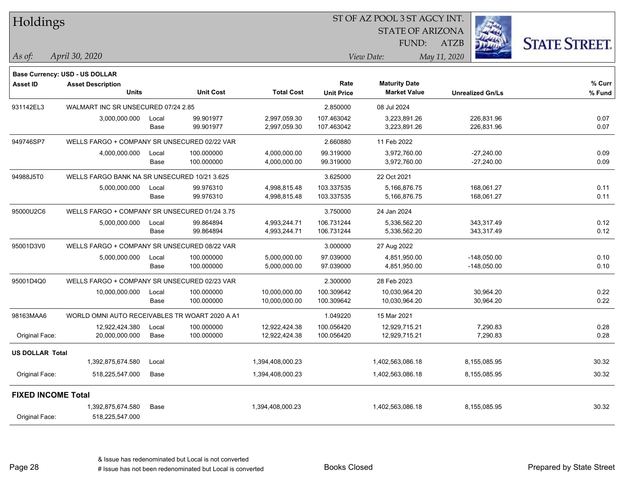| Holdings<br><b>STATE OF ARIZONA</b><br><b>STATE STREET.</b><br>FUND:<br><b>ATZB</b>                                                                                                                  |                  |
|------------------------------------------------------------------------------------------------------------------------------------------------------------------------------------------------------|------------------|
|                                                                                                                                                                                                      |                  |
|                                                                                                                                                                                                      |                  |
| April 30, 2020<br>View Date:<br>May 11, 2020<br>$\vert$ As of:                                                                                                                                       |                  |
| Base Currency: USD - US DOLLAR                                                                                                                                                                       |                  |
| Rate<br><b>Maturity Date</b><br>Asset ID<br><b>Asset Description</b><br><b>Units</b><br><b>Unit Cost</b><br><b>Total Cost</b><br><b>Market Value</b><br><b>Unit Price</b><br><b>Unrealized Gn/Ls</b> | % Curr<br>% Fund |
| WALMART INC SR UNSECURED 07/24 2.85<br>931142EL3<br>2.850000<br>08 Jul 2024                                                                                                                          |                  |
| 99.901977<br>107.463042<br>226,831.96                                                                                                                                                                |                  |
| 2,997,059.30<br>3,223,891.26<br>3,000,000.000<br>Local<br>99.901977<br>2,997,059.30<br>107.463042<br>3,223,891.26<br>226,831.96<br>Base                                                              | 0.07<br>0.07     |
| WELLS FARGO + COMPANY SR UNSECURED 02/22 VAR<br>2.660880<br>949746SP7<br>11 Feb 2022                                                                                                                 |                  |
| 4,000,000.000<br>100.000000<br>4,000,000.00<br>99.319000<br>3,972,760.00<br>$-27,240.00$<br>Local                                                                                                    | 0.09             |
| 100.000000<br>99.319000<br>3,972,760.00<br>Base<br>4,000,000.00<br>-27,240.00                                                                                                                        | 0.09             |
| 94988J5T0<br>WELLS FARGO BANK NA SR UNSECURED 10/21 3.625<br>3.625000<br>22 Oct 2021                                                                                                                 |                  |
| 103.337535<br>5,000,000.000<br>99.976310<br>4,998,815.48<br>5,166,876.75<br>168,061.27<br>Local                                                                                                      | 0.11             |
| 99.976310<br>103.337535<br>5,166,876.75<br>168,061.27<br>Base<br>4,998,815.48                                                                                                                        | 0.11             |
| 95000U2C6<br>WELLS FARGO + COMPANY SR UNSECURED 01/24 3.75<br>3.750000<br>24 Jan 2024                                                                                                                |                  |
| 106.731244<br>343,317.49<br>99.864894<br>4,993,244.71<br>5,336,562.20<br>5,000,000.000<br>Local                                                                                                      | 0.12             |
| 99.864894<br>4,993,244.71<br>106.731244<br>5,336,562.20<br>343,317.49<br>Base                                                                                                                        | 0.12             |
| 95001D3V0<br>WELLS FARGO + COMPANY SR UNSECURED 08/22 VAR<br>3.000000<br>27 Aug 2022                                                                                                                 |                  |
| 5,000,000.000<br>100.000000<br>5,000,000.00<br>97.039000<br>4,851,950.00<br>$-148,050.00$<br>Local                                                                                                   | 0.10             |
| 100.000000<br>97.039000<br>4,851,950.00<br>Base<br>5,000,000.00<br>$-148,050.00$                                                                                                                     | 0.10             |
| 95001D4Q0<br>WELLS FARGO + COMPANY SR UNSECURED 02/23 VAR<br>2.300000<br>28 Feb 2023                                                                                                                 |                  |
| 10,000,000.000<br>100.000000<br>10,000,000.00<br>100.309642<br>10,030,964.20<br>30,964.20<br>Local                                                                                                   | 0.22             |
| 100.000000<br>100.309642<br>30,964.20<br>Base<br>10,000,000.00<br>10,030,964.20                                                                                                                      | 0.22             |
| WORLD OMNI AUTO RECEIVABLES TR WOART 2020 A A1<br>98163MAA6<br>1.049220<br>15 Mar 2021                                                                                                               |                  |
| 100.056420<br>7,290.83<br>100.000000<br>12,922,424.38<br>12,929,715.21<br>12,922,424.380<br>Local                                                                                                    | 0.28             |
| Original Face:<br>100.000000<br>100.056420<br>7,290.83<br>20,000,000.000<br>Base<br>12,922,424.38<br>12,929,715.21                                                                                   | 0.28             |
| <b>US DOLLAR Total</b>                                                                                                                                                                               |                  |
| 1,392,875,674.580<br>1,394,408,000.23<br>1,402,563,086.18<br>8,155,085.95<br>Local                                                                                                                   | 30.32            |
| Original Face:<br>1,394,408,000.23<br>8,155,085.95<br>518,225,547.000<br>Base<br>1,402,563,086.18                                                                                                    | 30.32            |
| <b>FIXED INCOME Total</b>                                                                                                                                                                            |                  |
| 1,392,875,674.580<br>Base<br>1,394,408,000.23<br>1,402,563,086.18<br>8,155,085.95                                                                                                                    | 30.32            |
| Original Face:<br>518,225,547.000                                                                                                                                                                    |                  |

Page 28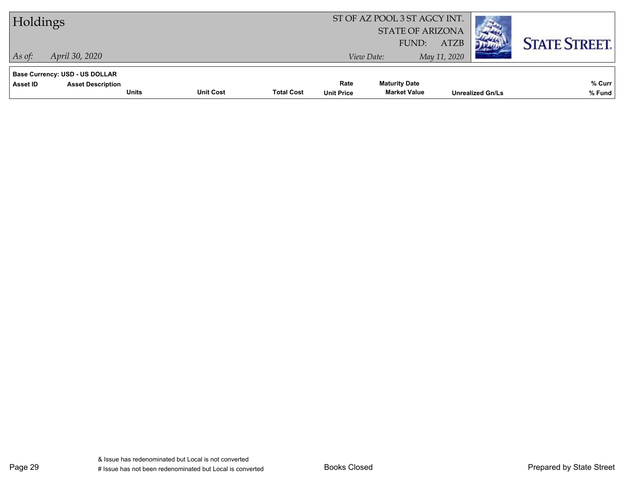| Holdings                                                                                      |                  |                   |                           | ST OF AZ POOL 3 ST AGCY INT.<br><b>STATE OF ARIZONA</b> |                             |                         |                      |
|-----------------------------------------------------------------------------------------------|------------------|-------------------|---------------------------|---------------------------------------------------------|-----------------------------|-------------------------|----------------------|
| April 30, 2020<br>As of:                                                                      |                  |                   |                           | FUND:<br>View Date:                                     | <b>ATZB</b><br>May 11, 2020 |                         | <b>STATE STREET.</b> |
| <b>Base Currency: USD - US DOLLAR</b><br>Asset ID<br><b>Asset Description</b><br><b>Units</b> | <b>Unit Cost</b> | <b>Total Cost</b> | Rate<br><b>Unit Price</b> | <b>Maturity Date</b><br><b>Market Value</b>             |                             | <b>Unrealized Gn/Ls</b> | % Curr<br>% Fund     |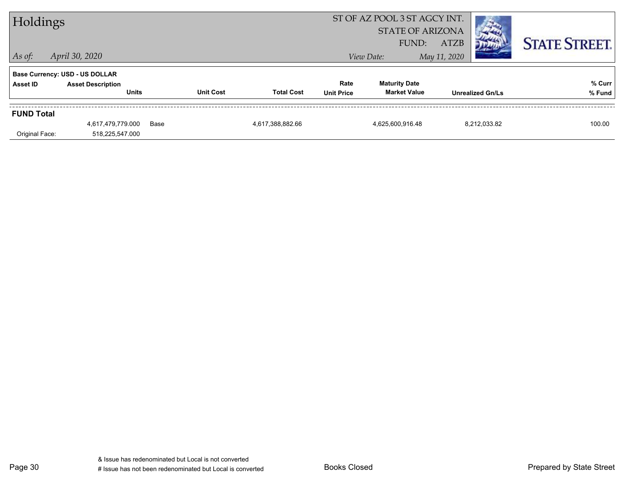|                   | ST OF AZ POOL 3 ST AGCY INT.<br>Holdings<br><b>STATE OF ARIZONA</b><br><b>ATZB</b><br>FUND: |      |                  |                   |                           |                                             |                         | <b>STATE STREET.</b> |
|-------------------|---------------------------------------------------------------------------------------------|------|------------------|-------------------|---------------------------|---------------------------------------------|-------------------------|----------------------|
| $ $ As of:        | April 30, 2020                                                                              |      |                  |                   |                           | View Date:                                  | May 11, 2020            |                      |
|                   | <b>Base Currency: USD - US DOLLAR</b>                                                       |      |                  |                   |                           |                                             |                         |                      |
| Asset ID          | <b>Asset Description</b><br><b>Units</b>                                                    |      | <b>Unit Cost</b> | <b>Total Cost</b> | Rate<br><b>Unit Price</b> | <b>Maturity Date</b><br><b>Market Value</b> | <b>Unrealized Gn/Ls</b> | % Curr<br>% Fund     |
| <b>FUND Total</b> |                                                                                             |      |                  |                   |                           |                                             |                         |                      |
|                   | 4,617,479,779.000                                                                           | Base |                  | 4,617,388,882.66  |                           | 4,625,600,916.48                            | 8,212,033.82            | 100.00               |
| Original Face:    | 518,225,547.000                                                                             |      |                  |                   |                           |                                             |                         |                      |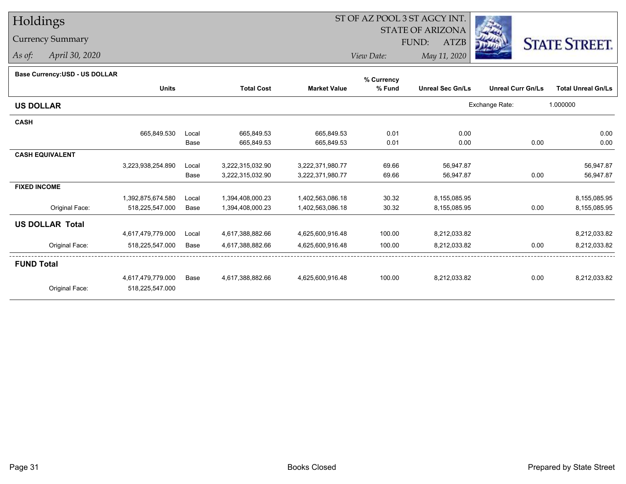# Holdings

### Currency Summary

*As of: April 30, 2020*

## ST OF AZ POOL 3 ST AGCY INT.

 STATE OF ARIZONAFUND:

ATZB



*View Date:May 11, 2020*

| <b>Base Currency:USD - US DOLLAR</b> |                   |       |                   |                     | % Currency |                         |                          |                           |
|--------------------------------------|-------------------|-------|-------------------|---------------------|------------|-------------------------|--------------------------|---------------------------|
|                                      | <b>Units</b>      |       | <b>Total Cost</b> | <b>Market Value</b> | % Fund     | <b>Unreal Sec Gn/Ls</b> | <b>Unreal Curr Gn/Ls</b> | <b>Total Unreal Gn/Ls</b> |
| <b>US DOLLAR</b>                     |                   |       |                   |                     |            |                         | Exchange Rate:           | 1.000000                  |
| <b>CASH</b>                          |                   |       |                   |                     |            |                         |                          |                           |
|                                      | 665,849.530       | Local | 665,849.53        | 665,849.53          | 0.01       | 0.00                    |                          | 0.00                      |
|                                      |                   | Base  | 665,849.53        | 665,849.53          | 0.01       | 0.00                    | 0.00                     | 0.00                      |
| <b>CASH EQUIVALENT</b>               |                   |       |                   |                     |            |                         |                          |                           |
|                                      | 3,223,938,254.890 | Local | 3,222,315,032.90  | 3,222,371,980.77    | 69.66      | 56,947.87               |                          | 56,947.87                 |
|                                      |                   | Base  | 3,222,315,032.90  | 3,222,371,980.77    | 69.66      | 56,947.87               | 0.00                     | 56,947.87                 |
| <b>FIXED INCOME</b>                  |                   |       |                   |                     |            |                         |                          |                           |
|                                      | 1,392,875,674.580 | Local | 1,394,408,000.23  | 1,402,563,086.18    | 30.32      | 8,155,085.95            |                          | 8,155,085.95              |
| Original Face:                       | 518,225,547.000   | Base  | 1,394,408,000.23  | 1,402,563,086.18    | 30.32      | 8,155,085.95            | 0.00                     | 8,155,085.95              |
| <b>US DOLLAR Total</b>               |                   |       |                   |                     |            |                         |                          |                           |
|                                      | 4,617,479,779.000 | Local | 4,617,388,882.66  | 4,625,600,916.48    | 100.00     | 8,212,033.82            |                          | 8,212,033.82              |
| Original Face:                       | 518,225,547.000   | Base  | 4,617,388,882.66  | 4,625,600,916.48    | 100.00     | 8,212,033.82            | 0.00                     | 8,212,033.82              |
| <b>FUND Total</b>                    |                   |       |                   |                     |            |                         |                          |                           |
|                                      | 4,617,479,779.000 | Base  | 4,617,388,882.66  | 4,625,600,916.48    | 100.00     | 8,212,033.82            | 0.00                     | 8,212,033.82              |
| Original Face:                       | 518,225,547.000   |       |                   |                     |            |                         |                          |                           |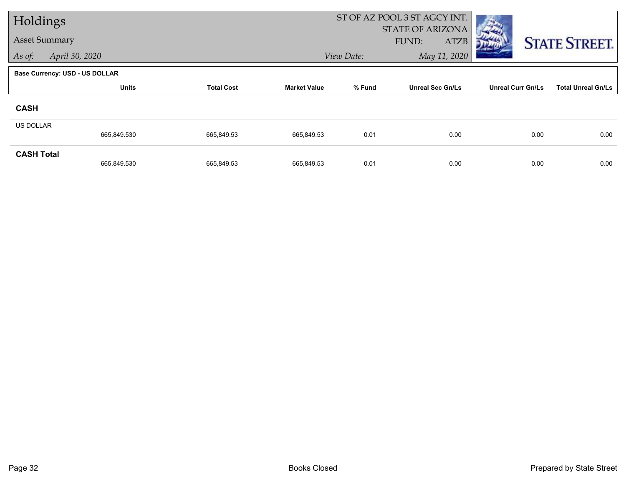| Holdings             |                                       |                   |                     | ST OF AZ POOL 3 ST AGCY INT. |                                                 |                          |                           |
|----------------------|---------------------------------------|-------------------|---------------------|------------------------------|-------------------------------------------------|--------------------------|---------------------------|
| <b>Asset Summary</b> |                                       |                   |                     |                              | <b>STATE OF ARIZONA</b><br>FUND:<br><b>ATZB</b> |                          | <b>STATE STREET.</b>      |
| As of:               | April 30, 2020                        |                   |                     | View Date:                   |                                                 |                          |                           |
|                      | <b>Base Currency: USD - US DOLLAR</b> |                   |                     |                              |                                                 |                          |                           |
|                      | <b>Units</b>                          | <b>Total Cost</b> | <b>Market Value</b> | % Fund                       | <b>Unreal Sec Gn/Ls</b>                         | <b>Unreal Curr Gn/Ls</b> | <b>Total Unreal Gn/Ls</b> |
| <b>CASH</b>          |                                       |                   |                     |                              |                                                 |                          |                           |
| <b>US DOLLAR</b>     |                                       |                   |                     |                              |                                                 |                          |                           |
|                      | 665,849.530                           | 665,849.53        | 665,849.53          | 0.01                         | 0.00                                            | 0.00                     | 0.00                      |
| <b>CASH Total</b>    | 665,849.530                           | 665,849.53        | 665,849.53          | 0.01                         | 0.00                                            | 0.00                     | 0.00                      |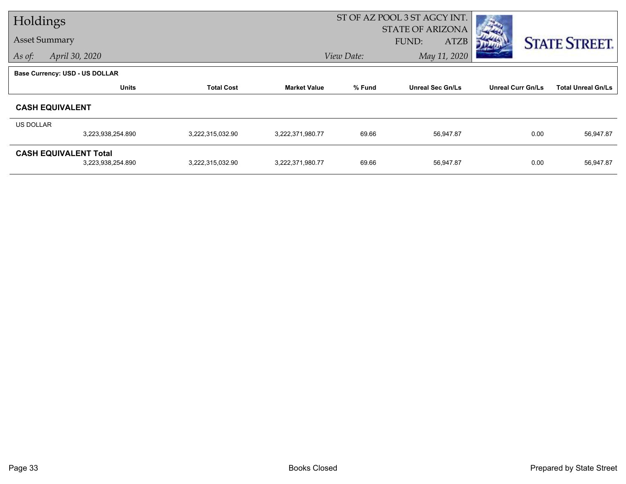| Holdings  |                                |                   |                     |            | ST OF AZ POOL 3 ST AGCY INT. |                          |                           |
|-----------|--------------------------------|-------------------|---------------------|------------|------------------------------|--------------------------|---------------------------|
|           |                                |                   |                     |            | <b>STATE OF ARIZONA</b>      |                          |                           |
|           | <b>Asset Summary</b>           |                   |                     |            | FUND:<br><b>ATZB</b>         |                          | <b>STATE STREET.</b>      |
| As of:    | April 30, 2020                 |                   |                     | View Date: | May 11, 2020                 |                          |                           |
|           | Base Currency: USD - US DOLLAR |                   |                     |            |                              |                          |                           |
|           | <b>Units</b>                   | <b>Total Cost</b> | <b>Market Value</b> | % Fund     | <b>Unreal Sec Gn/Ls</b>      | <b>Unreal Curr Gn/Ls</b> | <b>Total Unreal Gn/Ls</b> |
|           | <b>CASH EQUIVALENT</b>         |                   |                     |            |                              |                          |                           |
| US DOLLAR |                                |                   |                     |            |                              |                          |                           |
|           | 3,223,938,254.890              | 3,222,315,032.90  | 3,222,371,980.77    | 69.66      | 56,947.87                    | 0.00                     | 56,947.87                 |
|           | <b>CASH EQUIVALENT Total</b>   |                   |                     |            |                              |                          |                           |
|           | 3,223,938,254.890              | 3,222,315,032.90  | 3,222,371,980.77    | 69.66      | 56,947.87                    | 0.00                     | 56,947.87                 |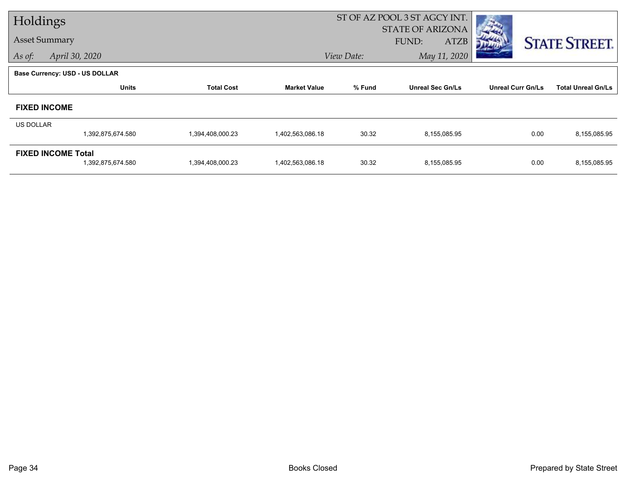| Holdings  |                                                |                   |                     |            | ST OF AZ POOL 3 ST AGCY INT.                    |                          |                           |
|-----------|------------------------------------------------|-------------------|---------------------|------------|-------------------------------------------------|--------------------------|---------------------------|
|           | <b>Asset Summary</b>                           |                   |                     |            | <b>STATE OF ARIZONA</b><br>FUND:<br><b>ATZB</b> |                          | <b>STATE STREET.</b>      |
| As of:    | April 30, 2020                                 |                   |                     | View Date: | May 11, 2020                                    |                          |                           |
|           | <b>Base Currency: USD - US DOLLAR</b>          |                   |                     |            |                                                 |                          |                           |
|           | <b>Units</b>                                   | <b>Total Cost</b> | <b>Market Value</b> | % Fund     | <b>Unreal Sec Gn/Ls</b>                         | <b>Unreal Curr Gn/Ls</b> | <b>Total Unreal Gn/Ls</b> |
|           | <b>FIXED INCOME</b>                            |                   |                     |            |                                                 |                          |                           |
| US DOLLAR |                                                |                   |                     |            |                                                 |                          |                           |
|           | 1,392,875,674.580                              | 1,394,408,000.23  | 1,402,563,086.18    | 30.32      | 8,155,085.95                                    | 0.00                     | 8,155,085.95              |
|           | <b>FIXED INCOME Total</b><br>1,392,875,674.580 | 1,394,408,000.23  | 1,402,563,086.18    | 30.32      | 8,155,085.95                                    | 0.00                     | 8,155,085.95              |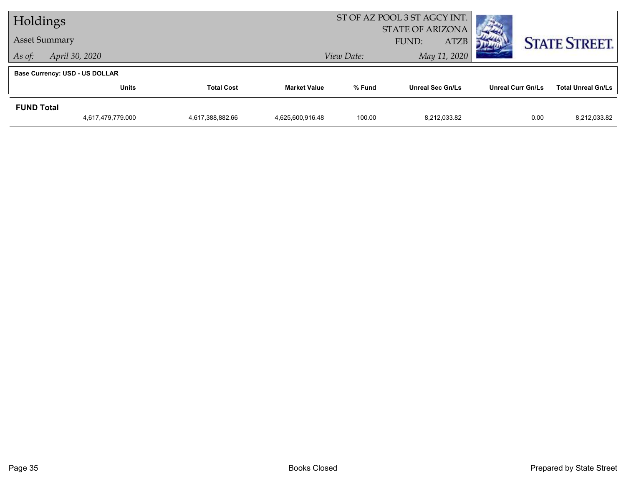| Holdings          |                                       |                   |                     | ST OF AZ POOL 3 ST AGCY INT. |                                                 |                          |                           |
|-------------------|---------------------------------------|-------------------|---------------------|------------------------------|-------------------------------------------------|--------------------------|---------------------------|
|                   | <b>Asset Summary</b>                  |                   |                     |                              | <b>STATE OF ARIZONA</b><br><b>ATZB</b><br>FUND: |                          | <b>STATE STREET.</b>      |
| As of:            | April 30, 2020                        |                   | View Date:          |                              | May 11, 2020                                    |                          |                           |
|                   | <b>Base Currency: USD - US DOLLAR</b> |                   |                     |                              |                                                 |                          |                           |
|                   | <b>Units</b>                          | <b>Total Cost</b> | <b>Market Value</b> | % Fund                       | <b>Unreal Sec Gn/Ls</b>                         | <b>Unreal Curr Gn/Ls</b> | <b>Total Unreal Gn/Ls</b> |
| <b>FUND Total</b> |                                       |                   |                     |                              |                                                 |                          |                           |
|                   | 4,617,479,779.000                     | 4,617,388,882.66  | 4,625,600,916.48    | 100.00                       | 8.212.033.82                                    | 0.00                     | 8,212,033.82              |